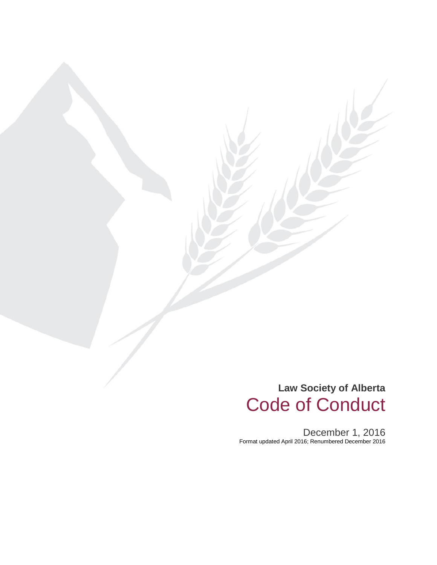**Law Society of Alberta** Code of Conduct

December 1, 2016 Format updated April 2016; Renumbered December 2016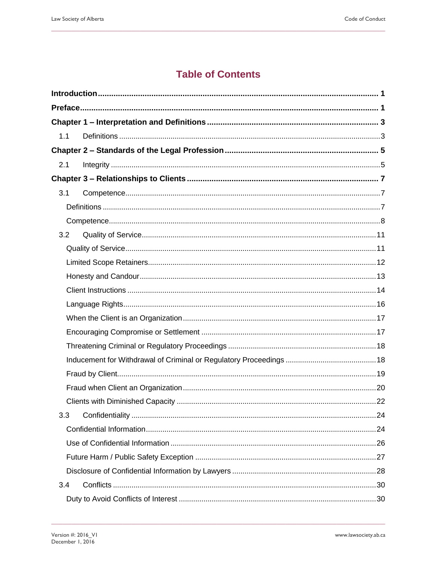# **Table of Contents**

| 1.1 |  |
|-----|--|
|     |  |
| 2.1 |  |
|     |  |
| 3.1 |  |
|     |  |
|     |  |
| 3.2 |  |
|     |  |
|     |  |
|     |  |
|     |  |
|     |  |
|     |  |
|     |  |
|     |  |
|     |  |
|     |  |
|     |  |
|     |  |
| 3.3 |  |
|     |  |
|     |  |
|     |  |
|     |  |
| 3.4 |  |
|     |  |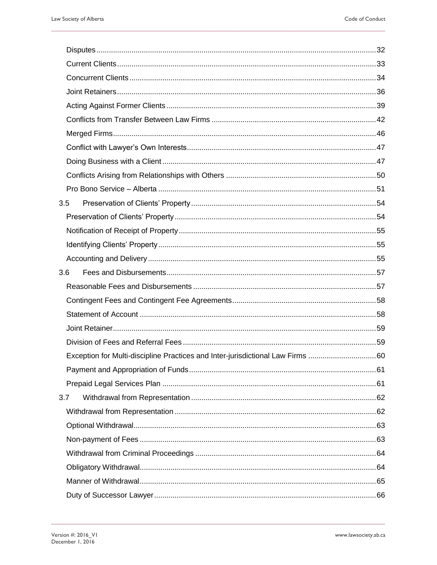| 3.5                                                                            |  |
|--------------------------------------------------------------------------------|--|
|                                                                                |  |
|                                                                                |  |
|                                                                                |  |
|                                                                                |  |
| 3.6                                                                            |  |
|                                                                                |  |
|                                                                                |  |
|                                                                                |  |
|                                                                                |  |
|                                                                                |  |
| Exception for Multi-discipline Practices and Inter-jurisdictional Law Firms 60 |  |
|                                                                                |  |
|                                                                                |  |
| 3.7                                                                            |  |
|                                                                                |  |
|                                                                                |  |
|                                                                                |  |
|                                                                                |  |
|                                                                                |  |
|                                                                                |  |
|                                                                                |  |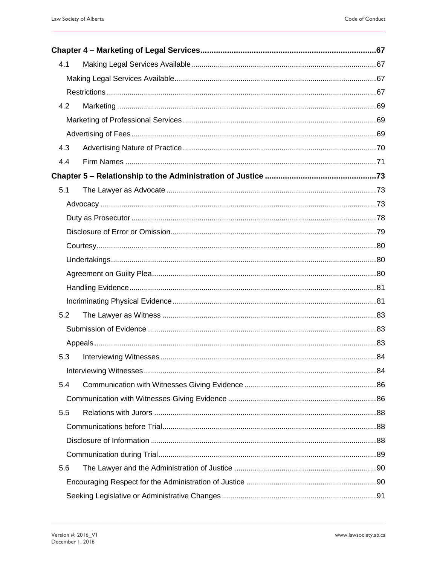| 4.1 |  |
|-----|--|
|     |  |
|     |  |
| 4.2 |  |
|     |  |
|     |  |
| 4.3 |  |
| 4.4 |  |
|     |  |
| 5.1 |  |
|     |  |
|     |  |
|     |  |
|     |  |
|     |  |
|     |  |
|     |  |
|     |  |
| 5.2 |  |
|     |  |
|     |  |
| 5.3 |  |
|     |  |
| 5.4 |  |
|     |  |
| 5.5 |  |
|     |  |
|     |  |
|     |  |
| 5.6 |  |
|     |  |
|     |  |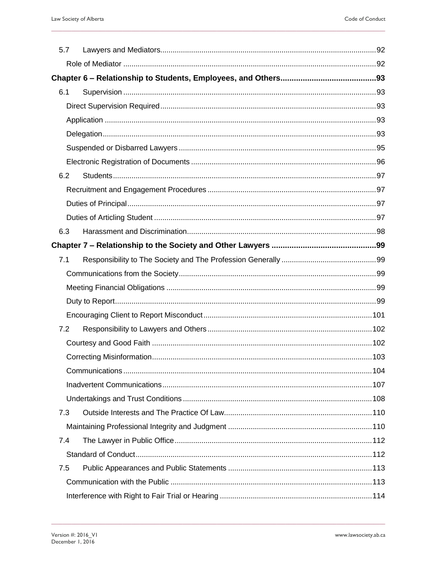| 5.7 |  |
|-----|--|
|     |  |
|     |  |
| 6.1 |  |
|     |  |
|     |  |
|     |  |
|     |  |
|     |  |
| 6.2 |  |
|     |  |
|     |  |
|     |  |
| 6.3 |  |
|     |  |
| 7.1 |  |
|     |  |
|     |  |
|     |  |
|     |  |
| 7.2 |  |
|     |  |
|     |  |
|     |  |
|     |  |
|     |  |
| 7.3 |  |
|     |  |
| 7.4 |  |
|     |  |
| 7.5 |  |
|     |  |
|     |  |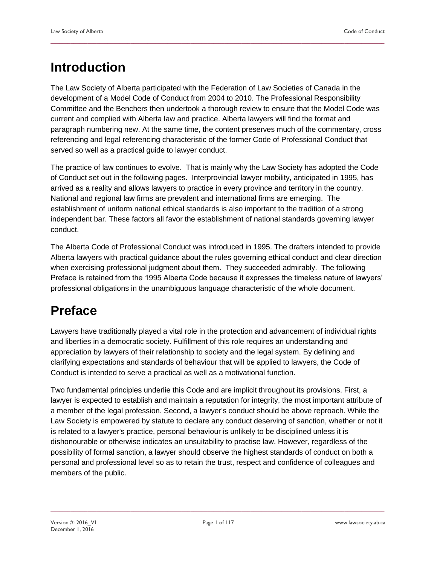# <span id="page-6-0"></span>**Introduction**

The Law Society of Alberta participated with the Federation of Law Societies of Canada in the development of a Model Code of Conduct from 2004 to 2010. The Professional Responsibility Committee and the Benchers then undertook a thorough review to ensure that the Model Code was current and complied with Alberta law and practice. Alberta lawyers will find the format and paragraph numbering new. At the same time, the content preserves much of the commentary, cross referencing and legal referencing characteristic of the former Code of Professional Conduct that served so well as a practical guide to lawyer conduct.

**\_\_\_\_\_\_\_\_\_\_\_\_\_\_\_\_\_\_\_\_\_\_\_\_\_\_\_\_\_\_\_\_\_\_\_\_\_\_\_\_\_\_\_\_\_\_\_\_\_\_\_\_\_\_\_\_\_\_\_\_\_\_\_\_\_\_\_\_\_\_\_\_\_\_\_\_\_\_\_\_\_\_\_\_\_\_\_\_\_\_\_\_\_\_\_\_\_\_\_\_\_\_\_\_\_\_\_\_\_\_\_\_\_\_\_\_\_**

The practice of law continues to evolve. That is mainly why the Law Society has adopted the Code of Conduct set out in the following pages. Interprovincial lawyer mobility, anticipated in 1995, has arrived as a reality and allows lawyers to practice in every province and territory in the country. National and regional law firms are prevalent and international firms are emerging. The establishment of uniform national ethical standards is also important to the tradition of a strong independent bar. These factors all favor the establishment of national standards governing lawyer conduct.

The Alberta Code of Professional Conduct was introduced in 1995. The drafters intended to provide Alberta lawyers with practical guidance about the rules governing ethical conduct and clear direction when exercising professional judgment about them. They succeeded admirably. The following Preface is retained from the 1995 Alberta Code because it expresses the timeless nature of lawyers' professional obligations in the unambiguous language characteristic of the whole document.

# <span id="page-6-1"></span>**Preface**

Lawyers have traditionally played a vital role in the protection and advancement of individual rights and liberties in a democratic society. Fulfillment of this role requires an understanding and appreciation by lawyers of their relationship to society and the legal system. By defining and clarifying expectations and standards of behaviour that will be applied to lawyers, the Code of Conduct is intended to serve a practical as well as a motivational function.

Two fundamental principles underlie this Code and are implicit throughout its provisions. First, a lawyer is expected to establish and maintain a reputation for integrity, the most important attribute of a member of the legal profession. Second, a lawyer's conduct should be above reproach. While the Law Society is empowered by statute to declare any conduct deserving of sanction, whether or not it is related to a lawyer's practice, personal behaviour is unlikely to be disciplined unless it is dishonourable or otherwise indicates an unsuitability to practise law. However, regardless of the possibility of formal sanction, a lawyer should observe the highest standards of conduct on both a personal and professional level so as to retain the trust, respect and confidence of colleagues and members of the public.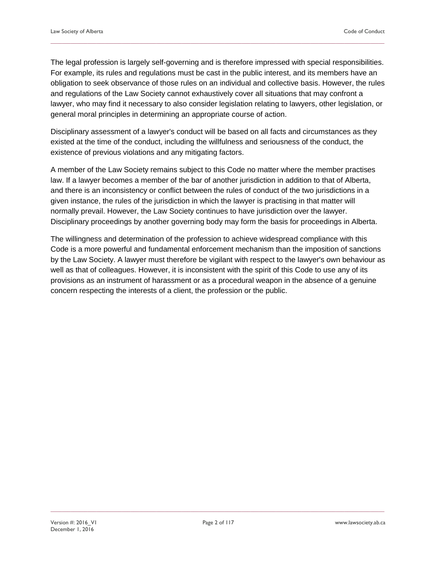The legal profession is largely self-governing and is therefore impressed with special responsibilities. For example, its rules and regulations must be cast in the public interest, and its members have an obligation to seek observance of those rules on an individual and collective basis. However, the rules and regulations of the Law Society cannot exhaustively cover all situations that may confront a lawyer, who may find it necessary to also consider legislation relating to lawyers, other legislation, or general moral principles in determining an appropriate course of action.

**\_\_\_\_\_\_\_\_\_\_\_\_\_\_\_\_\_\_\_\_\_\_\_\_\_\_\_\_\_\_\_\_\_\_\_\_\_\_\_\_\_\_\_\_\_\_\_\_\_\_\_\_\_\_\_\_\_\_\_\_\_\_\_\_\_\_\_\_\_\_\_\_\_\_\_\_\_\_\_\_\_\_\_\_\_\_\_\_\_\_\_\_\_\_\_\_\_\_\_\_\_\_\_\_\_\_\_\_\_\_\_\_\_\_\_\_\_**

Disciplinary assessment of a lawyer's conduct will be based on all facts and circumstances as they existed at the time of the conduct, including the willfulness and seriousness of the conduct, the existence of previous violations and any mitigating factors.

A member of the Law Society remains subject to this Code no matter where the member practises law. If a lawyer becomes a member of the bar of another jurisdiction in addition to that of Alberta, and there is an inconsistency or conflict between the rules of conduct of the two jurisdictions in a given instance, the rules of the jurisdiction in which the lawyer is practising in that matter will normally prevail. However, the Law Society continues to have jurisdiction over the lawyer. Disciplinary proceedings by another governing body may form the basis for proceedings in Alberta.

The willingness and determination of the profession to achieve widespread compliance with this Code is a more powerful and fundamental enforcement mechanism than the imposition of sanctions by the Law Society. A lawyer must therefore be vigilant with respect to the lawyer's own behaviour as well as that of colleagues. However, it is inconsistent with the spirit of this Code to use any of its provisions as an instrument of harassment or as a procedural weapon in the absence of a genuine concern respecting the interests of a client, the profession or the public.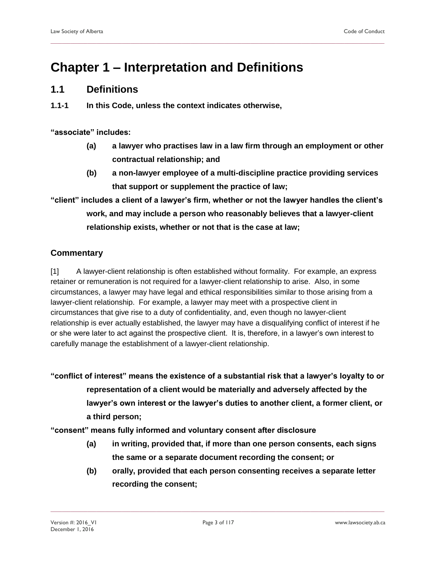# <span id="page-8-0"></span>**Chapter 1 – Interpretation and Definitions**

# <span id="page-8-1"></span>**1.1 Definitions**

**1.1-1 In this Code, unless the context indicates otherwise,**

**"associate" includes:**

- **(a) a lawyer who practises law in a law firm through an employment or other contractual relationship; and**
- **(b) a non-lawyer employee of a multi-discipline practice providing services that support or supplement the practice of law;**

**"client" includes a client of a lawyer's firm, whether or not the lawyer handles the client's work, and may include a person who reasonably believes that a lawyer-client relationship exists, whether or not that is the case at law;**

**\_\_\_\_\_\_\_\_\_\_\_\_\_\_\_\_\_\_\_\_\_\_\_\_\_\_\_\_\_\_\_\_\_\_\_\_\_\_\_\_\_\_\_\_\_\_\_\_\_\_\_\_\_\_\_\_\_\_\_\_\_\_\_\_\_\_\_\_\_\_\_\_\_\_\_\_\_\_\_\_\_\_\_\_\_\_\_\_\_\_\_\_\_\_\_\_\_\_\_\_\_\_\_\_\_\_\_\_\_\_\_\_\_\_\_\_\_**

# **Commentary**

[1] A lawyer-client relationship is often established without formality. For example, an express retainer or remuneration is not required for a lawyer-client relationship to arise. Also, in some circumstances, a lawyer may have legal and ethical responsibilities similar to those arising from a lawyer-client relationship. For example, a lawyer may meet with a prospective client in circumstances that give rise to a duty of confidentiality, and, even though no lawyer-client relationship is ever actually established, the lawyer may have a disqualifying conflict of interest if he or she were later to act against the prospective client. It is, therefore, in a lawyer's own interest to carefully manage the establishment of a lawyer-client relationship.

**"conflict of interest" means the existence of a substantial risk that a lawyer's loyalty to or representation of a client would be materially and adversely affected by the lawyer's own interest or the lawyer's duties to another client, a former client, or a third person;**

**"consent" means fully informed and voluntary consent after disclosure**

- **(a) in writing, provided that, if more than one person consents, each signs the same or a separate document recording the consent; or**
- **(b) orally, provided that each person consenting receives a separate letter recording the consent;**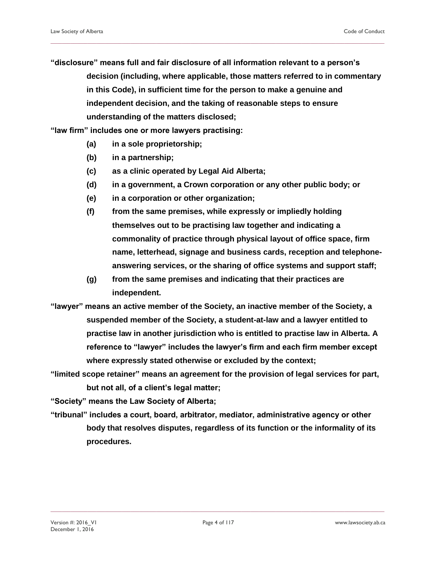**"disclosure" means full and fair disclosure of all information relevant to a person's decision (including, where applicable, those matters referred to in commentary in this Code), in sufficient time for the person to make a genuine and independent decision, and the taking of reasonable steps to ensure understanding of the matters disclosed;**

**\_\_\_\_\_\_\_\_\_\_\_\_\_\_\_\_\_\_\_\_\_\_\_\_\_\_\_\_\_\_\_\_\_\_\_\_\_\_\_\_\_\_\_\_\_\_\_\_\_\_\_\_\_\_\_\_\_\_\_\_\_\_\_\_\_\_\_\_\_\_\_\_\_\_\_\_\_\_\_\_\_\_\_\_\_\_\_\_\_\_\_\_\_\_\_\_\_\_\_\_\_\_\_\_\_\_\_\_\_\_\_\_\_\_\_\_\_**

**"law firm" includes one or more lawyers practising:** 

- **(a) in a sole proprietorship;**
- **(b) in a partnership;**
- **(c) as a clinic operated by Legal Aid Alberta;**
- **(d) in a government, a Crown corporation or any other public body; or**
- **(e) in a corporation or other organization;**
- **(f) from the same premises, while expressly or impliedly holding themselves out to be practising law together and indicating a commonality of practice through physical layout of office space, firm name, letterhead, signage and business cards, reception and telephoneanswering services, or the sharing of office systems and support staff;**
- **(g) from the same premises and indicating that their practices are independent.**
- **"lawyer" means an active member of the Society, an inactive member of the Society, a suspended member of the Society, a student-at-law and a lawyer entitled to practise law in another jurisdiction who is entitled to practise law in Alberta. A reference to "lawyer" includes the lawyer's firm and each firm member except where expressly stated otherwise or excluded by the context;**
- **"limited scope retainer" means an agreement for the provision of legal services for part, but not all, of a client's legal matter;**

**"Society" means the Law Society of Alberta;** 

**"tribunal" includes a court, board, arbitrator, mediator, administrative agency or other body that resolves disputes, regardless of its function or the informality of its procedures.**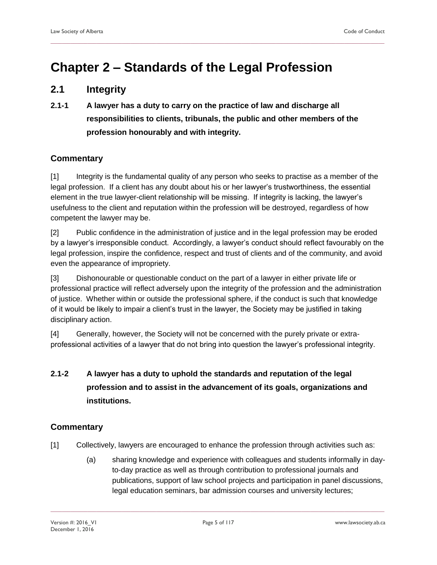# <span id="page-10-0"></span>**Chapter 2 – Standards of the Legal Profession**

# <span id="page-10-1"></span>**2.1 Integrity**

**2.1-1 A lawyer has a duty to carry on the practice of law and discharge all responsibilities to clients, tribunals, the public and other members of the profession honourably and with integrity.**

**\_\_\_\_\_\_\_\_\_\_\_\_\_\_\_\_\_\_\_\_\_\_\_\_\_\_\_\_\_\_\_\_\_\_\_\_\_\_\_\_\_\_\_\_\_\_\_\_\_\_\_\_\_\_\_\_\_\_\_\_\_\_\_\_\_\_\_\_\_\_\_\_\_\_\_\_\_\_\_\_\_\_\_\_\_\_\_\_\_\_\_\_\_\_\_\_\_\_\_\_\_\_\_\_\_\_\_\_\_\_\_\_\_\_\_\_\_**

# **Commentary**

[1] Integrity is the fundamental quality of any person who seeks to practise as a member of the legal profession. If a client has any doubt about his or her lawyer's trustworthiness, the essential element in the true lawyer-client relationship will be missing. If integrity is lacking, the lawyer's usefulness to the client and reputation within the profession will be destroyed, regardless of how competent the lawyer may be.

[2] Public confidence in the administration of justice and in the legal profession may be eroded by a lawyer's irresponsible conduct. Accordingly, a lawyer's conduct should reflect favourably on the legal profession, inspire the confidence, respect and trust of clients and of the community, and avoid even the appearance of impropriety.

[3] Dishonourable or questionable conduct on the part of a lawyer in either private life or professional practice will reflect adversely upon the integrity of the profession and the administration of justice. Whether within or outside the professional sphere, if the conduct is such that knowledge of it would be likely to impair a client's trust in the lawyer, the Society may be justified in taking disciplinary action.

[4] Generally, however, the Society will not be concerned with the purely private or extraprofessional activities of a lawyer that do not bring into question the lawyer's professional integrity.

**2.1-2 A lawyer has a duty to uphold the standards and reputation of the legal profession and to assist in the advancement of its goals, organizations and institutions.**

# **Commentary**

- [1] Collectively, lawyers are encouraged to enhance the profession through activities such as:
	- (a) sharing knowledge and experience with colleagues and students informally in dayto-day practice as well as through contribution to professional journals and publications, support of law school projects and participation in panel discussions, legal education seminars, bar admission courses and university lectures;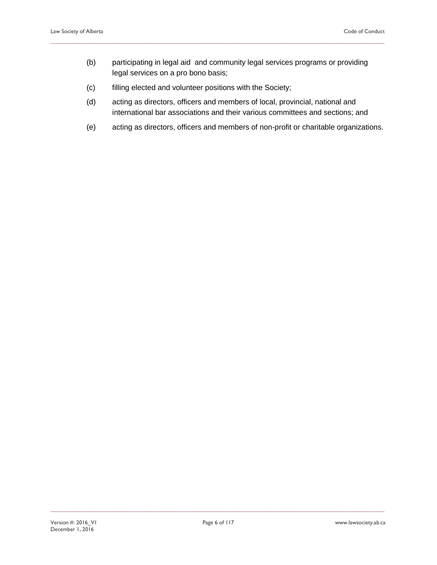(b) participating in legal aid and community legal services programs or providing legal services on a pro bono basis;

**\_\_\_\_\_\_\_\_\_\_\_\_\_\_\_\_\_\_\_\_\_\_\_\_\_\_\_\_\_\_\_\_\_\_\_\_\_\_\_\_\_\_\_\_\_\_\_\_\_\_\_\_\_\_\_\_\_\_\_\_\_\_\_\_\_\_\_\_\_\_\_\_\_\_\_\_\_\_\_\_\_\_\_\_\_\_\_\_\_\_\_\_\_\_\_\_\_\_\_\_\_\_\_\_\_\_\_\_\_\_\_\_\_\_\_\_\_**

- (c) filling elected and volunteer positions with the Society;
- (d) acting as directors, officers and members of local, provincial, national and international bar associations and their various committees and sections; and
- (e) acting as directors, officers and members of non-profit or charitable organizations.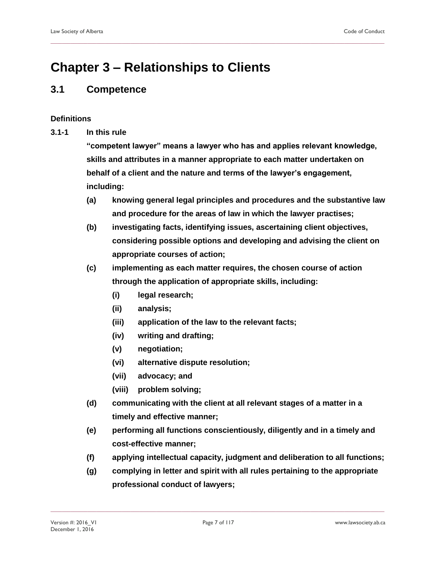# <span id="page-12-0"></span>**Chapter 3 – Relationships to Clients**

# <span id="page-12-1"></span>**3.1 Competence**

#### <span id="page-12-2"></span>**Definitions**

**3.1-1 In this rule**

**"competent lawyer" means a lawyer who has and applies relevant knowledge, skills and attributes in a manner appropriate to each matter undertaken on behalf of a client and the nature and terms of the lawyer's engagement, including:**

**\_\_\_\_\_\_\_\_\_\_\_\_\_\_\_\_\_\_\_\_\_\_\_\_\_\_\_\_\_\_\_\_\_\_\_\_\_\_\_\_\_\_\_\_\_\_\_\_\_\_\_\_\_\_\_\_\_\_\_\_\_\_\_\_\_\_\_\_\_\_\_\_\_\_\_\_\_\_\_\_\_\_\_\_\_\_\_\_\_\_\_\_\_\_\_\_\_\_\_\_\_\_\_\_\_\_\_\_\_\_\_\_\_\_\_\_\_**

- **(a) knowing general legal principles and procedures and the substantive law and procedure for the areas of law in which the lawyer practises;**
- **(b) investigating facts, identifying issues, ascertaining client objectives, considering possible options and developing and advising the client on appropriate courses of action;**
- **(c) implementing as each matter requires, the chosen course of action through the application of appropriate skills, including:**
	- **(i) legal research;**
	- **(ii) analysis;**
	- **(iii) application of the law to the relevant facts;**
	- **(iv) writing and drafting;**
	- **(v) negotiation;**
	- **(vi) alternative dispute resolution;**
	- **(vii) advocacy; and**
	- **(viii) problem solving;**
- **(d) communicating with the client at all relevant stages of a matter in a timely and effective manner;**
- **(e) performing all functions conscientiously, diligently and in a timely and cost-effective manner;**
- **(f) applying intellectual capacity, judgment and deliberation to all functions;**
- **(g) complying in letter and spirit with all rules pertaining to the appropriate professional conduct of lawyers;**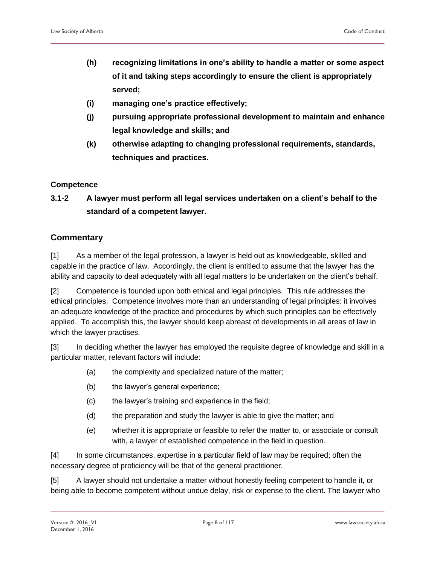**(h) recognizing limitations in one's ability to handle a matter or some aspect of it and taking steps accordingly to ensure the client is appropriately served;**

**\_\_\_\_\_\_\_\_\_\_\_\_\_\_\_\_\_\_\_\_\_\_\_\_\_\_\_\_\_\_\_\_\_\_\_\_\_\_\_\_\_\_\_\_\_\_\_\_\_\_\_\_\_\_\_\_\_\_\_\_\_\_\_\_\_\_\_\_\_\_\_\_\_\_\_\_\_\_\_\_\_\_\_\_\_\_\_\_\_\_\_\_\_\_\_\_\_\_\_\_\_\_\_\_\_\_\_\_\_\_\_\_\_\_\_\_\_**

- **(i) managing one's practice effectively;**
- **(j) pursuing appropriate professional development to maintain and enhance legal knowledge and skills; and**
- **(k) otherwise adapting to changing professional requirements, standards, techniques and practices.**

#### <span id="page-13-0"></span>**Competence**

**3.1-2 A lawyer must perform all legal services undertaken on a client's behalf to the standard of a competent lawyer.**

# **Commentary**

[1] As a member of the legal profession, a lawyer is held out as knowledgeable, skilled and capable in the practice of law. Accordingly, the client is entitled to assume that the lawyer has the ability and capacity to deal adequately with all legal matters to be undertaken on the client's behalf.

[2] Competence is founded upon both ethical and legal principles. This rule addresses the ethical principles. Competence involves more than an understanding of legal principles: it involves an adequate knowledge of the practice and procedures by which such principles can be effectively applied. To accomplish this, the lawyer should keep abreast of developments in all areas of law in which the lawyer practises.

[3] In deciding whether the lawyer has employed the requisite degree of knowledge and skill in a particular matter, relevant factors will include:

- (a) the complexity and specialized nature of the matter;
- (b) the lawyer's general experience;
- (c) the lawyer's training and experience in the field;
- (d) the preparation and study the lawyer is able to give the matter; and
- (e) whether it is appropriate or feasible to refer the matter to, or associate or consult with, a lawyer of established competence in the field in question.

[4] In some circumstances, expertise in a particular field of law may be required; often the necessary degree of proficiency will be that of the general practitioner.

[5] A lawyer should not undertake a matter without honestly feeling competent to handle it, or being able to become competent without undue delay, risk or expense to the client. The lawyer who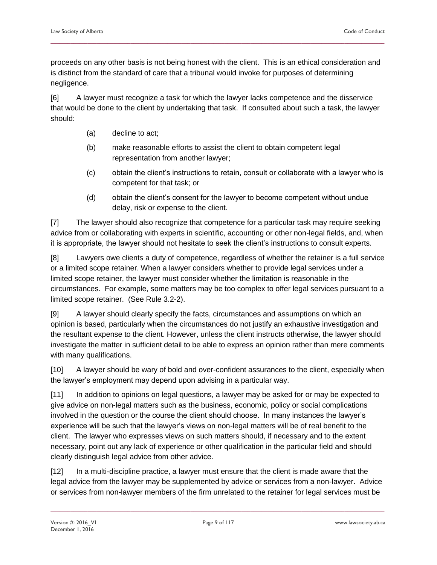proceeds on any other basis is not being honest with the client. This is an ethical consideration and is distinct from the standard of care that a tribunal would invoke for purposes of determining negligence.

**\_\_\_\_\_\_\_\_\_\_\_\_\_\_\_\_\_\_\_\_\_\_\_\_\_\_\_\_\_\_\_\_\_\_\_\_\_\_\_\_\_\_\_\_\_\_\_\_\_\_\_\_\_\_\_\_\_\_\_\_\_\_\_\_\_\_\_\_\_\_\_\_\_\_\_\_\_\_\_\_\_\_\_\_\_\_\_\_\_\_\_\_\_\_\_\_\_\_\_\_\_\_\_\_\_\_\_\_\_\_\_\_\_\_\_\_\_**

[6] A lawyer must recognize a task for which the lawyer lacks competence and the disservice that would be done to the client by undertaking that task. If consulted about such a task, the lawyer should:

- (a) decline to act;
- (b) make reasonable efforts to assist the client to obtain competent legal representation from another lawyer;
- (c) obtain the client's instructions to retain, consult or collaborate with a lawyer who is competent for that task; or
- (d) obtain the client's consent for the lawyer to become competent without undue delay, risk or expense to the client.

[7] The lawyer should also recognize that competence for a particular task may require seeking advice from or collaborating with experts in scientific, accounting or other non-legal fields, and, when it is appropriate, the lawyer should not hesitate to seek the client's instructions to consult experts.

[8] Lawyers owe clients a duty of competence, regardless of whether the retainer is a full service or a limited scope retainer. When a lawyer considers whether to provide legal services under a limited scope retainer, the lawyer must consider whether the limitation is reasonable in the circumstances. For example, some matters may be too complex to offer legal services pursuant to a limited scope retainer. (See Rule 3.2-2).

[9] A lawyer should clearly specify the facts, circumstances and assumptions on which an opinion is based, particularly when the circumstances do not justify an exhaustive investigation and the resultant expense to the client. However, unless the client instructs otherwise, the lawyer should investigate the matter in sufficient detail to be able to express an opinion rather than mere comments with many qualifications.

[10] A lawyer should be wary of bold and over-confident assurances to the client, especially when the lawyer's employment may depend upon advising in a particular way.

[11] In addition to opinions on legal questions, a lawyer may be asked for or may be expected to give advice on non-legal matters such as the business, economic, policy or social complications involved in the question or the course the client should choose. In many instances the lawyer's experience will be such that the lawyer's views on non-legal matters will be of real benefit to the client. The lawyer who expresses views on such matters should, if necessary and to the extent necessary, point out any lack of experience or other qualification in the particular field and should clearly distinguish legal advice from other advice.

[12] In a multi-discipline practice, a lawyer must ensure that the client is made aware that the legal advice from the lawyer may be supplemented by advice or services from a non-lawyer. Advice or services from non-lawyer members of the firm unrelated to the retainer for legal services must be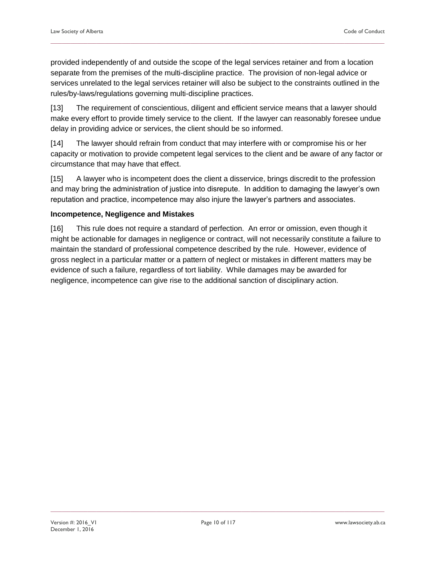provided independently of and outside the scope of the legal services retainer and from a location separate from the premises of the multi-discipline practice. The provision of non-legal advice or services unrelated to the legal services retainer will also be subject to the constraints outlined in the rules/by-laws/regulations governing multi-discipline practices.

**\_\_\_\_\_\_\_\_\_\_\_\_\_\_\_\_\_\_\_\_\_\_\_\_\_\_\_\_\_\_\_\_\_\_\_\_\_\_\_\_\_\_\_\_\_\_\_\_\_\_\_\_\_\_\_\_\_\_\_\_\_\_\_\_\_\_\_\_\_\_\_\_\_\_\_\_\_\_\_\_\_\_\_\_\_\_\_\_\_\_\_\_\_\_\_\_\_\_\_\_\_\_\_\_\_\_\_\_\_\_\_\_\_\_\_\_\_**

[13] The requirement of conscientious, diligent and efficient service means that a lawyer should make every effort to provide timely service to the client. If the lawyer can reasonably foresee undue delay in providing advice or services, the client should be so informed.

[14] The lawyer should refrain from conduct that may interfere with or compromise his or her capacity or motivation to provide competent legal services to the client and be aware of any factor or circumstance that may have that effect.

[15] A lawyer who is incompetent does the client a disservice, brings discredit to the profession and may bring the administration of justice into disrepute. In addition to damaging the lawyer's own reputation and practice, incompetence may also injure the lawyer's partners and associates.

#### **Incompetence, Negligence and Mistakes**

[16] This rule does not require a standard of perfection. An error or omission, even though it might be actionable for damages in negligence or contract, will not necessarily constitute a failure to maintain the standard of professional competence described by the rule. However, evidence of gross neglect in a particular matter or a pattern of neglect or mistakes in different matters may be evidence of such a failure, regardless of tort liability. While damages may be awarded for negligence, incompetence can give rise to the additional sanction of disciplinary action.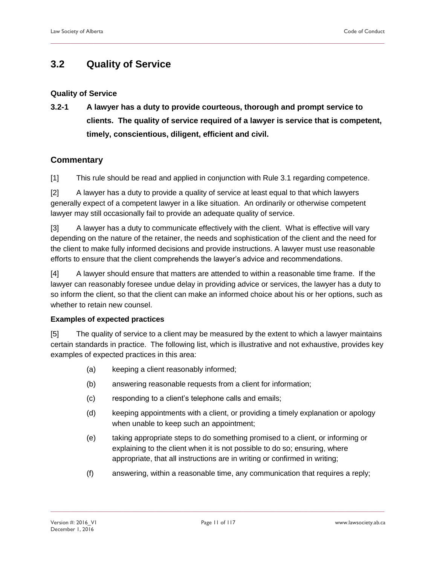# <span id="page-16-0"></span>**3.2 Quality of Service**

#### <span id="page-16-1"></span>**Quality of Service**

**3.2-1 A lawyer has a duty to provide courteous, thorough and prompt service to clients. The quality of service required of a lawyer is service that is competent, timely, conscientious, diligent, efficient and civil.**

**\_\_\_\_\_\_\_\_\_\_\_\_\_\_\_\_\_\_\_\_\_\_\_\_\_\_\_\_\_\_\_\_\_\_\_\_\_\_\_\_\_\_\_\_\_\_\_\_\_\_\_\_\_\_\_\_\_\_\_\_\_\_\_\_\_\_\_\_\_\_\_\_\_\_\_\_\_\_\_\_\_\_\_\_\_\_\_\_\_\_\_\_\_\_\_\_\_\_\_\_\_\_\_\_\_\_\_\_\_\_\_\_\_\_\_\_\_**

#### **Commentary**

[1] This rule should be read and applied in conjunction with Rule 3.1 regarding competence.

[2] A lawyer has a duty to provide a quality of service at least equal to that which lawyers generally expect of a competent lawyer in a like situation. An ordinarily or otherwise competent lawyer may still occasionally fail to provide an adequate quality of service.

[3] A lawyer has a duty to communicate effectively with the client. What is effective will vary depending on the nature of the retainer, the needs and sophistication of the client and the need for the client to make fully informed decisions and provide instructions. A lawyer must use reasonable efforts to ensure that the client comprehends the lawyer's advice and recommendations.

[4] A lawyer should ensure that matters are attended to within a reasonable time frame. If the lawyer can reasonably foresee undue delay in providing advice or services, the lawyer has a duty to so inform the client, so that the client can make an informed choice about his or her options, such as whether to retain new counsel.

#### **Examples of expected practices**

[5] The quality of service to a client may be measured by the extent to which a lawyer maintains certain standards in practice. The following list, which is illustrative and not exhaustive, provides key examples of expected practices in this area:

- (a) keeping a client reasonably informed;
- (b) answering reasonable requests from a client for information;
- (c) responding to a client's telephone calls and emails;
- (d) keeping appointments with a client, or providing a timely explanation or apology when unable to keep such an appointment;
- (e) taking appropriate steps to do something promised to a client, or informing or explaining to the client when it is not possible to do so; ensuring, where appropriate, that all instructions are in writing or confirmed in writing;
- (f) answering, within a reasonable time, any communication that requires a reply;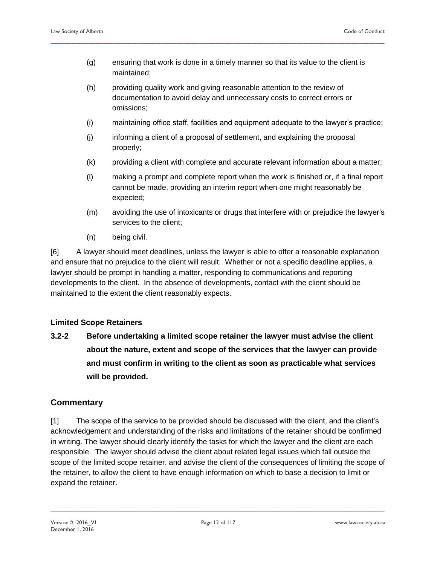- (g) ensuring that work is done in a timely manner so that its value to the client is maintained;
- (h) providing quality work and giving reasonable attention to the review of documentation to avoid delay and unnecessary costs to correct errors or omissions;

**\_\_\_\_\_\_\_\_\_\_\_\_\_\_\_\_\_\_\_\_\_\_\_\_\_\_\_\_\_\_\_\_\_\_\_\_\_\_\_\_\_\_\_\_\_\_\_\_\_\_\_\_\_\_\_\_\_\_\_\_\_\_\_\_\_\_\_\_\_\_\_\_\_\_\_\_\_\_\_\_\_\_\_\_\_\_\_\_\_\_\_\_\_\_\_\_\_\_\_\_\_\_\_\_\_\_\_\_\_\_\_\_\_\_\_\_\_**

- (i) maintaining office staff, facilities and equipment adequate to the lawyer's practice;
- (j) informing a client of a proposal of settlement, and explaining the proposal properly;
- (k) providing a client with complete and accurate relevant information about a matter;
- (l) making a prompt and complete report when the work is finished or, if a final report cannot be made, providing an interim report when one might reasonably be expected;
- (m) avoiding the use of intoxicants or drugs that interfere with or prejudice the lawyer's services to the client;
- (n) being civil.

[6] A lawyer should meet deadlines, unless the lawyer is able to offer a reasonable explanation and ensure that no prejudice to the client will result. Whether or not a specific deadline applies, a lawyer should be prompt in handling a matter, responding to communications and reporting developments to the client. In the absence of developments, contact with the client should be maintained to the extent the client reasonably expects.

## <span id="page-17-0"></span>**Limited Scope Retainers**

**3.2-2 Before undertaking a limited scope retainer the lawyer must advise the client about the nature, extent and scope of the services that the lawyer can provide and must confirm in writing to the client as soon as practicable what services will be provided.**

## **Commentary**

[1] The scope of the service to be provided should be discussed with the client, and the client's acknowledgement and understanding of the risks and limitations of the retainer should be confirmed in writing. The lawyer should clearly identify the tasks for which the lawyer and the client are each responsible. The lawyer should advise the client about related legal issues which fall outside the scope of the limited scope retainer, and advise the client of the consequences of limiting the scope of the retainer, to allow the client to have enough information on which to base a decision to limit or expand the retainer.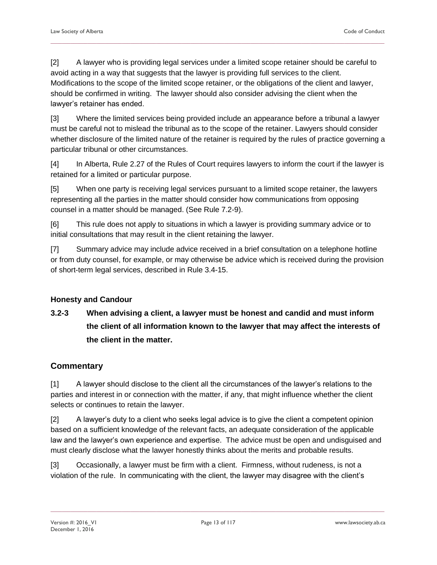[2] A lawyer who is providing legal services under a limited scope retainer should be careful to avoid acting in a way that suggests that the lawyer is providing full services to the client. Modifications to the scope of the limited scope retainer, or the obligations of the client and lawyer, should be confirmed in writing. The lawyer should also consider advising the client when the lawyer's retainer has ended.

**\_\_\_\_\_\_\_\_\_\_\_\_\_\_\_\_\_\_\_\_\_\_\_\_\_\_\_\_\_\_\_\_\_\_\_\_\_\_\_\_\_\_\_\_\_\_\_\_\_\_\_\_\_\_\_\_\_\_\_\_\_\_\_\_\_\_\_\_\_\_\_\_\_\_\_\_\_\_\_\_\_\_\_\_\_\_\_\_\_\_\_\_\_\_\_\_\_\_\_\_\_\_\_\_\_\_\_\_\_\_\_\_\_\_\_\_\_**

[3] Where the limited services being provided include an appearance before a tribunal a lawyer must be careful not to mislead the tribunal as to the scope of the retainer. Lawyers should consider whether disclosure of the limited nature of the retainer is required by the rules of practice governing a particular tribunal or other circumstances.

[4] In Alberta, Rule 2.27 of the Rules of Court requires lawyers to inform the court if the lawyer is retained for a limited or particular purpose.

[5] When one party is receiving legal services pursuant to a limited scope retainer, the lawyers representing all the parties in the matter should consider how communications from opposing counsel in a matter should be managed. (See Rule 7.2-9).

[6] This rule does not apply to situations in which a lawyer is providing summary advice or to initial consultations that may result in the client retaining the lawyer.

[7] Summary advice may include advice received in a brief consultation on a telephone hotline or from duty counsel, for example, or may otherwise be advice which is received during the provision of short-term legal services, described in Rule 3.4-15.

## <span id="page-18-0"></span>**Honesty and Candour**

**3.2-3 When advising a client, a lawyer must be honest and candid and must inform the client of all information known to the lawyer that may affect the interests of the client in the matter.**

## **Commentary**

[1] A lawyer should disclose to the client all the circumstances of the lawyer's relations to the parties and interest in or connection with the matter, if any, that might influence whether the client selects or continues to retain the lawyer.

[2] A lawyer's duty to a client who seeks legal advice is to give the client a competent opinion based on a sufficient knowledge of the relevant facts, an adequate consideration of the applicable law and the lawyer's own experience and expertise. The advice must be open and undisguised and must clearly disclose what the lawyer honestly thinks about the merits and probable results.

[3] Occasionally, a lawyer must be firm with a client. Firmness, without rudeness, is not a violation of the rule. In communicating with the client, the lawyer may disagree with the client's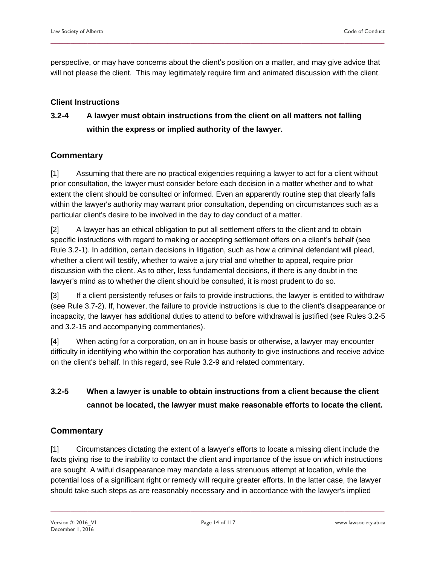perspective, or may have concerns about the client's position on a matter, and may give advice that will not please the client. This may legitimately require firm and animated discussion with the client.

**\_\_\_\_\_\_\_\_\_\_\_\_\_\_\_\_\_\_\_\_\_\_\_\_\_\_\_\_\_\_\_\_\_\_\_\_\_\_\_\_\_\_\_\_\_\_\_\_\_\_\_\_\_\_\_\_\_\_\_\_\_\_\_\_\_\_\_\_\_\_\_\_\_\_\_\_\_\_\_\_\_\_\_\_\_\_\_\_\_\_\_\_\_\_\_\_\_\_\_\_\_\_\_\_\_\_\_\_\_\_\_\_\_\_\_\_\_**

#### <span id="page-19-0"></span>**Client Instructions**

# **3.2-4 A lawyer must obtain instructions from the client on all matters not falling within the express or implied authority of the lawyer.**

## **Commentary**

[1] Assuming that there are no practical exigencies requiring a lawyer to act for a client without prior consultation, the lawyer must consider before each decision in a matter whether and to what extent the client should be consulted or informed. Even an apparently routine step that clearly falls within the lawyer's authority may warrant prior consultation, depending on circumstances such as a particular client's desire to be involved in the day to day conduct of a matter.

[2] A lawyer has an ethical obligation to put all settlement offers to the client and to obtain specific instructions with regard to making or accepting settlement offers on a client's behalf (see Rule 3.2-1). In addition, certain decisions in litigation, such as how a criminal defendant will plead, whether a client will testify, whether to waive a jury trial and whether to appeal, require prior discussion with the client. As to other, less fundamental decisions, if there is any doubt in the lawyer's mind as to whether the client should be consulted, it is most prudent to do so.

[3] If a client persistently refuses or fails to provide instructions, the lawyer is entitled to withdraw (see Rule 3.7-2). If, however, the failure to provide instructions is due to the client's disappearance or incapacity, the lawyer has additional duties to attend to before withdrawal is justified (see Rules 3.2-5 and 3.2-15 and accompanying commentaries).

[4] When acting for a corporation, on an in house basis or otherwise, a lawyer may encounter difficulty in identifying who within the corporation has authority to give instructions and receive advice on the client's behalf. In this regard, see Rule 3.2-9 and related commentary.

# **3.2-5 When a lawyer is unable to obtain instructions from a client because the client cannot be located, the lawyer must make reasonable efforts to locate the client.**

## **Commentary**

[1] Circumstances dictating the extent of a lawyer's efforts to locate a missing client include the facts giving rise to the inability to contact the client and importance of the issue on which instructions are sought. A wilful disappearance may mandate a less strenuous attempt at location, while the potential loss of a significant right or remedy will require greater efforts. In the latter case, the lawyer should take such steps as are reasonably necessary and in accordance with the lawyer's implied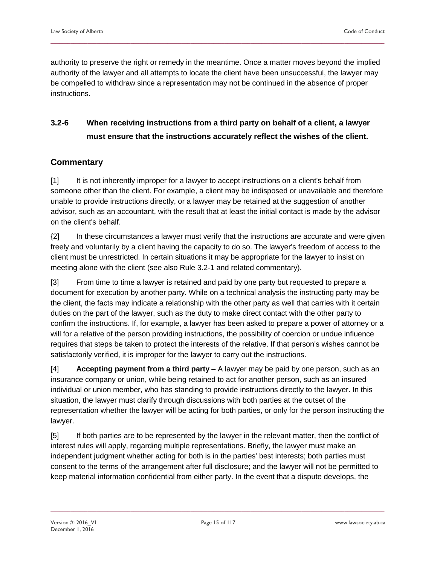authority to preserve the right or remedy in the meantime. Once a matter moves beyond the implied authority of the lawyer and all attempts to locate the client have been unsuccessful, the lawyer may be compelled to withdraw since a representation may not be continued in the absence of proper instructions.

**\_\_\_\_\_\_\_\_\_\_\_\_\_\_\_\_\_\_\_\_\_\_\_\_\_\_\_\_\_\_\_\_\_\_\_\_\_\_\_\_\_\_\_\_\_\_\_\_\_\_\_\_\_\_\_\_\_\_\_\_\_\_\_\_\_\_\_\_\_\_\_\_\_\_\_\_\_\_\_\_\_\_\_\_\_\_\_\_\_\_\_\_\_\_\_\_\_\_\_\_\_\_\_\_\_\_\_\_\_\_\_\_\_\_\_\_\_**

# **3.2-6 When receiving instructions from a third party on behalf of a client, a lawyer must ensure that the instructions accurately reflect the wishes of the client.**

# **Commentary**

[1] It is not inherently improper for a lawyer to accept instructions on a client's behalf from someone other than the client. For example, a client may be indisposed or unavailable and therefore unable to provide instructions directly, or a lawyer may be retained at the suggestion of another advisor, such as an accountant, with the result that at least the initial contact is made by the advisor on the client's behalf.

{2] In these circumstances a lawyer must verify that the instructions are accurate and were given freely and voluntarily by a client having the capacity to do so. The lawyer's freedom of access to the client must be unrestricted. In certain situations it may be appropriate for the lawyer to insist on meeting alone with the client (see also Rule 3.2-1 and related commentary).

[3] From time to time a lawyer is retained and paid by one party but requested to prepare a document for execution by another party. While on a technical analysis the instructing party may be the client, the facts may indicate a relationship with the other party as well that carries with it certain duties on the part of the lawyer, such as the duty to make direct contact with the other party to confirm the instructions. If, for example, a lawyer has been asked to prepare a power of attorney or a will for a relative of the person providing instructions, the possibility of coercion or undue influence requires that steps be taken to protect the interests of the relative. If that person's wishes cannot be satisfactorily verified, it is improper for the lawyer to carry out the instructions.

[4] **Accepting payment from a third party –** A lawyer may be paid by one person, such as an insurance company or union, while being retained to act for another person, such as an insured individual or union member, who has standing to provide instructions directly to the lawyer. In this situation, the lawyer must clarify through discussions with both parties at the outset of the representation whether the lawyer will be acting for both parties, or only for the person instructing the lawyer.

[5] If both parties are to be represented by the lawyer in the relevant matter, then the conflict of interest rules will apply, regarding multiple representations. Briefly, the lawyer must make an independent judgment whether acting for both is in the parties' best interests; both parties must consent to the terms of the arrangement after full disclosure; and the lawyer will not be permitted to keep material information confidential from either party. In the event that a dispute develops, the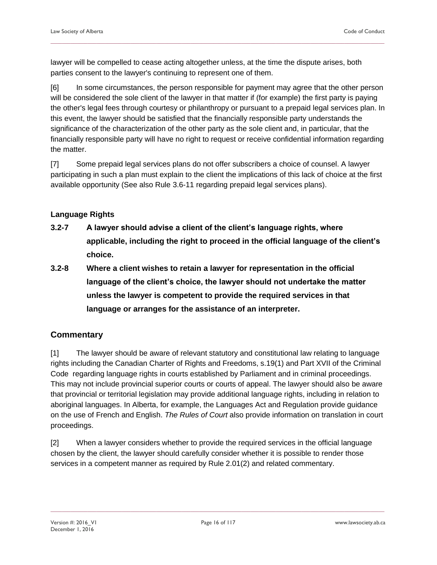lawyer will be compelled to cease acting altogether unless, at the time the dispute arises, both parties consent to the lawyer's continuing to represent one of them.

**\_\_\_\_\_\_\_\_\_\_\_\_\_\_\_\_\_\_\_\_\_\_\_\_\_\_\_\_\_\_\_\_\_\_\_\_\_\_\_\_\_\_\_\_\_\_\_\_\_\_\_\_\_\_\_\_\_\_\_\_\_\_\_\_\_\_\_\_\_\_\_\_\_\_\_\_\_\_\_\_\_\_\_\_\_\_\_\_\_\_\_\_\_\_\_\_\_\_\_\_\_\_\_\_\_\_\_\_\_\_\_\_\_\_\_\_\_**

[6] In some circumstances, the person responsible for payment may agree that the other person will be considered the sole client of the lawyer in that matter if (for example) the first party is paying the other's legal fees through courtesy or philanthropy or pursuant to a prepaid legal services plan. In this event, the lawyer should be satisfied that the financially responsible party understands the significance of the characterization of the other party as the sole client and, in particular, that the financially responsible party will have no right to request or receive confidential information regarding the matter.

[7] Some prepaid legal services plans do not offer subscribers a choice of counsel. A lawyer participating in such a plan must explain to the client the implications of this lack of choice at the first available opportunity (See also Rule 3.6-11 regarding prepaid legal services plans).

#### <span id="page-21-0"></span>**Language Rights**

- **3.2-7 A lawyer should advise a client of the client's language rights, where applicable, including the right to proceed in the official language of the client's choice.**
- **3.2-8 Where a client wishes to retain a lawyer for representation in the official language of the client's choice, the lawyer should not undertake the matter unless the lawyer is competent to provide the required services in that language or arranges for the assistance of an interpreter.**

## **Commentary**

[1] The lawyer should be aware of relevant statutory and constitutional law relating to language rights including the Canadian Charter of Rights and Freedoms, s.19(1) and Part XVII of the Criminal Code regarding language rights in courts established by Parliament and in criminal proceedings. This may not include provincial superior courts or courts of appeal. The lawyer should also be aware that provincial or territorial legislation may provide additional language rights, including in relation to aboriginal languages. In Alberta, for example, the Languages Act and Regulation provide guidance on the use of French and English. *The Rules of Court* also provide information on translation in court proceedings.

[2] When a lawyer considers whether to provide the required services in the official language chosen by the client, the lawyer should carefully consider whether it is possible to render those services in a competent manner as required by Rule 2.01(2) and related commentary.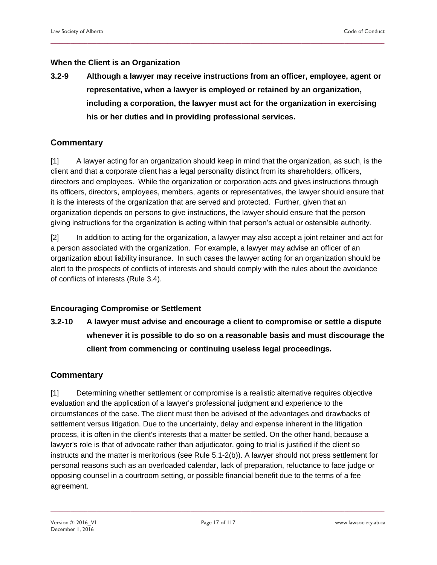#### <span id="page-22-0"></span>**When the Client is an Organization**

**3.2-9 Although a lawyer may receive instructions from an officer, employee, agent or representative, when a lawyer is employed or retained by an organization, including a corporation, the lawyer must act for the organization in exercising his or her duties and in providing professional services.**

**\_\_\_\_\_\_\_\_\_\_\_\_\_\_\_\_\_\_\_\_\_\_\_\_\_\_\_\_\_\_\_\_\_\_\_\_\_\_\_\_\_\_\_\_\_\_\_\_\_\_\_\_\_\_\_\_\_\_\_\_\_\_\_\_\_\_\_\_\_\_\_\_\_\_\_\_\_\_\_\_\_\_\_\_\_\_\_\_\_\_\_\_\_\_\_\_\_\_\_\_\_\_\_\_\_\_\_\_\_\_\_\_\_\_\_\_\_**

## **Commentary**

[1] A lawyer acting for an organization should keep in mind that the organization, as such, is the client and that a corporate client has a legal personality distinct from its shareholders, officers, directors and employees. While the organization or corporation acts and gives instructions through its officers, directors, employees, members, agents or representatives, the lawyer should ensure that it is the interests of the organization that are served and protected. Further, given that an organization depends on persons to give instructions, the lawyer should ensure that the person giving instructions for the organization is acting within that person's actual or ostensible authority.

[2] In addition to acting for the organization, a lawyer may also accept a joint retainer and act for a person associated with the organization. For example, a lawyer may advise an officer of an organization about liability insurance. In such cases the lawyer acting for an organization should be alert to the prospects of conflicts of interests and should comply with the rules about the avoidance of conflicts of interests (Rule 3.4).

#### <span id="page-22-1"></span>**Encouraging Compromise or Settlement**

**3.2-10 A lawyer must advise and encourage a client to compromise or settle a dispute whenever it is possible to do so on a reasonable basis and must discourage the client from commencing or continuing useless legal proceedings.**

## **Commentary**

[1] Determining whether settlement or compromise is a realistic alternative requires objective evaluation and the application of a lawyer's professional judgment and experience to the circumstances of the case. The client must then be advised of the advantages and drawbacks of settlement versus litigation. Due to the uncertainty, delay and expense inherent in the litigation process, it is often in the client's interests that a matter be settled. On the other hand, because a lawyer's role is that of advocate rather than adjudicator, going to trial is justified if the client so instructs and the matter is meritorious (see Rule 5.1-2(b)). A lawyer should not press settlement for personal reasons such as an overloaded calendar, lack of preparation, reluctance to face judge or opposing counsel in a courtroom setting, or possible financial benefit due to the terms of a fee agreement.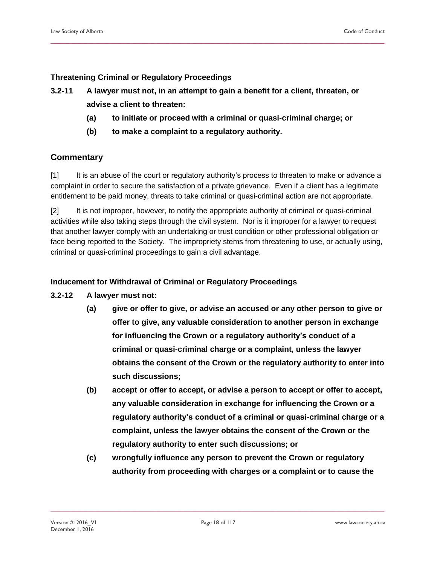#### <span id="page-23-0"></span>**Threatening Criminal or Regulatory Proceedings**

- **3.2-11 A lawyer must not, in an attempt to gain a benefit for a client, threaten, or advise a client to threaten:**
	- **(a) to initiate or proceed with a criminal or quasi-criminal charge; or**

**\_\_\_\_\_\_\_\_\_\_\_\_\_\_\_\_\_\_\_\_\_\_\_\_\_\_\_\_\_\_\_\_\_\_\_\_\_\_\_\_\_\_\_\_\_\_\_\_\_\_\_\_\_\_\_\_\_\_\_\_\_\_\_\_\_\_\_\_\_\_\_\_\_\_\_\_\_\_\_\_\_\_\_\_\_\_\_\_\_\_\_\_\_\_\_\_\_\_\_\_\_\_\_\_\_\_\_\_\_\_\_\_\_\_\_\_\_**

**(b) to make a complaint to a regulatory authority.**

#### **Commentary**

[1] It is an abuse of the court or regulatory authority's process to threaten to make or advance a complaint in order to secure the satisfaction of a private grievance. Even if a client has a legitimate entitlement to be paid money, threats to take criminal or quasi-criminal action are not appropriate.

[2] It is not improper, however, to notify the appropriate authority of criminal or quasi-criminal activities while also taking steps through the civil system. Nor is it improper for a lawyer to request that another lawyer comply with an undertaking or trust condition or other professional obligation or face being reported to the Society. The impropriety stems from threatening to use, or actually using, criminal or quasi-criminal proceedings to gain a civil advantage.

#### <span id="page-23-1"></span>**Inducement for Withdrawal of Criminal or Regulatory Proceedings**

#### **3.2-12 A lawyer must not:**

- **(a) give or offer to give, or advise an accused or any other person to give or offer to give, any valuable consideration to another person in exchange for influencing the Crown or a regulatory authority's conduct of a criminal or quasi-criminal charge or a complaint, unless the lawyer obtains the consent of the Crown or the regulatory authority to enter into such discussions;**
- **(b) accept or offer to accept, or advise a person to accept or offer to accept, any valuable consideration in exchange for influencing the Crown or a regulatory authority's conduct of a criminal or quasi-criminal charge or a complaint, unless the lawyer obtains the consent of the Crown or the regulatory authority to enter such discussions; or**
- **(c) wrongfully influence any person to prevent the Crown or regulatory authority from proceeding with charges or a complaint or to cause the**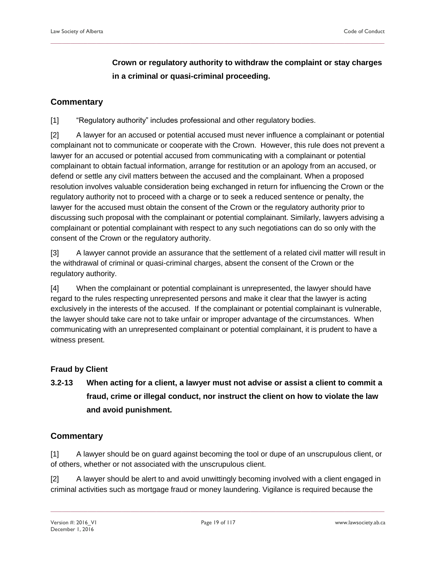# **Crown or regulatory authority to withdraw the complaint or stay charges in a criminal or quasi-criminal proceeding.**

## **Commentary**

[1] "Regulatory authority" includes professional and other regulatory bodies.

[2] A lawyer for an accused or potential accused must never influence a complainant or potential complainant not to communicate or cooperate with the Crown. However, this rule does not prevent a lawyer for an accused or potential accused from communicating with a complainant or potential complainant to obtain factual information, arrange for restitution or an apology from an accused, or defend or settle any civil matters between the accused and the complainant. When a proposed resolution involves valuable consideration being exchanged in return for influencing the Crown or the regulatory authority not to proceed with a charge or to seek a reduced sentence or penalty, the lawyer for the accused must obtain the consent of the Crown or the regulatory authority prior to discussing such proposal with the complainant or potential complainant. Similarly, lawyers advising a complainant or potential complainant with respect to any such negotiations can do so only with the consent of the Crown or the regulatory authority.

**\_\_\_\_\_\_\_\_\_\_\_\_\_\_\_\_\_\_\_\_\_\_\_\_\_\_\_\_\_\_\_\_\_\_\_\_\_\_\_\_\_\_\_\_\_\_\_\_\_\_\_\_\_\_\_\_\_\_\_\_\_\_\_\_\_\_\_\_\_\_\_\_\_\_\_\_\_\_\_\_\_\_\_\_\_\_\_\_\_\_\_\_\_\_\_\_\_\_\_\_\_\_\_\_\_\_\_\_\_\_\_\_\_\_\_\_\_**

[3] A lawyer cannot provide an assurance that the settlement of a related civil matter will result in the withdrawal of criminal or quasi-criminal charges, absent the consent of the Crown or the regulatory authority.

[4] When the complainant or potential complainant is unrepresented, the lawyer should have regard to the rules respecting unrepresented persons and make it clear that the lawyer is acting exclusively in the interests of the accused. If the complainant or potential complainant is vulnerable, the lawyer should take care not to take unfair or improper advantage of the circumstances. When communicating with an unrepresented complainant or potential complainant, it is prudent to have a witness present.

## <span id="page-24-0"></span>**Fraud by Client**

# **3.2-13 When acting for a client, a lawyer must not advise or assist a client to commit a fraud, crime or illegal conduct, nor instruct the client on how to violate the law and avoid punishment.**

# **Commentary**

[1] A lawyer should be on guard against becoming the tool or dupe of an unscrupulous client, or of others, whether or not associated with the unscrupulous client.

[2] A lawyer should be alert to and avoid unwittingly becoming involved with a client engaged in criminal activities such as mortgage fraud or money laundering. Vigilance is required because the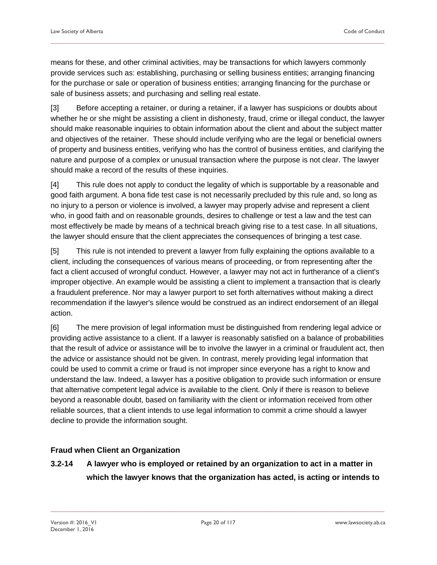means for these, and other criminal activities, may be transactions for which lawyers commonly provide services such as: establishing, purchasing or selling business entities; arranging financing for the purchase or sale or operation of business entities; arranging financing for the purchase or sale of business assets; and purchasing and selling real estate.

**\_\_\_\_\_\_\_\_\_\_\_\_\_\_\_\_\_\_\_\_\_\_\_\_\_\_\_\_\_\_\_\_\_\_\_\_\_\_\_\_\_\_\_\_\_\_\_\_\_\_\_\_\_\_\_\_\_\_\_\_\_\_\_\_\_\_\_\_\_\_\_\_\_\_\_\_\_\_\_\_\_\_\_\_\_\_\_\_\_\_\_\_\_\_\_\_\_\_\_\_\_\_\_\_\_\_\_\_\_\_\_\_\_\_\_\_\_**

[3] Before accepting a retainer, or during a retainer, if a lawyer has suspicions or doubts about whether he or she might be assisting a client in dishonesty, fraud, crime or illegal conduct, the lawyer should make reasonable inquiries to obtain information about the client and about the subject matter and objectives of the retainer. These should include verifying who are the legal or beneficial owners of property and business entities, verifying who has the control of business entities, and clarifying the nature and purpose of a complex or unusual transaction where the purpose is not clear. The lawyer should make a record of the results of these inquiries.

[4] This rule does not apply to conduct the legality of which is supportable by a reasonable and good faith argument. A bona fide test case is not necessarily precluded by this rule and, so long as no injury to a person or violence is involved, a lawyer may properly advise and represent a client who, in good faith and on reasonable grounds, desires to challenge or test a law and the test can most effectively be made by means of a technical breach giving rise to a test case. In all situations, the lawyer should ensure that the client appreciates the consequences of bringing a test case.

[5] This rule is not intended to prevent a lawyer from fully explaining the options available to a client, including the consequences of various means of proceeding, or from representing after the fact a client accused of wrongful conduct. However, a lawyer may not act in furtherance of a client's improper objective. An example would be assisting a client to implement a transaction that is clearly a fraudulent preference. Nor may a lawyer purport to set forth alternatives without making a direct recommendation if the lawyer's silence would be construed as an indirect endorsement of an illegal action.

[6] The mere provision of legal information must be distinguished from rendering legal advice or providing active assistance to a client. If a lawyer is reasonably satisfied on a balance of probabilities that the result of advice or assistance will be to involve the lawyer in a criminal or fraudulent act, then the advice or assistance should not be given. In contrast, merely providing legal information that could be used to commit a crime or fraud is not improper since everyone has a right to know and understand the law. Indeed, a lawyer has a positive obligation to provide such information or ensure that alternative competent legal advice is available to the client. Only if there is reason to believe beyond a reasonable doubt, based on familiarity with the client or information received from other reliable sources, that a client intends to use legal information to commit a crime should a lawyer decline to provide the information sought.

#### <span id="page-25-0"></span>**Fraud when Client an Organization**

**3.2-14 A lawyer who is employed or retained by an organization to act in a matter in which the lawyer knows that the organization has acted, is acting or intends to**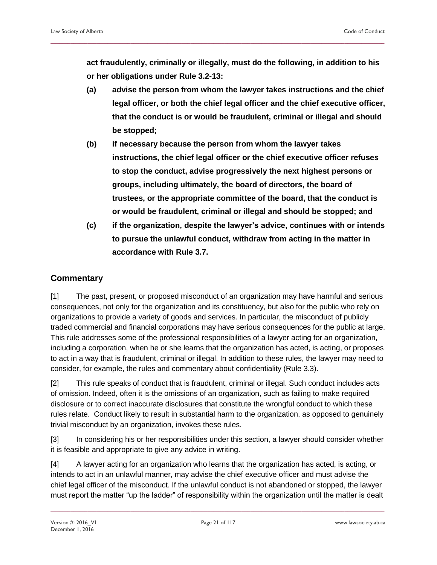**act fraudulently, criminally or illegally, must do the following, in addition to his or her obligations under Rule 3.2-13:**

**\_\_\_\_\_\_\_\_\_\_\_\_\_\_\_\_\_\_\_\_\_\_\_\_\_\_\_\_\_\_\_\_\_\_\_\_\_\_\_\_\_\_\_\_\_\_\_\_\_\_\_\_\_\_\_\_\_\_\_\_\_\_\_\_\_\_\_\_\_\_\_\_\_\_\_\_\_\_\_\_\_\_\_\_\_\_\_\_\_\_\_\_\_\_\_\_\_\_\_\_\_\_\_\_\_\_\_\_\_\_\_\_\_\_\_\_\_**

- **(a) advise the person from whom the lawyer takes instructions and the chief legal officer, or both the chief legal officer and the chief executive officer, that the conduct is or would be fraudulent, criminal or illegal and should be stopped;**
- **(b) if necessary because the person from whom the lawyer takes instructions, the chief legal officer or the chief executive officer refuses to stop the conduct, advise progressively the next highest persons or groups, including ultimately, the board of directors, the board of trustees, or the appropriate committee of the board, that the conduct is or would be fraudulent, criminal or illegal and should be stopped; and**
- **(c) if the organization, despite the lawyer's advice, continues with or intends to pursue the unlawful conduct, withdraw from acting in the matter in accordance with Rule 3.7.**

# **Commentary**

[1] The past, present, or proposed misconduct of an organization may have harmful and serious consequences, not only for the organization and its constituency, but also for the public who rely on organizations to provide a variety of goods and services. In particular, the misconduct of publicly traded commercial and financial corporations may have serious consequences for the public at large. This rule addresses some of the professional responsibilities of a lawyer acting for an organization, including a corporation, when he or she learns that the organization has acted, is acting, or proposes to act in a way that is fraudulent, criminal or illegal. In addition to these rules, the lawyer may need to consider, for example, the rules and commentary about confidentiality (Rule 3.3).

[2] This rule speaks of conduct that is fraudulent, criminal or illegal. Such conduct includes acts of omission. Indeed, often it is the omissions of an organization, such as failing to make required disclosure or to correct inaccurate disclosures that constitute the wrongful conduct to which these rules relate. Conduct likely to result in substantial harm to the organization, as opposed to genuinely trivial misconduct by an organization, invokes these rules.

[3] In considering his or her responsibilities under this section, a lawyer should consider whether it is feasible and appropriate to give any advice in writing.

[4] A lawyer acting for an organization who learns that the organization has acted, is acting, or intends to act in an unlawful manner, may advise the chief executive officer and must advise the chief legal officer of the misconduct. If the unlawful conduct is not abandoned or stopped, the lawyer must report the matter "up the ladder" of responsibility within the organization until the matter is dealt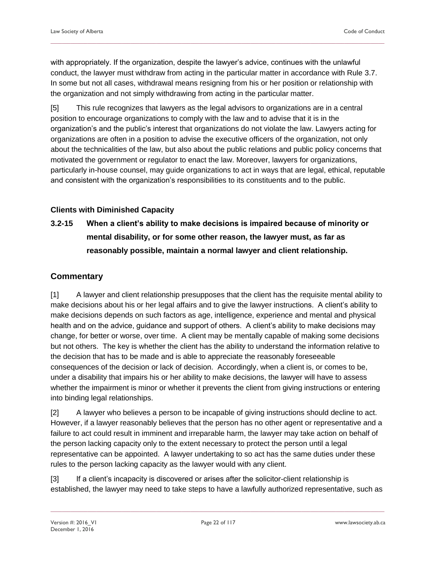with appropriately. If the organization, despite the lawyer's advice, continues with the unlawful conduct, the lawyer must withdraw from acting in the particular matter in accordance with Rule 3.7. In some but not all cases, withdrawal means resigning from his or her position or relationship with the organization and not simply withdrawing from acting in the particular matter.

**\_\_\_\_\_\_\_\_\_\_\_\_\_\_\_\_\_\_\_\_\_\_\_\_\_\_\_\_\_\_\_\_\_\_\_\_\_\_\_\_\_\_\_\_\_\_\_\_\_\_\_\_\_\_\_\_\_\_\_\_\_\_\_\_\_\_\_\_\_\_\_\_\_\_\_\_\_\_\_\_\_\_\_\_\_\_\_\_\_\_\_\_\_\_\_\_\_\_\_\_\_\_\_\_\_\_\_\_\_\_\_\_\_\_\_\_\_**

[5] This rule recognizes that lawyers as the legal advisors to organizations are in a central position to encourage organizations to comply with the law and to advise that it is in the organization's and the public's interest that organizations do not violate the law. Lawyers acting for organizations are often in a position to advise the executive officers of the organization, not only about the technicalities of the law, but also about the public relations and public policy concerns that motivated the government or regulator to enact the law. Moreover, lawyers for organizations, particularly in-house counsel, may guide organizations to act in ways that are legal, ethical, reputable and consistent with the organization's responsibilities to its constituents and to the public.

#### <span id="page-27-0"></span>**Clients with Diminished Capacity**

**3.2-15 When a client's ability to make decisions is impaired because of minority or mental disability, or for some other reason, the lawyer must, as far as reasonably possible, maintain a normal lawyer and client relationship.**

#### **Commentary**

[1] A lawyer and client relationship presupposes that the client has the requisite mental ability to make decisions about his or her legal affairs and to give the lawyer instructions. A client's ability to make decisions depends on such factors as age, intelligence, experience and mental and physical health and on the advice, guidance and support of others. A client's ability to make decisions may change, for better or worse, over time. A client may be mentally capable of making some decisions but not others. The key is whether the client has the ability to understand the information relative to the decision that has to be made and is able to appreciate the reasonably foreseeable consequences of the decision or lack of decision. Accordingly, when a client is, or comes to be, under a disability that impairs his or her ability to make decisions, the lawyer will have to assess whether the impairment is minor or whether it prevents the client from giving instructions or entering into binding legal relationships.

[2] A lawyer who believes a person to be incapable of giving instructions should decline to act. However, if a lawyer reasonably believes that the person has no other agent or representative and a failure to act could result in imminent and irreparable harm, the lawyer may take action on behalf of the person lacking capacity only to the extent necessary to protect the person until a legal representative can be appointed. A lawyer undertaking to so act has the same duties under these rules to the person lacking capacity as the lawyer would with any client.

[3] If a client's incapacity is discovered or arises after the solicitor-client relationship is established, the lawyer may need to take steps to have a lawfully authorized representative, such as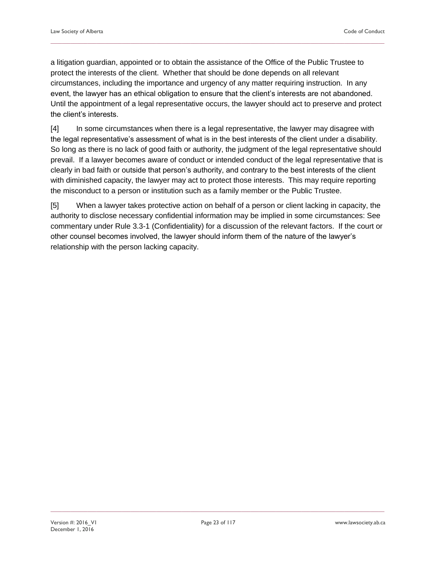a litigation guardian, appointed or to obtain the assistance of the Office of the Public Trustee to protect the interests of the client. Whether that should be done depends on all relevant circumstances, including the importance and urgency of any matter requiring instruction. In any event, the lawyer has an ethical obligation to ensure that the client's interests are not abandoned. Until the appointment of a legal representative occurs, the lawyer should act to preserve and protect the client's interests.

**\_\_\_\_\_\_\_\_\_\_\_\_\_\_\_\_\_\_\_\_\_\_\_\_\_\_\_\_\_\_\_\_\_\_\_\_\_\_\_\_\_\_\_\_\_\_\_\_\_\_\_\_\_\_\_\_\_\_\_\_\_\_\_\_\_\_\_\_\_\_\_\_\_\_\_\_\_\_\_\_\_\_\_\_\_\_\_\_\_\_\_\_\_\_\_\_\_\_\_\_\_\_\_\_\_\_\_\_\_\_\_\_\_\_\_\_\_**

[4] In some circumstances when there is a legal representative, the lawyer may disagree with the legal representative's assessment of what is in the best interests of the client under a disability. So long as there is no lack of good faith or authority, the judgment of the legal representative should prevail. If a lawyer becomes aware of conduct or intended conduct of the legal representative that is clearly in bad faith or outside that person's authority, and contrary to the best interests of the client with diminished capacity, the lawyer may act to protect those interests. This may require reporting the misconduct to a person or institution such as a family member or the Public Trustee.

[5] When a lawyer takes protective action on behalf of a person or client lacking in capacity, the authority to disclose necessary confidential information may be implied in some circumstances: See commentary under Rule 3.3-1 (Confidentiality) for a discussion of the relevant factors. If the court or other counsel becomes involved, the lawyer should inform them of the nature of the lawyer's relationship with the person lacking capacity.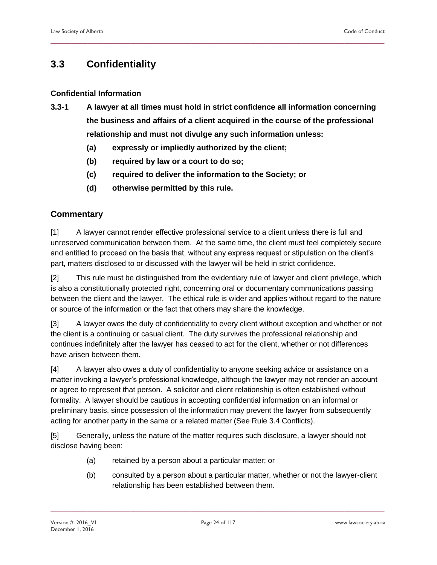# <span id="page-29-0"></span>**3.3 Confidentiality**

#### <span id="page-29-1"></span>**Confidential Information**

**3.3-1 A lawyer at all times must hold in strict confidence all information concerning the business and affairs of a client acquired in the course of the professional relationship and must not divulge any such information unless:**

**\_\_\_\_\_\_\_\_\_\_\_\_\_\_\_\_\_\_\_\_\_\_\_\_\_\_\_\_\_\_\_\_\_\_\_\_\_\_\_\_\_\_\_\_\_\_\_\_\_\_\_\_\_\_\_\_\_\_\_\_\_\_\_\_\_\_\_\_\_\_\_\_\_\_\_\_\_\_\_\_\_\_\_\_\_\_\_\_\_\_\_\_\_\_\_\_\_\_\_\_\_\_\_\_\_\_\_\_\_\_\_\_\_\_\_\_\_**

- **(a) expressly or impliedly authorized by the client;**
- **(b) required by law or a court to do so;**
- **(c) required to deliver the information to the Society; or**
- **(d) otherwise permitted by this rule.**

## **Commentary**

[1] A lawyer cannot render effective professional service to a client unless there is full and unreserved communication between them. At the same time, the client must feel completely secure and entitled to proceed on the basis that, without any express request or stipulation on the client's part, matters disclosed to or discussed with the lawyer will be held in strict confidence.

[2] This rule must be distinguished from the evidentiary rule of lawyer and client privilege, which is also a constitutionally protected right, concerning oral or documentary communications passing between the client and the lawyer. The ethical rule is wider and applies without regard to the nature or source of the information or the fact that others may share the knowledge.

[3] A lawyer owes the duty of confidentiality to every client without exception and whether or not the client is a continuing or casual client. The duty survives the professional relationship and continues indefinitely after the lawyer has ceased to act for the client, whether or not differences have arisen between them.

[4] A lawyer also owes a duty of confidentiality to anyone seeking advice or assistance on a matter invoking a lawyer's professional knowledge, although the lawyer may not render an account or agree to represent that person. A solicitor and client relationship is often established without formality. A lawyer should be cautious in accepting confidential information on an informal or preliminary basis, since possession of the information may prevent the lawyer from subsequently acting for another party in the same or a related matter (See Rule 3.4 Conflicts).

[5] Generally, unless the nature of the matter requires such disclosure, a lawyer should not disclose having been:

- (a) retained by a person about a particular matter; or
- (b) consulted by a person about a particular matter, whether or not the lawyer-client relationship has been established between them.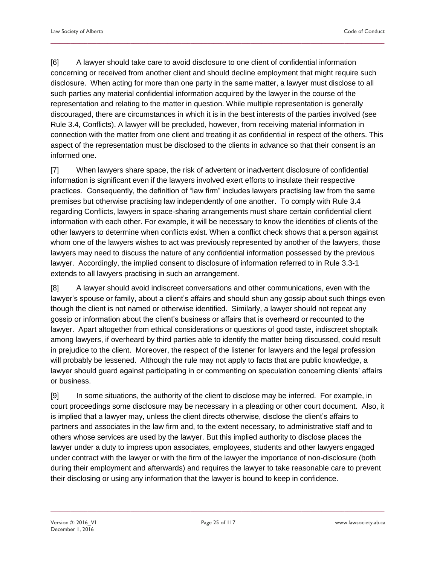[6] A lawyer should take care to avoid disclosure to one client of confidential information concerning or received from another client and should decline employment that might require such disclosure. When acting for more than one party in the same matter, a lawyer must disclose to all such parties any material confidential information acquired by the lawyer in the course of the representation and relating to the matter in question. While multiple representation is generally discouraged, there are circumstances in which it is in the best interests of the parties involved (see Rule 3.4, Conflicts). A lawyer will be precluded, however, from receiving material information in connection with the matter from one client and treating it as confidential in respect of the others. This aspect of the representation must be disclosed to the clients in advance so that their consent is an informed one.

**\_\_\_\_\_\_\_\_\_\_\_\_\_\_\_\_\_\_\_\_\_\_\_\_\_\_\_\_\_\_\_\_\_\_\_\_\_\_\_\_\_\_\_\_\_\_\_\_\_\_\_\_\_\_\_\_\_\_\_\_\_\_\_\_\_\_\_\_\_\_\_\_\_\_\_\_\_\_\_\_\_\_\_\_\_\_\_\_\_\_\_\_\_\_\_\_\_\_\_\_\_\_\_\_\_\_\_\_\_\_\_\_\_\_\_\_\_**

[7] When lawyers share space, the risk of advertent or inadvertent disclosure of confidential information is significant even if the lawyers involved exert efforts to insulate their respective practices. Consequently, the definition of "law firm" includes lawyers practising law from the same premises but otherwise practising law independently of one another. To comply with Rule 3.4 regarding Conflicts, lawyers in space-sharing arrangements must share certain confidential client information with each other. For example, it will be necessary to know the identities of clients of the other lawyers to determine when conflicts exist. When a conflict check shows that a person against whom one of the lawyers wishes to act was previously represented by another of the lawyers, those lawyers may need to discuss the nature of any confidential information possessed by the previous lawyer. Accordingly, the implied consent to disclosure of information referred to in Rule 3.3-1 extends to all lawyers practising in such an arrangement.

[8] A lawyer should avoid indiscreet conversations and other communications, even with the lawyer's spouse or family, about a client's affairs and should shun any gossip about such things even though the client is not named or otherwise identified. Similarly, a lawyer should not repeat any gossip or information about the client's business or affairs that is overheard or recounted to the lawyer. Apart altogether from ethical considerations or questions of good taste, indiscreet shoptalk among lawyers, if overheard by third parties able to identify the matter being discussed, could result in prejudice to the client. Moreover, the respect of the listener for lawyers and the legal profession will probably be lessened. Although the rule may not apply to facts that are public knowledge, a lawyer should guard against participating in or commenting on speculation concerning clients' affairs or business.

[9] In some situations, the authority of the client to disclose may be inferred. For example, in court proceedings some disclosure may be necessary in a pleading or other court document. Also, it is implied that a lawyer may, unless the client directs otherwise, disclose the client's affairs to partners and associates in the law firm and, to the extent necessary, to administrative staff and to others whose services are used by the lawyer. But this implied authority to disclose places the lawyer under a duty to impress upon associates, employees, students and other lawyers engaged under contract with the lawyer or with the firm of the lawyer the importance of non-disclosure (both during their employment and afterwards) and requires the lawyer to take reasonable care to prevent their disclosing or using any information that the lawyer is bound to keep in confidence.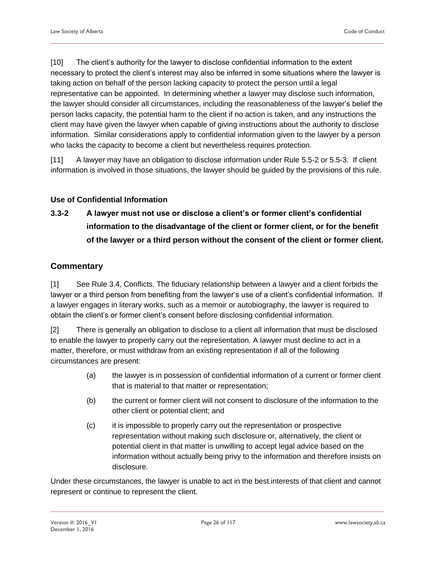[10] The client's authority for the lawyer to disclose confidential information to the extent necessary to protect the client's interest may also be inferred in some situations where the lawyer is taking action on behalf of the person lacking capacity to protect the person until a legal representative can be appointed. In determining whether a lawyer may disclose such information, the lawyer should consider all circumstances, including the reasonableness of the lawyer's belief the person lacks capacity, the potential harm to the client if no action is taken, and any instructions the client may have given the lawyer when capable of giving instructions about the authority to disclose information. Similar considerations apply to confidential information given to the lawyer by a person who lacks the capacity to become a client but nevertheless requires protection.

**\_\_\_\_\_\_\_\_\_\_\_\_\_\_\_\_\_\_\_\_\_\_\_\_\_\_\_\_\_\_\_\_\_\_\_\_\_\_\_\_\_\_\_\_\_\_\_\_\_\_\_\_\_\_\_\_\_\_\_\_\_\_\_\_\_\_\_\_\_\_\_\_\_\_\_\_\_\_\_\_\_\_\_\_\_\_\_\_\_\_\_\_\_\_\_\_\_\_\_\_\_\_\_\_\_\_\_\_\_\_\_\_\_\_\_\_\_**

[11] A lawyer may have an obligation to disclose information under Rule 5.5-2 or 5.5-3. If client information is involved in those situations, the lawyer should be guided by the provisions of this rule.

#### <span id="page-31-0"></span>**Use of Confidential Information**

**3.3-2 A lawyer must not use or disclose a client's or former client's confidential information to the disadvantage of the client or former client, or for the benefit of the lawyer or a third person without the consent of the client or former client.**

#### **Commentary**

[1] See Rule 3.4, Conflicts. The fiduciary relationship between a lawyer and a client forbids the lawyer or a third person from benefiting from the lawyer's use of a client's confidential information. If a lawyer engages in literary works, such as a memoir or autobiography, the lawyer is required to obtain the client's or former client's consent before disclosing confidential information.

[2] There is generally an obligation to disclose to a client all information that must be disclosed to enable the lawyer to properly carry out the representation. A lawyer must decline to act in a matter, therefore, or must withdraw from an existing representation if all of the following circumstances are present:

- (a) the lawyer is in possession of confidential information of a current or former client that is material to that matter or representation;
- (b) the current or former client will not consent to disclosure of the information to the other client or potential client; and
- (c) it is impossible to properly carry out the representation or prospective representation without making such disclosure or, alternatively, the client or potential client in that matter is unwilling to accept legal advice based on the information without actually being privy to the information and therefore insists on disclosure.

Under these circumstances, the lawyer is unable to act in the best interests of that client and cannot represent or continue to represent the client.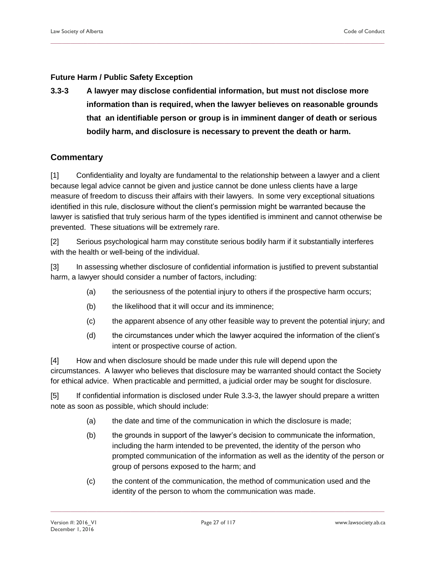#### <span id="page-32-0"></span>**Future Harm / Public Safety Exception**

**3.3-3 A lawyer may disclose confidential information, but must not disclose more information than is required, when the lawyer believes on reasonable grounds that an identifiable person or group is in imminent danger of death or serious bodily harm, and disclosure is necessary to prevent the death or harm.**

**\_\_\_\_\_\_\_\_\_\_\_\_\_\_\_\_\_\_\_\_\_\_\_\_\_\_\_\_\_\_\_\_\_\_\_\_\_\_\_\_\_\_\_\_\_\_\_\_\_\_\_\_\_\_\_\_\_\_\_\_\_\_\_\_\_\_\_\_\_\_\_\_\_\_\_\_\_\_\_\_\_\_\_\_\_\_\_\_\_\_\_\_\_\_\_\_\_\_\_\_\_\_\_\_\_\_\_\_\_\_\_\_\_\_\_\_\_**

#### **Commentary**

[1] Confidentiality and loyalty are fundamental to the relationship between a lawyer and a client because legal advice cannot be given and justice cannot be done unless clients have a large measure of freedom to discuss their affairs with their lawyers. In some very exceptional situations identified in this rule, disclosure without the client's permission might be warranted because the lawyer is satisfied that truly serious harm of the types identified is imminent and cannot otherwise be prevented. These situations will be extremely rare.

[2] Serious psychological harm may constitute serious bodily harm if it substantially interferes with the health or well-being of the individual.

[3] In assessing whether disclosure of confidential information is justified to prevent substantial harm, a lawyer should consider a number of factors, including:

- (a) the seriousness of the potential injury to others if the prospective harm occurs;
- (b) the likelihood that it will occur and its imminence;
- (c) the apparent absence of any other feasible way to prevent the potential injury; and
- (d) the circumstances under which the lawyer acquired the information of the client's intent or prospective course of action.

[4] How and when disclosure should be made under this rule will depend upon the circumstances. A lawyer who believes that disclosure may be warranted should contact the Society for ethical advice. When practicable and permitted, a judicial order may be sought for disclosure.

[5] If confidential information is disclosed under Rule 3.3-3, the lawyer should prepare a written note as soon as possible, which should include:

- (a) the date and time of the communication in which the disclosure is made;
- (b) the grounds in support of the lawyer's decision to communicate the information, including the harm intended to be prevented, the identity of the person who prompted communication of the information as well as the identity of the person or group of persons exposed to the harm; and
- (c) the content of the communication, the method of communication used and the identity of the person to whom the communication was made.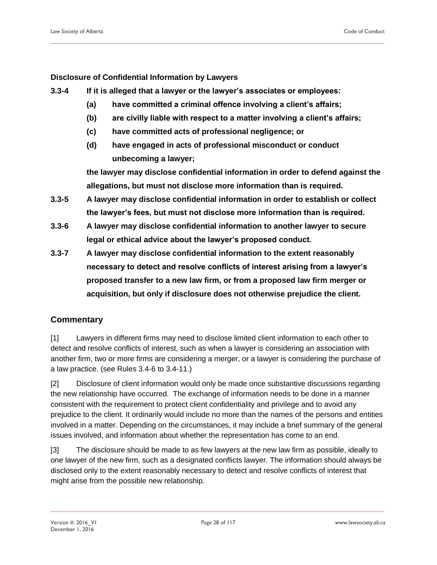#### <span id="page-33-0"></span>**Disclosure of Confidential Information by Lawyers**

- **3.3-4 If it is alleged that a lawyer or the lawyer's associates or employees:** 
	- **(a) have committed a criminal offence involving a client's affairs;**

**\_\_\_\_\_\_\_\_\_\_\_\_\_\_\_\_\_\_\_\_\_\_\_\_\_\_\_\_\_\_\_\_\_\_\_\_\_\_\_\_\_\_\_\_\_\_\_\_\_\_\_\_\_\_\_\_\_\_\_\_\_\_\_\_\_\_\_\_\_\_\_\_\_\_\_\_\_\_\_\_\_\_\_\_\_\_\_\_\_\_\_\_\_\_\_\_\_\_\_\_\_\_\_\_\_\_\_\_\_\_\_\_\_\_\_\_\_**

- **(b) are civilly liable with respect to a matter involving a client's affairs;**
- **(c) have committed acts of professional negligence; or**
- **(d) have engaged in acts of professional misconduct or conduct unbecoming a lawyer;**

**the lawyer may disclose confidential information in order to defend against the allegations, but must not disclose more information than is required.** 

- **3.3-5 A lawyer may disclose confidential information in order to establish or collect the lawyer's fees, but must not disclose more information than is required.**
- **3.3-6 A lawyer may disclose confidential information to another lawyer to secure legal or ethical advice about the lawyer's proposed conduct.**
- **3.3-7 A lawyer may disclose confidential information to the extent reasonably necessary to detect and resolve conflicts of interest arising from a lawyer's proposed transfer to a new law firm, or from a proposed law firm merger or acquisition, but only if disclosure does not otherwise prejudice the client.**

## **Commentary**

[1] Lawyers in different firms may need to disclose limited client information to each other to detect and resolve conflicts of interest, such as when a lawyer is considering an association with another firm, two or more firms are considering a merger, or a lawyer is considering the purchase of a law practice. (see Rules 3.4-6 to 3.4-11.)

[2] Disclosure of client information would only be made once substantive discussions regarding the new relationship have occurred. The exchange of information needs to be done in a manner consistent with the requirement to protect client confidentiality and privilege and to avoid any prejudice to the client. It ordinarily would include no more than the names of the persons and entities involved in a matter. Depending on the circumstances, it may include a brief summary of the general issues involved, and information about whether the representation has come to an end.

[3] The disclosure should be made to as few lawyers at the new law firm as possible, ideally to one lawyer of the new firm, such as a designated conflicts lawyer. The information should always be disclosed only to the extent reasonably necessary to detect and resolve conflicts of interest that might arise from the possible new relationship.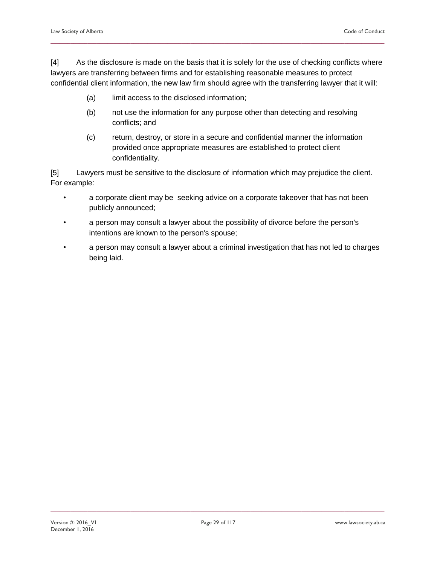[4] As the disclosure is made on the basis that it is solely for the use of checking conflicts where lawyers are transferring between firms and for establishing reasonable measures to protect confidential client information, the new law firm should agree with the transferring lawyer that it will:

**\_\_\_\_\_\_\_\_\_\_\_\_\_\_\_\_\_\_\_\_\_\_\_\_\_\_\_\_\_\_\_\_\_\_\_\_\_\_\_\_\_\_\_\_\_\_\_\_\_\_\_\_\_\_\_\_\_\_\_\_\_\_\_\_\_\_\_\_\_\_\_\_\_\_\_\_\_\_\_\_\_\_\_\_\_\_\_\_\_\_\_\_\_\_\_\_\_\_\_\_\_\_\_\_\_\_\_\_\_\_\_\_\_\_\_\_\_**

- (a) limit access to the disclosed information;
- (b) not use the information for any purpose other than detecting and resolving conflicts; and
- (c) return, destroy, or store in a secure and confidential manner the information provided once appropriate measures are established to protect client confidentiality.

[5] Lawyers must be sensitive to the disclosure of information which may prejudice the client. For example:

- a corporate client may be seeking advice on a corporate takeover that has not been publicly announced;
- a person may consult a lawyer about the possibility of divorce before the person's intentions are known to the person's spouse;
- a person may consult a lawyer about a criminal investigation that has not led to charges being laid.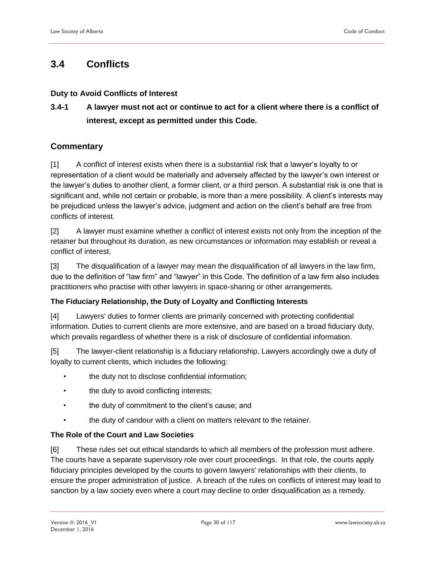# <span id="page-35-0"></span>**3.4 Conflicts**

#### <span id="page-35-1"></span>**Duty to Avoid Conflicts of Interest**

**3.4-1 A lawyer must not act or continue to act for a client where there is a conflict of interest, except as permitted under this Code.**

**\_\_\_\_\_\_\_\_\_\_\_\_\_\_\_\_\_\_\_\_\_\_\_\_\_\_\_\_\_\_\_\_\_\_\_\_\_\_\_\_\_\_\_\_\_\_\_\_\_\_\_\_\_\_\_\_\_\_\_\_\_\_\_\_\_\_\_\_\_\_\_\_\_\_\_\_\_\_\_\_\_\_\_\_\_\_\_\_\_\_\_\_\_\_\_\_\_\_\_\_\_\_\_\_\_\_\_\_\_\_\_\_\_\_\_\_\_**

## **Commentary**

[1] A conflict of interest exists when there is a substantial risk that a lawyer's loyalty to or representation of a client would be materially and adversely affected by the lawyer's own interest or the lawyer's duties to another client, a former client, or a third person. A substantial risk is one that is significant and, while not certain or probable, is more than a mere possibility. A client's interests may be prejudiced unless the lawyer's advice, judgment and action on the client's behalf are free from conflicts of interest.

[2] A lawyer must examine whether a conflict of interest exists not only from the inception of the retainer but throughout its duration, as new circumstances or information may establish or reveal a conflict of interest.

[3] The disqualification of a lawyer may mean the disqualification of all lawyers in the law firm, due to the definition of "law firm" and "lawyer" in this Code. The definition of a law firm also includes practitioners who practise with other lawyers in space-sharing or other arrangements.

#### **The Fiduciary Relationship, the Duty of Loyalty and Conflicting Interests**

[4] Lawyers' duties to former clients are primarily concerned with protecting confidential information. Duties to current clients are more extensive, and are based on a broad fiduciary duty, which prevails regardless of whether there is a risk of disclosure of confidential information.

[5] The lawyer-client relationship is a fiduciary relationship. Lawyers accordingly owe a duty of loyalty to current clients, which includes the following:

- the duty not to disclose confidential information;
- the duty to avoid conflicting interests;
- the duty of commitment to the client's cause; and
- the duty of candour with a client on matters relevant to the retainer.

#### **The Role of the Court and Law Societies**

[6] These rules set out ethical standards to which all members of the profession must adhere. The courts have a separate supervisory role over court proceedings. In that role, the courts apply fiduciary principles developed by the courts to govern lawyers' relationships with their clients, to ensure the proper administration of justice. A breach of the rules on conflicts of interest may lead to sanction by a law society even where a court may decline to order disqualification as a remedy.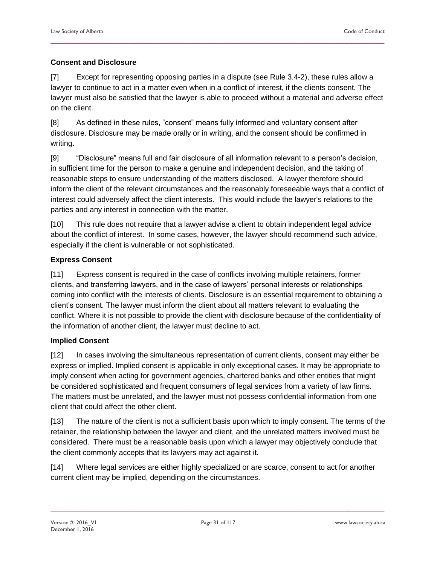### **Consent and Disclosure**

[7] Except for representing opposing parties in a dispute (see Rule 3.4-2), these rules allow a lawyer to continue to act in a matter even when in a conflict of interest, if the clients consent. The lawyer must also be satisfied that the lawyer is able to proceed without a material and adverse effect on the client.

**\_\_\_\_\_\_\_\_\_\_\_\_\_\_\_\_\_\_\_\_\_\_\_\_\_\_\_\_\_\_\_\_\_\_\_\_\_\_\_\_\_\_\_\_\_\_\_\_\_\_\_\_\_\_\_\_\_\_\_\_\_\_\_\_\_\_\_\_\_\_\_\_\_\_\_\_\_\_\_\_\_\_\_\_\_\_\_\_\_\_\_\_\_\_\_\_\_\_\_\_\_\_\_\_\_\_\_\_\_\_\_\_\_\_\_\_\_**

[8] As defined in these rules, "consent" means fully informed and voluntary consent after disclosure. Disclosure may be made orally or in writing, and the consent should be confirmed in writing.

[9] "Disclosure" means full and fair disclosure of all information relevant to a person's decision, in sufficient time for the person to make a genuine and independent decision, and the taking of reasonable steps to ensure understanding of the matters disclosed. A lawyer therefore should inform the client of the relevant circumstances and the reasonably foreseeable ways that a conflict of interest could adversely affect the client interests. This would include the lawyer's relations to the parties and any interest in connection with the matter.

[10] This rule does not require that a lawyer advise a client to obtain independent legal advice about the conflict of interest. In some cases, however, the lawyer should recommend such advice, especially if the client is vulnerable or not sophisticated.

### **Express Consent**

[11] Express consent is required in the case of conflicts involving multiple retainers, former clients, and transferring lawyers, and in the case of lawyers' personal interests or relationships coming into conflict with the interests of clients. Disclosure is an essential requirement to obtaining a client's consent. The lawyer must inform the client about all matters relevant to evaluating the conflict. Where it is not possible to provide the client with disclosure because of the confidentiality of the information of another client, the lawyer must decline to act.

### **Implied Consent**

[12] In cases involving the simultaneous representation of current clients, consent may either be express or implied. Implied consent is applicable in only exceptional cases. It may be appropriate to imply consent when acting for government agencies, chartered banks and other entities that might be considered sophisticated and frequent consumers of legal services from a variety of law firms. The matters must be unrelated, and the lawyer must not possess confidential information from one client that could affect the other client.

[13] The nature of the client is not a sufficient basis upon which to imply consent. The terms of the retainer, the relationship between the lawyer and client, and the unrelated matters involved must be considered. There must be a reasonable basis upon which a lawyer may objectively conclude that the client commonly accepts that its lawyers may act against it.

[14] Where legal services are either highly specialized or are scarce, consent to act for another current client may be implied, depending on the circumstances.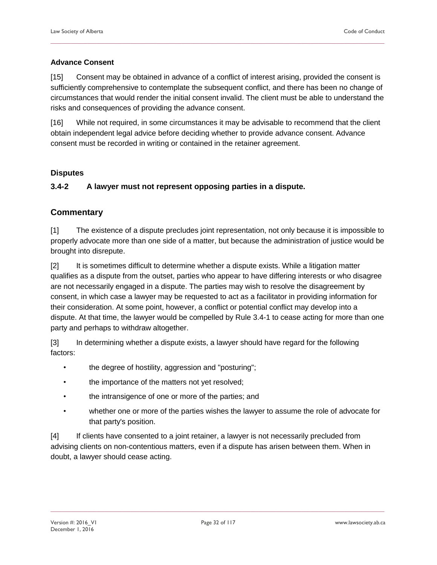### **Advance Consent**

[15] Consent may be obtained in advance of a conflict of interest arising, provided the consent is sufficiently comprehensive to contemplate the subsequent conflict, and there has been no change of circumstances that would render the initial consent invalid. The client must be able to understand the risks and consequences of providing the advance consent.

**\_\_\_\_\_\_\_\_\_\_\_\_\_\_\_\_\_\_\_\_\_\_\_\_\_\_\_\_\_\_\_\_\_\_\_\_\_\_\_\_\_\_\_\_\_\_\_\_\_\_\_\_\_\_\_\_\_\_\_\_\_\_\_\_\_\_\_\_\_\_\_\_\_\_\_\_\_\_\_\_\_\_\_\_\_\_\_\_\_\_\_\_\_\_\_\_\_\_\_\_\_\_\_\_\_\_\_\_\_\_\_\_\_\_\_\_\_**

[16] While not required, in some circumstances it may be advisable to recommend that the client obtain independent legal advice before deciding whether to provide advance consent. Advance consent must be recorded in writing or contained in the retainer agreement.

### **Disputes**

## **3.4-2 A lawyer must not represent opposing parties in a dispute.**

## **Commentary**

[1] The existence of a dispute precludes joint representation, not only because it is impossible to properly advocate more than one side of a matter, but because the administration of justice would be brought into disrepute.

[2] It is sometimes difficult to determine whether a dispute exists. While a litigation matter qualifies as a dispute from the outset, parties who appear to have differing interests or who disagree are not necessarily engaged in a dispute. The parties may wish to resolve the disagreement by consent, in which case a lawyer may be requested to act as a facilitator in providing information for their consideration. At some point, however, a conflict or potential conflict may develop into a dispute. At that time, the lawyer would be compelled by Rule 3.4-1 to cease acting for more than one party and perhaps to withdraw altogether.

[3] In determining whether a dispute exists, a lawyer should have regard for the following factors:

- the degree of hostility, aggression and "posturing";
- the importance of the matters not yet resolved;
- the intransigence of one or more of the parties; and
- whether one or more of the parties wishes the lawyer to assume the role of advocate for that party's position.

[4] If clients have consented to a joint retainer, a lawyer is not necessarily precluded from advising clients on non-contentious matters, even if a dispute has arisen between them. When in doubt, a lawyer should cease acting.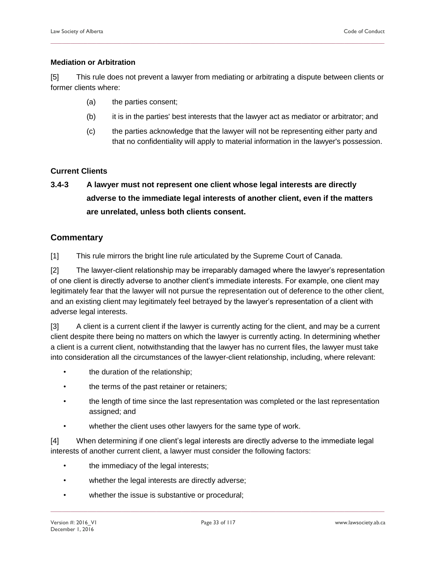#### **Mediation or Arbitration**

[5] This rule does not prevent a lawyer from mediating or arbitrating a dispute between clients or former clients where:

**\_\_\_\_\_\_\_\_\_\_\_\_\_\_\_\_\_\_\_\_\_\_\_\_\_\_\_\_\_\_\_\_\_\_\_\_\_\_\_\_\_\_\_\_\_\_\_\_\_\_\_\_\_\_\_\_\_\_\_\_\_\_\_\_\_\_\_\_\_\_\_\_\_\_\_\_\_\_\_\_\_\_\_\_\_\_\_\_\_\_\_\_\_\_\_\_\_\_\_\_\_\_\_\_\_\_\_\_\_\_\_\_\_\_\_\_\_**

- (a) the parties consent;
- (b) it is in the parties' best interests that the lawyer act as mediator or arbitrator; and
- (c) the parties acknowledge that the lawyer will not be representing either party and that no confidentiality will apply to material information in the lawyer's possession.

## **Current Clients**

**3.4-3 A lawyer must not represent one client whose legal interests are directly adverse to the immediate legal interests of another client, even if the matters are unrelated, unless both clients consent.**

# **Commentary**

[1] This rule mirrors the bright line rule articulated by the Supreme Court of Canada.

[2] The lawyer-client relationship may be irreparably damaged where the lawyer's representation of one client is directly adverse to another client's immediate interests. For example, one client may legitimately fear that the lawyer will not pursue the representation out of deference to the other client, and an existing client may legitimately feel betrayed by the lawyer's representation of a client with adverse legal interests.

[3] A client is a current client if the lawyer is currently acting for the client, and may be a current client despite there being no matters on which the lawyer is currently acting. In determining whether a client is a current client, notwithstanding that the lawyer has no current files, the lawyer must take into consideration all the circumstances of the lawyer-client relationship, including, where relevant:

- the duration of the relationship;
- the terms of the past retainer or retainers;
- the length of time since the last representation was completed or the last representation assigned; and
- whether the client uses other lawyers for the same type of work.

[4] When determining if one client's legal interests are directly adverse to the immediate legal interests of another current client, a lawyer must consider the following factors:

- the immediacy of the legal interests;
- whether the legal interests are directly adverse;
- whether the issue is substantive or procedural;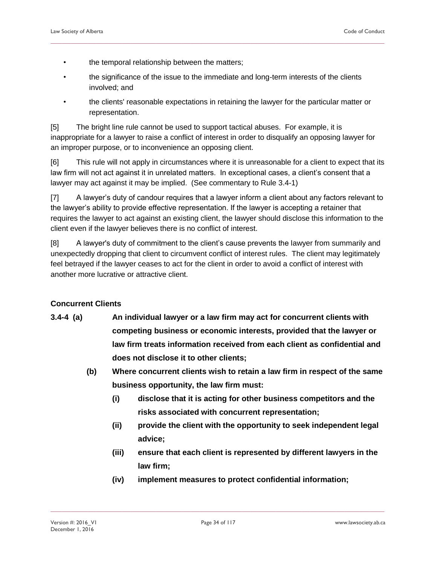- the temporal relationship between the matters;
- the significance of the issue to the immediate and long-term interests of the clients involved; and

**\_\_\_\_\_\_\_\_\_\_\_\_\_\_\_\_\_\_\_\_\_\_\_\_\_\_\_\_\_\_\_\_\_\_\_\_\_\_\_\_\_\_\_\_\_\_\_\_\_\_\_\_\_\_\_\_\_\_\_\_\_\_\_\_\_\_\_\_\_\_\_\_\_\_\_\_\_\_\_\_\_\_\_\_\_\_\_\_\_\_\_\_\_\_\_\_\_\_\_\_\_\_\_\_\_\_\_\_\_\_\_\_\_\_\_\_\_**

• the clients' reasonable expectations in retaining the lawyer for the particular matter or representation.

[5] The bright line rule cannot be used to support tactical abuses. For example, it is inappropriate for a lawyer to raise a conflict of interest in order to disqualify an opposing lawyer for an improper purpose, or to inconvenience an opposing client.

[6] This rule will not apply in circumstances where it is unreasonable for a client to expect that its law firm will not act against it in unrelated matters. In exceptional cases, a client's consent that a lawyer may act against it may be implied. (See commentary to Rule 3.4-1)

[7] A lawyer's duty of candour requires that a lawyer inform a client about any factors relevant to the lawyer's ability to provide effective representation. If the lawyer is accepting a retainer that requires the lawyer to act against an existing client, the lawyer should disclose this information to the client even if the lawyer believes there is no conflict of interest.

[8] A lawyer's duty of commitment to the client's cause prevents the lawyer from summarily and unexpectedly dropping that client to circumvent conflict of interest rules. The client may legitimately feel betrayed if the lawyer ceases to act for the client in order to avoid a conflict of interest with another more lucrative or attractive client.

## **Concurrent Clients**

- **3.4-4 (a) An individual lawyer or a law firm may act for concurrent clients with competing business or economic interests, provided that the lawyer or law firm treats information received from each client as confidential and does not disclose it to other clients;**
	- **(b) Where concurrent clients wish to retain a law firm in respect of the same business opportunity, the law firm must:**
		- **(i) disclose that it is acting for other business competitors and the risks associated with concurrent representation;**
		- **(ii) provide the client with the opportunity to seek independent legal advice;**
		- **(iii) ensure that each client is represented by different lawyers in the law firm;**
		- **(iv) implement measures to protect confidential information;**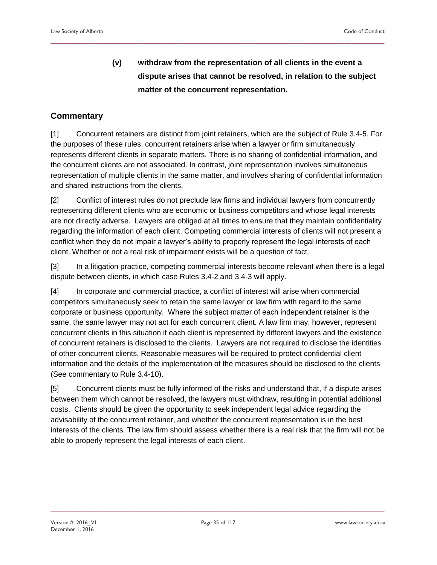**(v) withdraw from the representation of all clients in the event a dispute arises that cannot be resolved, in relation to the subject matter of the concurrent representation.**

# **Commentary**

[1] Concurrent retainers are distinct from joint retainers, which are the subject of Rule 3.4-5. For the purposes of these rules, concurrent retainers arise when a lawyer or firm simultaneously represents different clients in separate matters. There is no sharing of confidential information, and the concurrent clients are not associated. In contrast, joint representation involves simultaneous representation of multiple clients in the same matter, and involves sharing of confidential information and shared instructions from the clients.

**\_\_\_\_\_\_\_\_\_\_\_\_\_\_\_\_\_\_\_\_\_\_\_\_\_\_\_\_\_\_\_\_\_\_\_\_\_\_\_\_\_\_\_\_\_\_\_\_\_\_\_\_\_\_\_\_\_\_\_\_\_\_\_\_\_\_\_\_\_\_\_\_\_\_\_\_\_\_\_\_\_\_\_\_\_\_\_\_\_\_\_\_\_\_\_\_\_\_\_\_\_\_\_\_\_\_\_\_\_\_\_\_\_\_\_\_\_**

[2] Conflict of interest rules do not preclude law firms and individual lawyers from concurrently representing different clients who are economic or business competitors and whose legal interests are not directly adverse. Lawyers are obliged at all times to ensure that they maintain confidentiality regarding the information of each client. Competing commercial interests of clients will not present a conflict when they do not impair a lawyer's ability to properly represent the legal interests of each client. Whether or not a real risk of impairment exists will be a question of fact.

[3] In a litigation practice, competing commercial interests become relevant when there is a legal dispute between clients, in which case Rules 3.4-2 and 3.4-3 will apply.

[4] In corporate and commercial practice, a conflict of interest will arise when commercial competitors simultaneously seek to retain the same lawyer or law firm with regard to the same corporate or business opportunity. Where the subject matter of each independent retainer is the same, the same lawyer may not act for each concurrent client. A law firm may, however, represent concurrent clients in this situation if each client is represented by different lawyers and the existence of concurrent retainers is disclosed to the clients. Lawyers are not required to disclose the identities of other concurrent clients. Reasonable measures will be required to protect confidential client information and the details of the implementation of the measures should be disclosed to the clients (See commentary to Rule 3.4-10).

[5] Concurrent clients must be fully informed of the risks and understand that, if a dispute arises between them which cannot be resolved, the lawyers must withdraw, resulting in potential additional costs. Clients should be given the opportunity to seek independent legal advice regarding the advisability of the concurrent retainer, and whether the concurrent representation is in the best interests of the clients. The law firm should assess whether there is a real risk that the firm will not be able to properly represent the legal interests of each client.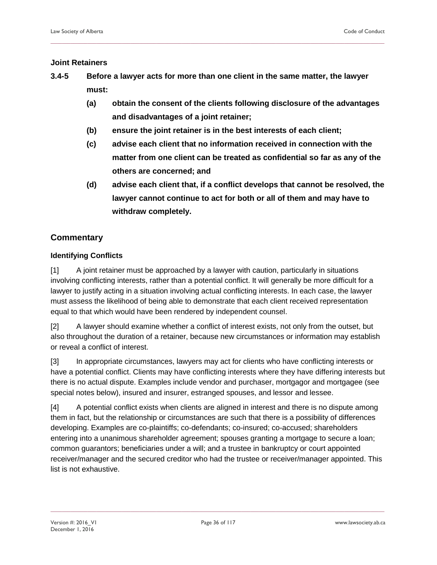### **Joint Retainers**

**3.4-5 Before a lawyer acts for more than one client in the same matter, the lawyer must:**

**\_\_\_\_\_\_\_\_\_\_\_\_\_\_\_\_\_\_\_\_\_\_\_\_\_\_\_\_\_\_\_\_\_\_\_\_\_\_\_\_\_\_\_\_\_\_\_\_\_\_\_\_\_\_\_\_\_\_\_\_\_\_\_\_\_\_\_\_\_\_\_\_\_\_\_\_\_\_\_\_\_\_\_\_\_\_\_\_\_\_\_\_\_\_\_\_\_\_\_\_\_\_\_\_\_\_\_\_\_\_\_\_\_\_\_\_\_**

- **(a) obtain the consent of the clients following disclosure of the advantages and disadvantages of a joint retainer;**
- **(b) ensure the joint retainer is in the best interests of each client;**
- **(c) advise each client that no information received in connection with the matter from one client can be treated as confidential so far as any of the others are concerned; and**
- **(d) advise each client that, if a conflict develops that cannot be resolved, the lawyer cannot continue to act for both or all of them and may have to withdraw completely.**

# **Commentary**

# **Identifying Conflicts**

[1] A joint retainer must be approached by a lawyer with caution, particularly in situations involving conflicting interests, rather than a potential conflict. It will generally be more difficult for a lawyer to justify acting in a situation involving actual conflicting interests. In each case, the lawyer must assess the likelihood of being able to demonstrate that each client received representation equal to that which would have been rendered by independent counsel.

[2] A lawyer should examine whether a conflict of interest exists, not only from the outset, but also throughout the duration of a retainer, because new circumstances or information may establish or reveal a conflict of interest.

[3] In appropriate circumstances, lawyers may act for clients who have conflicting interests or have a potential conflict. Clients may have conflicting interests where they have differing interests but there is no actual dispute. Examples include vendor and purchaser, mortgagor and mortgagee (see special notes below), insured and insurer, estranged spouses, and lessor and lessee.

[4] A potential conflict exists when clients are aligned in interest and there is no dispute among them in fact, but the relationship or circumstances are such that there is a possibility of differences developing. Examples are co-plaintiffs; co-defendants; co-insured; co-accused; shareholders entering into a unanimous shareholder agreement; spouses granting a mortgage to secure a loan; common guarantors; beneficiaries under a will; and a trustee in bankruptcy or court appointed receiver/manager and the secured creditor who had the trustee or receiver/manager appointed. This list is not exhaustive.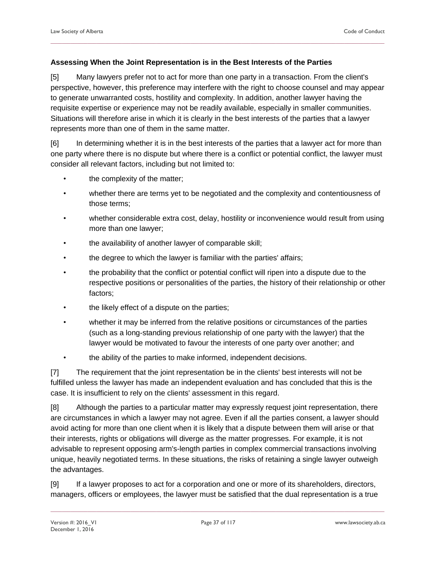### **Assessing When the Joint Representation is in the Best Interests of the Parties**

[5] Many lawyers prefer not to act for more than one party in a transaction. From the client's perspective, however, this preference may interfere with the right to choose counsel and may appear to generate unwarranted costs, hostility and complexity. In addition, another lawyer having the requisite expertise or experience may not be readily available, especially in smaller communities. Situations will therefore arise in which it is clearly in the best interests of the parties that a lawyer represents more than one of them in the same matter.

**\_\_\_\_\_\_\_\_\_\_\_\_\_\_\_\_\_\_\_\_\_\_\_\_\_\_\_\_\_\_\_\_\_\_\_\_\_\_\_\_\_\_\_\_\_\_\_\_\_\_\_\_\_\_\_\_\_\_\_\_\_\_\_\_\_\_\_\_\_\_\_\_\_\_\_\_\_\_\_\_\_\_\_\_\_\_\_\_\_\_\_\_\_\_\_\_\_\_\_\_\_\_\_\_\_\_\_\_\_\_\_\_\_\_\_\_\_**

[6] In determining whether it is in the best interests of the parties that a lawyer act for more than one party where there is no dispute but where there is a conflict or potential conflict, the lawyer must consider all relevant factors, including but not limited to:

- the complexity of the matter;
- whether there are terms yet to be negotiated and the complexity and contentiousness of those terms;
- whether considerable extra cost, delay, hostility or inconvenience would result from using more than one lawyer;
- the availability of another lawyer of comparable skill;
- the degree to which the lawyer is familiar with the parties' affairs;
- the probability that the conflict or potential conflict will ripen into a dispute due to the respective positions or personalities of the parties, the history of their relationship or other factors;
- the likely effect of a dispute on the parties;
- whether it may be inferred from the relative positions or circumstances of the parties (such as a long-standing previous relationship of one party with the lawyer) that the lawyer would be motivated to favour the interests of one party over another; and
- the ability of the parties to make informed, independent decisions.

[7] The requirement that the joint representation be in the clients' best interests will not be fulfilled unless the lawyer has made an independent evaluation and has concluded that this is the case. It is insufficient to rely on the clients' assessment in this regard.

[8] Although the parties to a particular matter may expressly request joint representation, there are circumstances in which a lawyer may not agree. Even if all the parties consent, a lawyer should avoid acting for more than one client when it is likely that a dispute between them will arise or that their interests, rights or obligations will diverge as the matter progresses. For example, it is not advisable to represent opposing arm's-length parties in complex commercial transactions involving unique, heavily negotiated terms. In these situations, the risks of retaining a single lawyer outweigh the advantages.

[9] If a lawyer proposes to act for a corporation and one or more of its shareholders, directors, managers, officers or employees, the lawyer must be satisfied that the dual representation is a true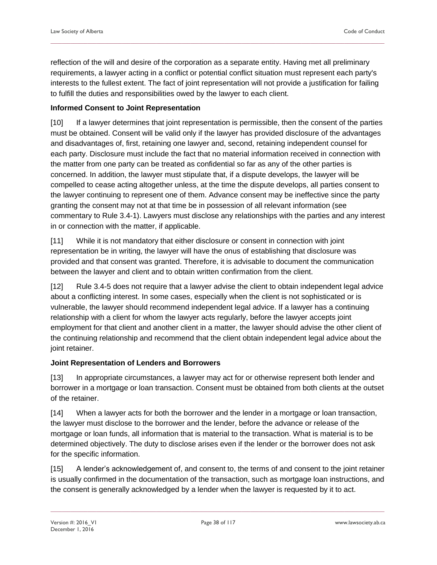reflection of the will and desire of the corporation as a separate entity. Having met all preliminary requirements, a lawyer acting in a conflict or potential conflict situation must represent each party's interests to the fullest extent. The fact of joint representation will not provide a justification for failing to fulfill the duties and responsibilities owed by the lawyer to each client.

**\_\_\_\_\_\_\_\_\_\_\_\_\_\_\_\_\_\_\_\_\_\_\_\_\_\_\_\_\_\_\_\_\_\_\_\_\_\_\_\_\_\_\_\_\_\_\_\_\_\_\_\_\_\_\_\_\_\_\_\_\_\_\_\_\_\_\_\_\_\_\_\_\_\_\_\_\_\_\_\_\_\_\_\_\_\_\_\_\_\_\_\_\_\_\_\_\_\_\_\_\_\_\_\_\_\_\_\_\_\_\_\_\_\_\_\_\_**

## **Informed Consent to Joint Representation**

[10] If a lawyer determines that joint representation is permissible, then the consent of the parties must be obtained. Consent will be valid only if the lawyer has provided disclosure of the advantages and disadvantages of, first, retaining one lawyer and, second, retaining independent counsel for each party. Disclosure must include the fact that no material information received in connection with the matter from one party can be treated as confidential so far as any of the other parties is concerned. In addition, the lawyer must stipulate that, if a dispute develops, the lawyer will be compelled to cease acting altogether unless, at the time the dispute develops, all parties consent to the lawyer continuing to represent one of them. Advance consent may be ineffective since the party granting the consent may not at that time be in possession of all relevant information (see commentary to Rule 3.4-1). Lawyers must disclose any relationships with the parties and any interest in or connection with the matter, if applicable.

[11] While it is not mandatory that either disclosure or consent in connection with joint representation be in writing, the lawyer will have the onus of establishing that disclosure was provided and that consent was granted. Therefore, it is advisable to document the communication between the lawyer and client and to obtain written confirmation from the client.

[12] Rule 3.4-5 does not require that a lawyer advise the client to obtain independent legal advice about a conflicting interest. In some cases, especially when the client is not sophisticated or is vulnerable, the lawyer should recommend independent legal advice. If a lawyer has a continuing relationship with a client for whom the lawyer acts regularly, before the lawyer accepts joint employment for that client and another client in a matter, the lawyer should advise the other client of the continuing relationship and recommend that the client obtain independent legal advice about the joint retainer.

### **Joint Representation of Lenders and Borrowers**

[13] In appropriate circumstances, a lawyer may act for or otherwise represent both lender and borrower in a mortgage or loan transaction. Consent must be obtained from both clients at the outset of the retainer.

[14] When a lawyer acts for both the borrower and the lender in a mortgage or loan transaction, the lawyer must disclose to the borrower and the lender, before the advance or release of the mortgage or loan funds, all information that is material to the transaction. What is material is to be determined objectively. The duty to disclose arises even if the lender or the borrower does not ask for the specific information.

[15] A lender's acknowledgement of, and consent to, the terms of and consent to the joint retainer is usually confirmed in the documentation of the transaction, such as mortgage loan instructions, and the consent is generally acknowledged by a lender when the lawyer is requested by it to act.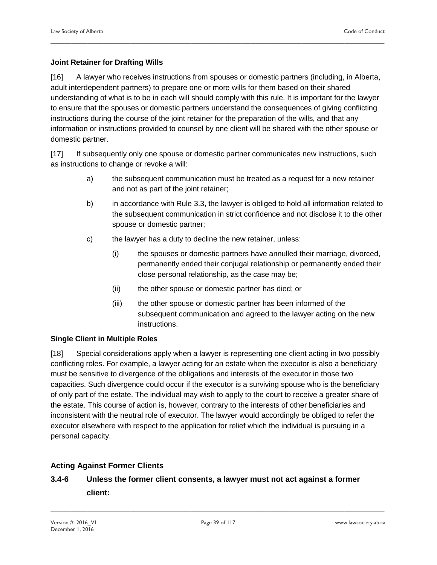### **Joint Retainer for Drafting Wills**

[16] A lawyer who receives instructions from spouses or domestic partners (including, in Alberta, adult interdependent partners) to prepare one or more wills for them based on their shared understanding of what is to be in each will should comply with this rule. It is important for the lawyer to ensure that the spouses or domestic partners understand the consequences of giving conflicting instructions during the course of the joint retainer for the preparation of the wills, and that any information or instructions provided to counsel by one client will be shared with the other spouse or domestic partner.

**\_\_\_\_\_\_\_\_\_\_\_\_\_\_\_\_\_\_\_\_\_\_\_\_\_\_\_\_\_\_\_\_\_\_\_\_\_\_\_\_\_\_\_\_\_\_\_\_\_\_\_\_\_\_\_\_\_\_\_\_\_\_\_\_\_\_\_\_\_\_\_\_\_\_\_\_\_\_\_\_\_\_\_\_\_\_\_\_\_\_\_\_\_\_\_\_\_\_\_\_\_\_\_\_\_\_\_\_\_\_\_\_\_\_\_\_\_**

[17] If subsequently only one spouse or domestic partner communicates new instructions, such as instructions to change or revoke a will:

- a) the subsequent communication must be treated as a request for a new retainer and not as part of the joint retainer;
- b) in accordance with Rule 3.3, the lawyer is obliged to hold all information related to the subsequent communication in strict confidence and not disclose it to the other spouse or domestic partner;
- c) the lawyer has a duty to decline the new retainer, unless:
	- (i) the spouses or domestic partners have annulled their marriage, divorced, permanently ended their conjugal relationship or permanently ended their close personal relationship, as the case may be;
	- (ii) the other spouse or domestic partner has died; or
	- (iii) the other spouse or domestic partner has been informed of the subsequent communication and agreed to the lawyer acting on the new instructions.

### **Single Client in Multiple Roles**

[18] Special considerations apply when a lawyer is representing one client acting in two possibly conflicting roles. For example, a lawyer acting for an estate when the executor is also a beneficiary must be sensitive to divergence of the obligations and interests of the executor in those two capacities. Such divergence could occur if the executor is a surviving spouse who is the beneficiary of only part of the estate. The individual may wish to apply to the court to receive a greater share of the estate. This course of action is, however, contrary to the interests of other beneficiaries and inconsistent with the neutral role of executor. The lawyer would accordingly be obliged to refer the executor elsewhere with respect to the application for relief which the individual is pursuing in a personal capacity.

## **Acting Against Former Clients**

# **3.4-6 Unless the former client consents, a lawyer must not act against a former client:**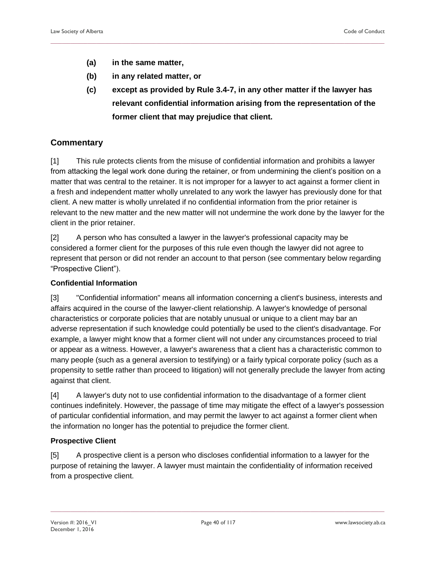- **(a) in the same matter,**
- **(b) in any related matter, or**
- **(c) except as provided by Rule 3.4-7, in any other matter if the lawyer has relevant confidential information arising from the representation of the former client that may prejudice that client.**

**\_\_\_\_\_\_\_\_\_\_\_\_\_\_\_\_\_\_\_\_\_\_\_\_\_\_\_\_\_\_\_\_\_\_\_\_\_\_\_\_\_\_\_\_\_\_\_\_\_\_\_\_\_\_\_\_\_\_\_\_\_\_\_\_\_\_\_\_\_\_\_\_\_\_\_\_\_\_\_\_\_\_\_\_\_\_\_\_\_\_\_\_\_\_\_\_\_\_\_\_\_\_\_\_\_\_\_\_\_\_\_\_\_\_\_\_\_**

# **Commentary**

[1] This rule protects clients from the misuse of confidential information and prohibits a lawyer from attacking the legal work done during the retainer, or from undermining the client's position on a matter that was central to the retainer. It is not improper for a lawyer to act against a former client in a fresh and independent matter wholly unrelated to any work the lawyer has previously done for that client. A new matter is wholly unrelated if no confidential information from the prior retainer is relevant to the new matter and the new matter will not undermine the work done by the lawyer for the client in the prior retainer.

[2] A person who has consulted a lawyer in the lawyer's professional capacity may be considered a former client for the purposes of this rule even though the lawyer did not agree to represent that person or did not render an account to that person (see commentary below regarding "Prospective Client").

### **Confidential Information**

[3] "Confidential information" means all information concerning a client's business, interests and affairs acquired in the course of the lawyer-client relationship. A lawyer's knowledge of personal characteristics or corporate policies that are notably unusual or unique to a client may bar an adverse representation if such knowledge could potentially be used to the client's disadvantage. For example, a lawyer might know that a former client will not under any circumstances proceed to trial or appear as a witness. However, a lawyer's awareness that a client has a characteristic common to many people (such as a general aversion to testifying) or a fairly typical corporate policy (such as a propensity to settle rather than proceed to litigation) will not generally preclude the lawyer from acting against that client.

[4] A lawyer's duty not to use confidential information to the disadvantage of a former client continues indefinitely. However, the passage of time may mitigate the effect of a lawyer's possession of particular confidential information, and may permit the lawyer to act against a former client when the information no longer has the potential to prejudice the former client.

## **Prospective Client**

[5] A prospective client is a person who discloses confidential information to a lawyer for the purpose of retaining the lawyer. A lawyer must maintain the confidentiality of information received from a prospective client.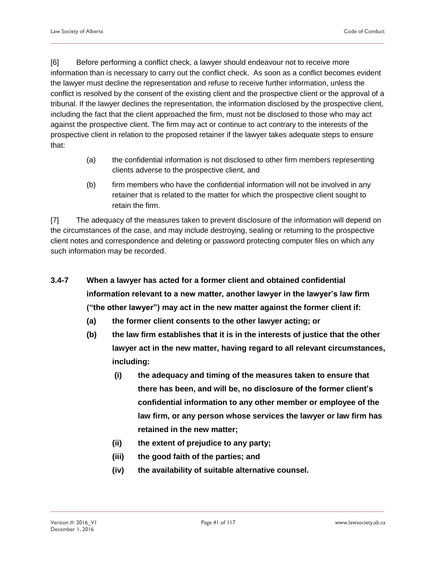[6] Before performing a conflict check, a lawyer should endeavour not to receive more information than is necessary to carry out the conflict check. As soon as a conflict becomes evident the lawyer must decline the representation and refuse to receive further information, unless the conflict is resolved by the consent of the existing client and the prospective client or the approval of a tribunal. If the lawyer declines the representation, the information disclosed by the prospective client, including the fact that the client approached the firm, must not be disclosed to those who may act against the prospective client. The firm may act or continue to act contrary to the interests of the prospective client in relation to the proposed retainer if the lawyer takes adequate steps to ensure that:

**\_\_\_\_\_\_\_\_\_\_\_\_\_\_\_\_\_\_\_\_\_\_\_\_\_\_\_\_\_\_\_\_\_\_\_\_\_\_\_\_\_\_\_\_\_\_\_\_\_\_\_\_\_\_\_\_\_\_\_\_\_\_\_\_\_\_\_\_\_\_\_\_\_\_\_\_\_\_\_\_\_\_\_\_\_\_\_\_\_\_\_\_\_\_\_\_\_\_\_\_\_\_\_\_\_\_\_\_\_\_\_\_\_\_\_\_\_**

- (a) the confidential information is not disclosed to other firm members representing clients adverse to the prospective client, and
- (b) firm members who have the confidential information will not be involved in any retainer that is related to the matter for which the prospective client sought to retain the firm.

[7] The adequacy of the measures taken to prevent disclosure of the information will depend on the circumstances of the case, and may include destroying, sealing or returning to the prospective client notes and correspondence and deleting or password protecting computer files on which any such information may be recorded.

- **3.4-7 When a lawyer has acted for a former client and obtained confidential information relevant to a new matter, another lawyer in the lawyer's law firm ("the other lawyer") may act in the new matter against the former client if:**
	- **(a) the former client consents to the other lawyer acting; or**
	- **(b) the law firm establishes that it is in the interests of justice that the other lawyer act in the new matter, having regard to all relevant circumstances, including:**
		- **(i) the adequacy and timing of the measures taken to ensure that there has been, and will be, no disclosure of the former client's confidential information to any other member or employee of the law firm, or any person whose services the lawyer or law firm has retained in the new matter;**
		- **(ii) the extent of prejudice to any party;**
		- **(iii) the good faith of the parties; and**
		- **(iv) the availability of suitable alternative counsel.**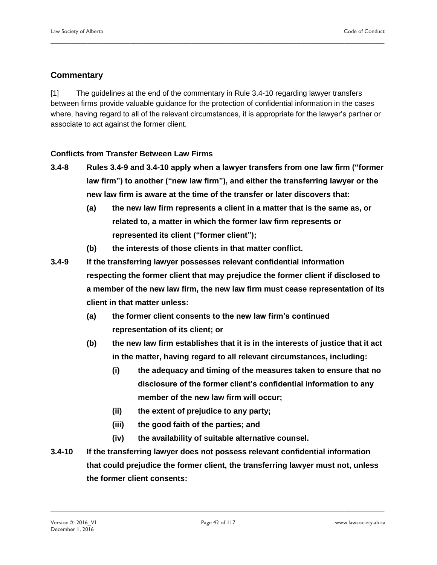# **Commentary**

[1] The guidelines at the end of the commentary in Rule 3.4-10 regarding lawyer transfers between firms provide valuable guidance for the protection of confidential information in the cases where, having regard to all of the relevant circumstances, it is appropriate for the lawyer's partner or associate to act against the former client.

**\_\_\_\_\_\_\_\_\_\_\_\_\_\_\_\_\_\_\_\_\_\_\_\_\_\_\_\_\_\_\_\_\_\_\_\_\_\_\_\_\_\_\_\_\_\_\_\_\_\_\_\_\_\_\_\_\_\_\_\_\_\_\_\_\_\_\_\_\_\_\_\_\_\_\_\_\_\_\_\_\_\_\_\_\_\_\_\_\_\_\_\_\_\_\_\_\_\_\_\_\_\_\_\_\_\_\_\_\_\_\_\_\_\_\_\_\_**

### **Conflicts from Transfer Between Law Firms**

- **3.4-8 Rules 3.4-9 and 3.4-10 apply when a lawyer transfers from one law firm ("former law firm") to another ("new law firm"), and either the transferring lawyer or the new law firm is aware at the time of the transfer or later discovers that:**
	- **(a) the new law firm represents a client in a matter that is the same as, or related to, a matter in which the former law firm represents or represented its client ("former client");**
	- **(b) the interests of those clients in that matter conflict.**
- **3.4-9 If the transferring lawyer possesses relevant confidential information respecting the former client that may prejudice the former client if disclosed to a member of the new law firm, the new law firm must cease representation of its client in that matter unless:**
	- **(a) the former client consents to the new law firm's continued representation of its client; or**
	- **(b) the new law firm establishes that it is in the interests of justice that it act in the matter, having regard to all relevant circumstances, including:**
		- **(i) the adequacy and timing of the measures taken to ensure that no disclosure of the former client's confidential information to any member of the new law firm will occur;**
		- **(ii) the extent of prejudice to any party;**
		- **(iii) the good faith of the parties; and**
		- **(iv) the availability of suitable alternative counsel.**
- **3.4-10 If the transferring lawyer does not possess relevant confidential information that could prejudice the former client, the transferring lawyer must not, unless the former client consents:**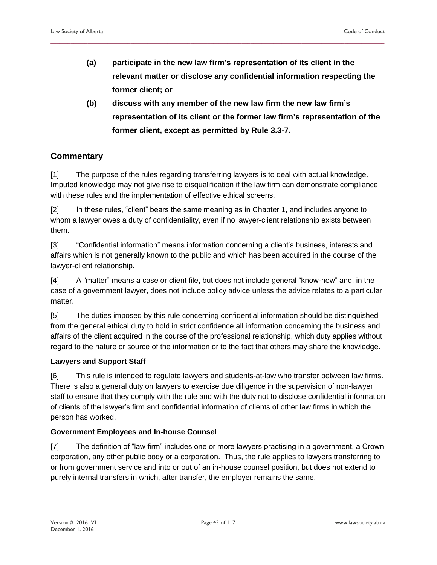**(a) participate in the new law firm's representation of its client in the relevant matter or disclose any confidential information respecting the former client; or**

**\_\_\_\_\_\_\_\_\_\_\_\_\_\_\_\_\_\_\_\_\_\_\_\_\_\_\_\_\_\_\_\_\_\_\_\_\_\_\_\_\_\_\_\_\_\_\_\_\_\_\_\_\_\_\_\_\_\_\_\_\_\_\_\_\_\_\_\_\_\_\_\_\_\_\_\_\_\_\_\_\_\_\_\_\_\_\_\_\_\_\_\_\_\_\_\_\_\_\_\_\_\_\_\_\_\_\_\_\_\_\_\_\_\_\_\_\_**

**(b) discuss with any member of the new law firm the new law firm's representation of its client or the former law firm's representation of the former client, except as permitted by Rule 3.3-7.**

# **Commentary**

[1] The purpose of the rules regarding transferring lawyers is to deal with actual knowledge. Imputed knowledge may not give rise to disqualification if the law firm can demonstrate compliance with these rules and the implementation of effective ethical screens.

[2] In these rules, "client" bears the same meaning as in Chapter 1, and includes anyone to whom a lawyer owes a duty of confidentiality, even if no lawyer-client relationship exists between them.

[3] "Confidential information" means information concerning a client's business, interests and affairs which is not generally known to the public and which has been acquired in the course of the lawyer-client relationship.

[4] A "matter" means a case or client file, but does not include general "know-how" and, in the case of a government lawyer, does not include policy advice unless the advice relates to a particular matter.

[5] The duties imposed by this rule concerning confidential information should be distinguished from the general ethical duty to hold in strict confidence all information concerning the business and affairs of the client acquired in the course of the professional relationship, which duty applies without regard to the nature or source of the information or to the fact that others may share the knowledge.

## **Lawyers and Support Staff**

[6] This rule is intended to regulate lawyers and students-at-law who transfer between law firms. There is also a general duty on lawyers to exercise due diligence in the supervision of non-lawyer staff to ensure that they comply with the rule and with the duty not to disclose confidential information of clients of the lawyer's firm and confidential information of clients of other law firms in which the person has worked.

## **Government Employees and In-house Counsel**

[7] The definition of "law firm" includes one or more lawyers practising in a government, a Crown corporation, any other public body or a corporation. Thus, the rule applies to lawyers transferring to or from government service and into or out of an in-house counsel position, but does not extend to purely internal transfers in which, after transfer, the employer remains the same.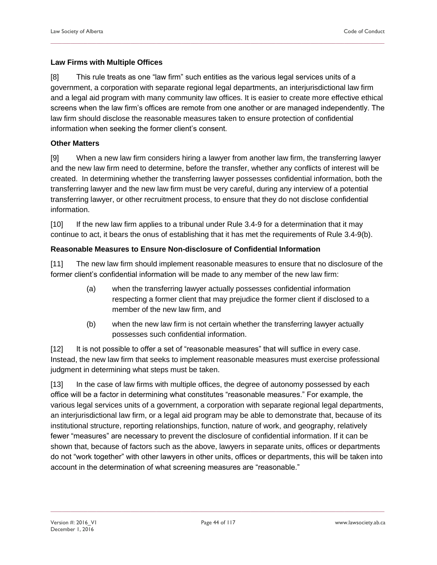### **Law Firms with Multiple Offices**

[8] This rule treats as one "law firm" such entities as the various legal services units of a government, a corporation with separate regional legal departments, an interjurisdictional law firm and a legal aid program with many community law offices. It is easier to create more effective ethical screens when the law firm's offices are remote from one another or are managed independently. The law firm should disclose the reasonable measures taken to ensure protection of confidential information when seeking the former client's consent.

**\_\_\_\_\_\_\_\_\_\_\_\_\_\_\_\_\_\_\_\_\_\_\_\_\_\_\_\_\_\_\_\_\_\_\_\_\_\_\_\_\_\_\_\_\_\_\_\_\_\_\_\_\_\_\_\_\_\_\_\_\_\_\_\_\_\_\_\_\_\_\_\_\_\_\_\_\_\_\_\_\_\_\_\_\_\_\_\_\_\_\_\_\_\_\_\_\_\_\_\_\_\_\_\_\_\_\_\_\_\_\_\_\_\_\_\_\_**

### **Other Matters**

[9] When a new law firm considers hiring a lawyer from another law firm, the transferring lawyer and the new law firm need to determine, before the transfer, whether any conflicts of interest will be created. In determining whether the transferring lawyer possesses confidential information, both the transferring lawyer and the new law firm must be very careful, during any interview of a potential transferring lawyer, or other recruitment process, to ensure that they do not disclose confidential information.

[10] If the new law firm applies to a tribunal under Rule 3.4-9 for a determination that it may continue to act, it bears the onus of establishing that it has met the requirements of Rule 3.4-9(b).

### **Reasonable Measures to Ensure Non-disclosure of Confidential Information**

[11] The new law firm should implement reasonable measures to ensure that no disclosure of the former client's confidential information will be made to any member of the new law firm:

- (a) when the transferring lawyer actually possesses confidential information respecting a former client that may prejudice the former client if disclosed to a member of the new law firm, and
- (b) when the new law firm is not certain whether the transferring lawyer actually possesses such confidential information.

[12] It is not possible to offer a set of "reasonable measures" that will suffice in every case. Instead, the new law firm that seeks to implement reasonable measures must exercise professional judgment in determining what steps must be taken.

[13] In the case of law firms with multiple offices, the degree of autonomy possessed by each office will be a factor in determining what constitutes "reasonable measures." For example, the various legal services units of a government, a corporation with separate regional legal departments, an interjurisdictional law firm, or a legal aid program may be able to demonstrate that, because of its institutional structure, reporting relationships, function, nature of work, and geography, relatively fewer "measures" are necessary to prevent the disclosure of confidential information. If it can be shown that, because of factors such as the above, lawyers in separate units, offices or departments do not "work together" with other lawyers in other units, offices or departments, this will be taken into account in the determination of what screening measures are "reasonable."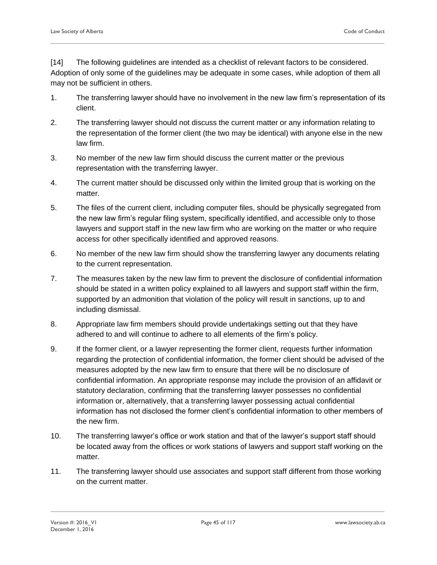[14] The following guidelines are intended as a checklist of relevant factors to be considered. Adoption of only some of the guidelines may be adequate in some cases, while adoption of them all may not be sufficient in others.

**\_\_\_\_\_\_\_\_\_\_\_\_\_\_\_\_\_\_\_\_\_\_\_\_\_\_\_\_\_\_\_\_\_\_\_\_\_\_\_\_\_\_\_\_\_\_\_\_\_\_\_\_\_\_\_\_\_\_\_\_\_\_\_\_\_\_\_\_\_\_\_\_\_\_\_\_\_\_\_\_\_\_\_\_\_\_\_\_\_\_\_\_\_\_\_\_\_\_\_\_\_\_\_\_\_\_\_\_\_\_\_\_\_\_\_\_\_**

- 1. The transferring lawyer should have no involvement in the new law firm's representation of its client.
- 2. The transferring lawyer should not discuss the current matter or any information relating to the representation of the former client (the two may be identical) with anyone else in the new law firm.
- 3. No member of the new law firm should discuss the current matter or the previous representation with the transferring lawyer.
- 4. The current matter should be discussed only within the limited group that is working on the matter.
- 5. The files of the current client, including computer files, should be physically segregated from the new law firm's regular filing system, specifically identified, and accessible only to those lawyers and support staff in the new law firm who are working on the matter or who require access for other specifically identified and approved reasons.
- 6. No member of the new law firm should show the transferring lawyer any documents relating to the current representation.
- 7. The measures taken by the new law firm to prevent the disclosure of confidential information should be stated in a written policy explained to all lawyers and support staff within the firm, supported by an admonition that violation of the policy will result in sanctions, up to and including dismissal.
- 8. Appropriate law firm members should provide undertakings setting out that they have adhered to and will continue to adhere to all elements of the firm's policy.
- 9. If the former client, or a lawyer representing the former client, requests further information regarding the protection of confidential information, the former client should be advised of the measures adopted by the new law firm to ensure that there will be no disclosure of confidential information. An appropriate response may include the provision of an affidavit or statutory declaration, confirming that the transferring lawyer possesses no confidential information or, alternatively, that a transferring lawyer possessing actual confidential information has not disclosed the former client's confidential information to other members of the new firm.
- 10. The transferring lawyer's office or work station and that of the lawyer's support staff should be located away from the offices or work stations of lawyers and support staff working on the matter.
- 11. The transferring lawyer should use associates and support staff different from those working on the current matter.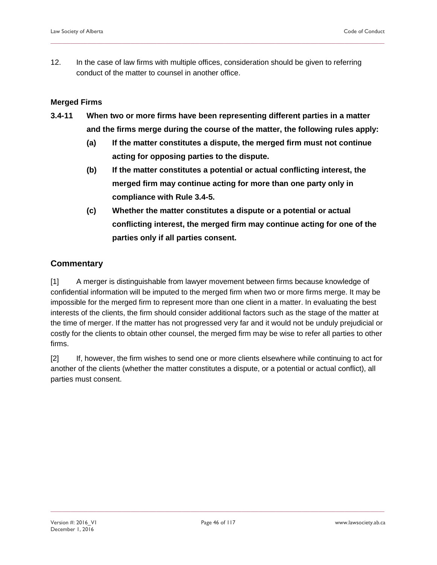12. In the case of law firms with multiple offices, consideration should be given to referring conduct of the matter to counsel in another office.

**\_\_\_\_\_\_\_\_\_\_\_\_\_\_\_\_\_\_\_\_\_\_\_\_\_\_\_\_\_\_\_\_\_\_\_\_\_\_\_\_\_\_\_\_\_\_\_\_\_\_\_\_\_\_\_\_\_\_\_\_\_\_\_\_\_\_\_\_\_\_\_\_\_\_\_\_\_\_\_\_\_\_\_\_\_\_\_\_\_\_\_\_\_\_\_\_\_\_\_\_\_\_\_\_\_\_\_\_\_\_\_\_\_\_\_\_\_**

## **Merged Firms**

- **3.4-11 When two or more firms have been representing different parties in a matter and the firms merge during the course of the matter, the following rules apply:**
	- **(a) If the matter constitutes a dispute, the merged firm must not continue acting for opposing parties to the dispute.**
	- **(b) If the matter constitutes a potential or actual conflicting interest, the merged firm may continue acting for more than one party only in compliance with Rule 3.4-5.**
	- **(c) Whether the matter constitutes a dispute or a potential or actual conflicting interest, the merged firm may continue acting for one of the parties only if all parties consent.**

# **Commentary**

[1] A merger is distinguishable from lawyer movement between firms because knowledge of confidential information will be imputed to the merged firm when two or more firms merge. It may be impossible for the merged firm to represent more than one client in a matter. In evaluating the best interests of the clients, the firm should consider additional factors such as the stage of the matter at the time of merger. If the matter has not progressed very far and it would not be unduly prejudicial or costly for the clients to obtain other counsel, the merged firm may be wise to refer all parties to other firms.

[2] If, however, the firm wishes to send one or more clients elsewhere while continuing to act for another of the clients (whether the matter constitutes a dispute, or a potential or actual conflict), all parties must consent.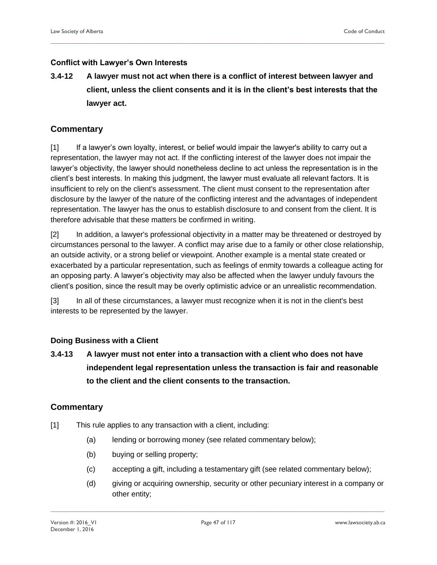## **Conflict with Lawyer's Own Interests**

**3.4-12 A lawyer must not act when there is a conflict of interest between lawyer and client, unless the client consents and it is in the client's best interests that the lawyer act.**

**\_\_\_\_\_\_\_\_\_\_\_\_\_\_\_\_\_\_\_\_\_\_\_\_\_\_\_\_\_\_\_\_\_\_\_\_\_\_\_\_\_\_\_\_\_\_\_\_\_\_\_\_\_\_\_\_\_\_\_\_\_\_\_\_\_\_\_\_\_\_\_\_\_\_\_\_\_\_\_\_\_\_\_\_\_\_\_\_\_\_\_\_\_\_\_\_\_\_\_\_\_\_\_\_\_\_\_\_\_\_\_\_\_\_\_\_\_**

# **Commentary**

[1] If a lawyer's own loyalty, interest, or belief would impair the lawyer's ability to carry out a representation, the lawyer may not act. If the conflicting interest of the lawyer does not impair the lawyer's objectivity, the lawyer should nonetheless decline to act unless the representation is in the client's best interests. In making this judgment, the lawyer must evaluate all relevant factors. It is insufficient to rely on the client's assessment. The client must consent to the representation after disclosure by the lawyer of the nature of the conflicting interest and the advantages of independent representation. The lawyer has the onus to establish disclosure to and consent from the client. It is therefore advisable that these matters be confirmed in writing.

[2] In addition, a lawyer's professional objectivity in a matter may be threatened or destroyed by circumstances personal to the lawyer. A conflict may arise due to a family or other close relationship, an outside activity, or a strong belief or viewpoint. Another example is a mental state created or exacerbated by a particular representation, such as feelings of enmity towards a colleague acting for an opposing party. A lawyer's objectivity may also be affected when the lawyer unduly favours the client's position, since the result may be overly optimistic advice or an unrealistic recommendation.

[3] In all of these circumstances, a lawyer must recognize when it is not in the client's best interests to be represented by the lawyer.

### **Doing Business with a Client**

**3.4-13 A lawyer must not enter into a transaction with a client who does not have independent legal representation unless the transaction is fair and reasonable to the client and the client consents to the transaction.**

## **Commentary**

- [1] This rule applies to any transaction with a client, including:
	- (a) lending or borrowing money (see related commentary below);
	- (b) buying or selling property;
	- (c) accepting a gift, including a testamentary gift (see related commentary below);
	- (d) giving or acquiring ownership, security or other pecuniary interest in a company or other entity;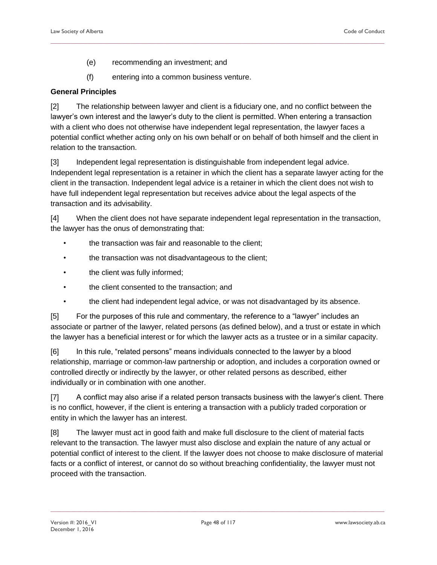- (e) recommending an investment; and
- (f) entering into a common business venture.

### **General Principles**

[2] The relationship between lawyer and client is a fiduciary one, and no conflict between the lawyer's own interest and the lawyer's duty to the client is permitted. When entering a transaction with a client who does not otherwise have independent legal representation, the lawyer faces a potential conflict whether acting only on his own behalf or on behalf of both himself and the client in relation to the transaction.

**\_\_\_\_\_\_\_\_\_\_\_\_\_\_\_\_\_\_\_\_\_\_\_\_\_\_\_\_\_\_\_\_\_\_\_\_\_\_\_\_\_\_\_\_\_\_\_\_\_\_\_\_\_\_\_\_\_\_\_\_\_\_\_\_\_\_\_\_\_\_\_\_\_\_\_\_\_\_\_\_\_\_\_\_\_\_\_\_\_\_\_\_\_\_\_\_\_\_\_\_\_\_\_\_\_\_\_\_\_\_\_\_\_\_\_\_\_**

[3] Independent legal representation is distinguishable from independent legal advice. Independent legal representation is a retainer in which the client has a separate lawyer acting for the client in the transaction. Independent legal advice is a retainer in which the client does not wish to have full independent legal representation but receives advice about the legal aspects of the transaction and its advisability.

[4] When the client does not have separate independent legal representation in the transaction, the lawyer has the onus of demonstrating that:

- the transaction was fair and reasonable to the client;
- the transaction was not disadvantageous to the client;
- the client was fully informed;
- the client consented to the transaction; and
- the client had independent legal advice, or was not disadvantaged by its absence.

[5] For the purposes of this rule and commentary, the reference to a "lawyer" includes an associate or partner of the lawyer, related persons (as defined below), and a trust or estate in which the lawyer has a beneficial interest or for which the lawyer acts as a trustee or in a similar capacity.

[6] In this rule, "related persons" means individuals connected to the lawyer by a blood relationship, marriage or common-law partnership or adoption, and includes a corporation owned or controlled directly or indirectly by the lawyer, or other related persons as described, either individually or in combination with one another.

[7] A conflict may also arise if a related person transacts business with the lawyer's client. There is no conflict, however, if the client is entering a transaction with a publicly traded corporation or entity in which the lawyer has an interest.

[8] The lawyer must act in good faith and make full disclosure to the client of material facts relevant to the transaction. The lawyer must also disclose and explain the nature of any actual or potential conflict of interest to the client. If the lawyer does not choose to make disclosure of material facts or a conflict of interest, or cannot do so without breaching confidentiality, the lawyer must not proceed with the transaction.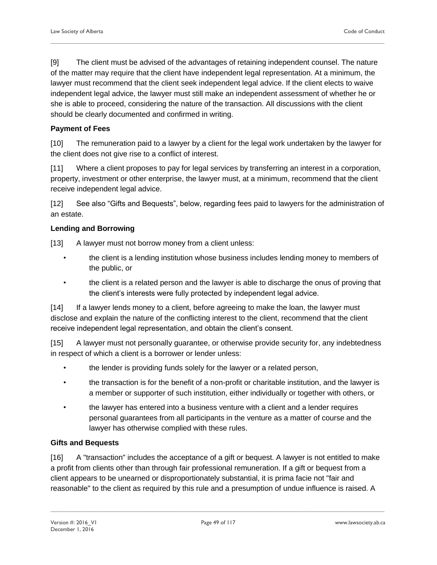[9] The client must be advised of the advantages of retaining independent counsel. The nature of the matter may require that the client have independent legal representation. At a minimum, the lawyer must recommend that the client seek independent legal advice. If the client elects to waive independent legal advice, the lawyer must still make an independent assessment of whether he or she is able to proceed, considering the nature of the transaction. All discussions with the client should be clearly documented and confirmed in writing.

**\_\_\_\_\_\_\_\_\_\_\_\_\_\_\_\_\_\_\_\_\_\_\_\_\_\_\_\_\_\_\_\_\_\_\_\_\_\_\_\_\_\_\_\_\_\_\_\_\_\_\_\_\_\_\_\_\_\_\_\_\_\_\_\_\_\_\_\_\_\_\_\_\_\_\_\_\_\_\_\_\_\_\_\_\_\_\_\_\_\_\_\_\_\_\_\_\_\_\_\_\_\_\_\_\_\_\_\_\_\_\_\_\_\_\_\_\_**

### **Payment of Fees**

[10] The remuneration paid to a lawyer by a client for the legal work undertaken by the lawyer for the client does not give rise to a conflict of interest.

[11] Where a client proposes to pay for legal services by transferring an interest in a corporation, property, investment or other enterprise, the lawyer must, at a minimum, recommend that the client receive independent legal advice.

[12] See also "Gifts and Bequests", below, regarding fees paid to lawyers for the administration of an estate.

### **Lending and Borrowing**

[13] A lawyer must not borrow money from a client unless:

- the client is a lending institution whose business includes lending money to members of the public, or
- the client is a related person and the lawyer is able to discharge the onus of proving that the client's interests were fully protected by independent legal advice.

[14] If a lawyer lends money to a client, before agreeing to make the loan, the lawyer must disclose and explain the nature of the conflicting interest to the client, recommend that the client receive independent legal representation, and obtain the client's consent.

[15] A lawyer must not personally guarantee, or otherwise provide security for, any indebtedness in respect of which a client is a borrower or lender unless:

- the lender is providing funds solely for the lawyer or a related person,
- the transaction is for the benefit of a non-profit or charitable institution, and the lawyer is a member or supporter of such institution, either individually or together with others, or
- the lawyer has entered into a business venture with a client and a lender requires personal guarantees from all participants in the venture as a matter of course and the lawyer has otherwise complied with these rules.

### **Gifts and Bequests**

[16] A "transaction" includes the acceptance of a gift or bequest. A lawyer is not entitled to make a profit from clients other than through fair professional remuneration. If a gift or bequest from a client appears to be unearned or disproportionately substantial, it is prima facie not "fair and reasonable" to the client as required by this rule and a presumption of undue influence is raised. A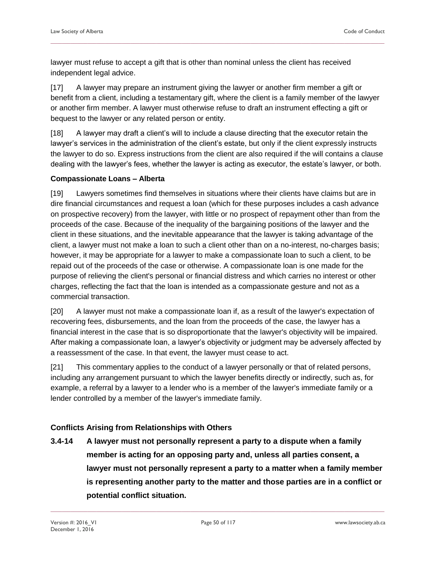lawyer must refuse to accept a gift that is other than nominal unless the client has received independent legal advice.

[17] A lawyer may prepare an instrument giving the lawyer or another firm member a gift or benefit from a client, including a testamentary gift, where the client is a family member of the lawyer or another firm member. A lawyer must otherwise refuse to draft an instrument effecting a gift or bequest to the lawyer or any related person or entity.

**\_\_\_\_\_\_\_\_\_\_\_\_\_\_\_\_\_\_\_\_\_\_\_\_\_\_\_\_\_\_\_\_\_\_\_\_\_\_\_\_\_\_\_\_\_\_\_\_\_\_\_\_\_\_\_\_\_\_\_\_\_\_\_\_\_\_\_\_\_\_\_\_\_\_\_\_\_\_\_\_\_\_\_\_\_\_\_\_\_\_\_\_\_\_\_\_\_\_\_\_\_\_\_\_\_\_\_\_\_\_\_\_\_\_\_\_\_**

[18] A lawyer may draft a client's will to include a clause directing that the executor retain the lawyer's services in the administration of the client's estate, but only if the client expressly instructs the lawyer to do so. Express instructions from the client are also required if the will contains a clause dealing with the lawyer's fees, whether the lawyer is acting as executor, the estate's lawyer, or both.

### **Compassionate Loans – Alberta**

[19] Lawyers sometimes find themselves in situations where their clients have claims but are in dire financial circumstances and request a loan (which for these purposes includes a cash advance on prospective recovery) from the lawyer, with little or no prospect of repayment other than from the proceeds of the case. Because of the inequality of the bargaining positions of the lawyer and the client in these situations, and the inevitable appearance that the lawyer is taking advantage of the client, a lawyer must not make a loan to such a client other than on a no-interest, no-charges basis; however, it may be appropriate for a lawyer to make a compassionate loan to such a client, to be repaid out of the proceeds of the case or otherwise. A compassionate loan is one made for the purpose of relieving the client's personal or financial distress and which carries no interest or other charges, reflecting the fact that the loan is intended as a compassionate gesture and not as a commercial transaction.

[20] A lawyer must not make a compassionate loan if, as a result of the lawyer's expectation of recovering fees, disbursements, and the loan from the proceeds of the case, the lawyer has a financial interest in the case that is so disproportionate that the lawyer's objectivity will be impaired. After making a compassionate loan, a lawyer's objectivity or judgment may be adversely affected by a reassessment of the case. In that event, the lawyer must cease to act.

[21] This commentary applies to the conduct of a lawyer personally or that of related persons, including any arrangement pursuant to which the lawyer benefits directly or indirectly, such as, for example, a referral by a lawyer to a lender who is a member of the lawyer's immediate family or a lender controlled by a member of the lawyer's immediate family.

## **Conflicts Arising from Relationships with Others**

**3.4-14 A lawyer must not personally represent a party to a dispute when a family member is acting for an opposing party and, unless all parties consent, a lawyer must not personally represent a party to a matter when a family member is representing another party to the matter and those parties are in a conflict or potential conflict situation.**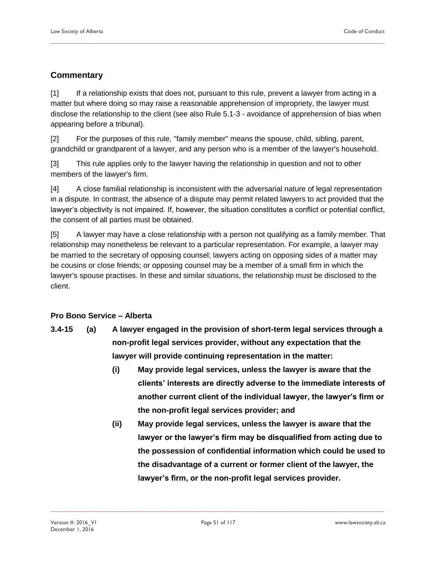# **Commentary**

[1] If a relationship exists that does not, pursuant to this rule, prevent a lawyer from acting in a matter but where doing so may raise a reasonable apprehension of impropriety, the lawyer must disclose the relationship to the client (see also Rule 5.1-3 - avoidance of apprehension of bias when appearing before a tribunal).

**\_\_\_\_\_\_\_\_\_\_\_\_\_\_\_\_\_\_\_\_\_\_\_\_\_\_\_\_\_\_\_\_\_\_\_\_\_\_\_\_\_\_\_\_\_\_\_\_\_\_\_\_\_\_\_\_\_\_\_\_\_\_\_\_\_\_\_\_\_\_\_\_\_\_\_\_\_\_\_\_\_\_\_\_\_\_\_\_\_\_\_\_\_\_\_\_\_\_\_\_\_\_\_\_\_\_\_\_\_\_\_\_\_\_\_\_\_**

[2] For the purposes of this rule, "family member" means the spouse, child, sibling, parent, grandchild or grandparent of a lawyer, and any person who is a member of the lawyer's household.

[3] This rule applies only to the lawyer having the relationship in question and not to other members of the lawyer's firm.

[4] A close familial relationship is inconsistent with the adversarial nature of legal representation in a dispute. In contrast, the absence of a dispute may permit related lawyers to act provided that the lawyer's objectivity is not impaired. If, however, the situation constitutes a conflict or potential conflict, the consent of all parties must be obtained.

[5] A lawyer may have a close relationship with a person not qualifying as a family member. That relationship may nonetheless be relevant to a particular representation. For example, a lawyer may be married to the secretary of opposing counsel; lawyers acting on opposing sides of a matter may be cousins or close friends; or opposing counsel may be a member of a small firm in which the lawyer's spouse practises. In these and similar situations, the relationship must be disclosed to the client.

## **Pro Bono Service – Alberta**

- **3.4-15 (a) A lawyer engaged in the provision of short-term legal services through a non-profit legal services provider, without any expectation that the lawyer will provide continuing representation in the matter:**
	- **(i) May provide legal services, unless the lawyer is aware that the clients' interests are directly adverse to the immediate interests of another current client of the individual lawyer, the lawyer's firm or the non-profit legal services provider; and**
	- **(ii) May provide legal services, unless the lawyer is aware that the lawyer or the lawyer's firm may be disqualified from acting due to the possession of confidential information which could be used to the disadvantage of a current or former client of the lawyer, the lawyer's firm, or the non-profit legal services provider.**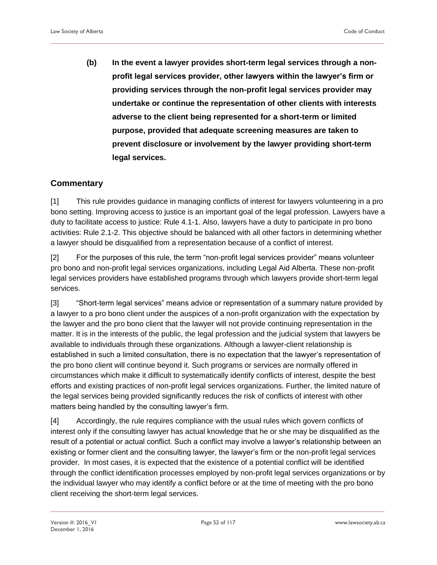**(b) In the event a lawyer provides short-term legal services through a nonprofit legal services provider, other lawyers within the lawyer's firm or providing services through the non-profit legal services provider may undertake or continue the representation of other clients with interests adverse to the client being represented for a short-term or limited purpose, provided that adequate screening measures are taken to prevent disclosure or involvement by the lawyer providing short-term legal services.**

**\_\_\_\_\_\_\_\_\_\_\_\_\_\_\_\_\_\_\_\_\_\_\_\_\_\_\_\_\_\_\_\_\_\_\_\_\_\_\_\_\_\_\_\_\_\_\_\_\_\_\_\_\_\_\_\_\_\_\_\_\_\_\_\_\_\_\_\_\_\_\_\_\_\_\_\_\_\_\_\_\_\_\_\_\_\_\_\_\_\_\_\_\_\_\_\_\_\_\_\_\_\_\_\_\_\_\_\_\_\_\_\_\_\_\_\_\_**

# **Commentary**

[1] This rule provides guidance in managing conflicts of interest for lawyers volunteering in a pro bono setting. Improving access to justice is an important goal of the legal profession. Lawyers have a duty to facilitate access to justice: Rule 4.1-1. Also, lawyers have a duty to participate in pro bono activities: Rule 2.1-2. This objective should be balanced with all other factors in determining whether a lawyer should be disqualified from a representation because of a conflict of interest.

[2] For the purposes of this rule, the term "non-profit legal services provider" means volunteer pro bono and non-profit legal services organizations, including Legal Aid Alberta. These non-profit legal services providers have established programs through which lawyers provide short-term legal services.

[3] "Short-term legal services" means advice or representation of a summary nature provided by a lawyer to a pro bono client under the auspices of a non-profit organization with the expectation by the lawyer and the pro bono client that the lawyer will not provide continuing representation in the matter. It is in the interests of the public, the legal profession and the judicial system that lawyers be available to individuals through these organizations. Although a lawyer-client relationship is established in such a limited consultation, there is no expectation that the lawyer's representation of the pro bono client will continue beyond it. Such programs or services are normally offered in circumstances which make it difficult to systematically identify conflicts of interest, despite the best efforts and existing practices of non-profit legal services organizations. Further, the limited nature of the legal services being provided significantly reduces the risk of conflicts of interest with other matters being handled by the consulting lawyer's firm.

[4] Accordingly, the rule requires compliance with the usual rules which govern conflicts of interest only if the consulting lawyer has actual knowledge that he or she may be disqualified as the result of a potential or actual conflict. Such a conflict may involve a lawyer's relationship between an existing or former client and the consulting lawyer, the lawyer's firm or the non-profit legal services provider. In most cases, it is expected that the existence of a potential conflict will be identified through the conflict identification processes employed by non-profit legal services organizations or by the individual lawyer who may identify a conflict before or at the time of meeting with the pro bono client receiving the short-term legal services.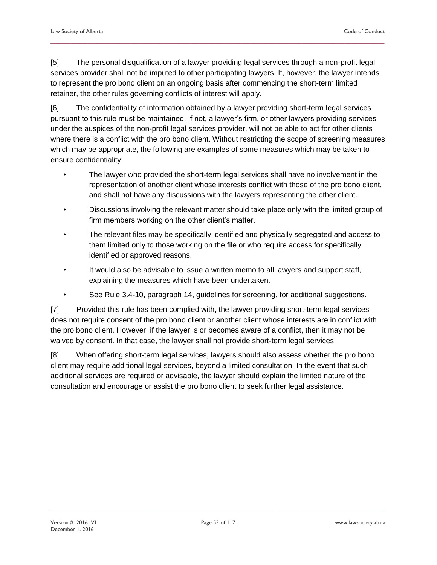[5] The personal disqualification of a lawyer providing legal services through a non-profit legal services provider shall not be imputed to other participating lawyers. If, however, the lawyer intends to represent the pro bono client on an ongoing basis after commencing the short-term limited retainer, the other rules governing conflicts of interest will apply.

**\_\_\_\_\_\_\_\_\_\_\_\_\_\_\_\_\_\_\_\_\_\_\_\_\_\_\_\_\_\_\_\_\_\_\_\_\_\_\_\_\_\_\_\_\_\_\_\_\_\_\_\_\_\_\_\_\_\_\_\_\_\_\_\_\_\_\_\_\_\_\_\_\_\_\_\_\_\_\_\_\_\_\_\_\_\_\_\_\_\_\_\_\_\_\_\_\_\_\_\_\_\_\_\_\_\_\_\_\_\_\_\_\_\_\_\_\_**

[6] The confidentiality of information obtained by a lawyer providing short-term legal services pursuant to this rule must be maintained. If not, a lawyer's firm, or other lawyers providing services under the auspices of the non-profit legal services provider, will not be able to act for other clients where there is a conflict with the pro bono client. Without restricting the scope of screening measures which may be appropriate, the following are examples of some measures which may be taken to ensure confidentiality:

- The lawyer who provided the short-term legal services shall have no involvement in the representation of another client whose interests conflict with those of the pro bono client, and shall not have any discussions with the lawyers representing the other client.
- Discussions involving the relevant matter should take place only with the limited group of firm members working on the other client's matter.
- The relevant files may be specifically identified and physically segregated and access to them limited only to those working on the file or who require access for specifically identified or approved reasons.
- It would also be advisable to issue a written memo to all lawyers and support staff, explaining the measures which have been undertaken.
- See Rule 3.4-10, paragraph 14, guidelines for screening, for additional suggestions.

[7] Provided this rule has been complied with, the lawyer providing short-term legal services does not require consent of the pro bono client or another client whose interests are in conflict with the pro bono client. However, if the lawyer is or becomes aware of a conflict, then it may not be waived by consent. In that case, the lawyer shall not provide short-term legal services.

[8] When offering short-term legal services, lawyers should also assess whether the pro bono client may require additional legal services, beyond a limited consultation. In the event that such additional services are required or advisable, the lawyer should explain the limited nature of the consultation and encourage or assist the pro bono client to seek further legal assistance.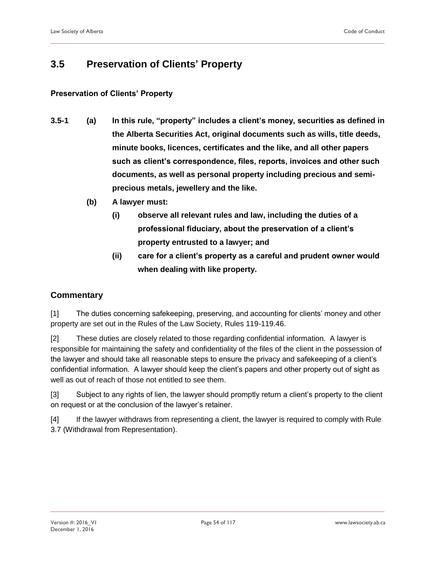# **3.5 Preservation of Clients' Property**

# **Preservation of Clients' Property**

**3.5-1 (a) In this rule, "property" includes a client's money, securities as defined in the Alberta Securities Act, original documents such as wills, title deeds, minute books, licences, certificates and the like, and all other papers such as client's correspondence, files, reports, invoices and other such documents, as well as personal property including precious and semiprecious metals, jewellery and the like.**

**\_\_\_\_\_\_\_\_\_\_\_\_\_\_\_\_\_\_\_\_\_\_\_\_\_\_\_\_\_\_\_\_\_\_\_\_\_\_\_\_\_\_\_\_\_\_\_\_\_\_\_\_\_\_\_\_\_\_\_\_\_\_\_\_\_\_\_\_\_\_\_\_\_\_\_\_\_\_\_\_\_\_\_\_\_\_\_\_\_\_\_\_\_\_\_\_\_\_\_\_\_\_\_\_\_\_\_\_\_\_\_\_\_\_\_\_\_**

- **(b) A lawyer must:** 
	- **(i) observe all relevant rules and law, including the duties of a professional fiduciary, about the preservation of a client's property entrusted to a lawyer; and**
	- **(ii) care for a client's property as a careful and prudent owner would when dealing with like property.**

# **Commentary**

[1] The duties concerning safekeeping, preserving, and accounting for clients' money and other property are set out in the Rules of the Law Society, Rules 119-119.46.

[2] These duties are closely related to those regarding confidential information. A lawyer is responsible for maintaining the safety and confidentiality of the files of the client in the possession of the lawyer and should take all reasonable steps to ensure the privacy and safekeeping of a client's confidential information. A lawyer should keep the client's papers and other property out of sight as well as out of reach of those not entitled to see them.

[3] Subject to any rights of lien, the lawyer should promptly return a client's property to the client on request or at the conclusion of the lawyer's retainer.

[4] If the lawyer withdraws from representing a client, the lawyer is required to comply with Rule 3.7 (Withdrawal from Representation).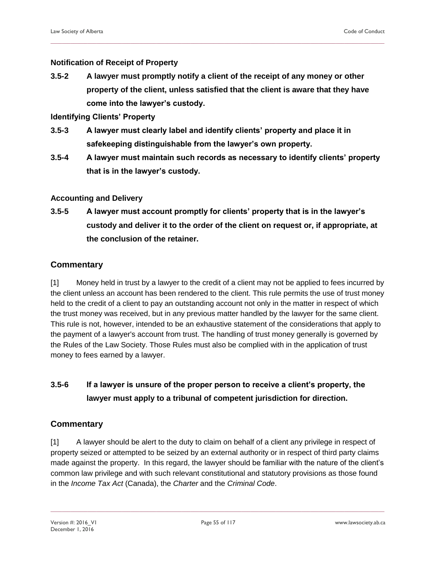### **Notification of Receipt of Property**

**3.5-2 A lawyer must promptly notify a client of the receipt of any money or other property of the client, unless satisfied that the client is aware that they have come into the lawyer's custody.**

**\_\_\_\_\_\_\_\_\_\_\_\_\_\_\_\_\_\_\_\_\_\_\_\_\_\_\_\_\_\_\_\_\_\_\_\_\_\_\_\_\_\_\_\_\_\_\_\_\_\_\_\_\_\_\_\_\_\_\_\_\_\_\_\_\_\_\_\_\_\_\_\_\_\_\_\_\_\_\_\_\_\_\_\_\_\_\_\_\_\_\_\_\_\_\_\_\_\_\_\_\_\_\_\_\_\_\_\_\_\_\_\_\_\_\_\_\_**

### **Identifying Clients' Property**

- **3.5-3 A lawyer must clearly label and identify clients' property and place it in safekeeping distinguishable from the lawyer's own property.**
- **3.5-4 A lawyer must maintain such records as necessary to identify clients' property that is in the lawyer's custody.**

### **Accounting and Delivery**

**3.5-5 A lawyer must account promptly for clients' property that is in the lawyer's custody and deliver it to the order of the client on request or, if appropriate, at the conclusion of the retainer.**

## **Commentary**

[1] Money held in trust by a lawyer to the credit of a client may not be applied to fees incurred by the client unless an account has been rendered to the client. This rule permits the use of trust money held to the credit of a client to pay an outstanding account not only in the matter in respect of which the trust money was received, but in any previous matter handled by the lawyer for the same client. This rule is not, however, intended to be an exhaustive statement of the considerations that apply to the payment of a lawyer's account from trust. The handling of trust money generally is governed by the Rules of the Law Society. Those Rules must also be complied with in the application of trust money to fees earned by a lawyer.

# **3.5-6 If a lawyer is unsure of the proper person to receive a client's property, the lawyer must apply to a tribunal of competent jurisdiction for direction.**

## **Commentary**

[1] A lawyer should be alert to the duty to claim on behalf of a client any privilege in respect of property seized or attempted to be seized by an external authority or in respect of third party claims made against the property. In this regard, the lawyer should be familiar with the nature of the client's common law privilege and with such relevant constitutional and statutory provisions as those found in the *Income Tax Act* (Canada), the *Charter* and the *Criminal Code*.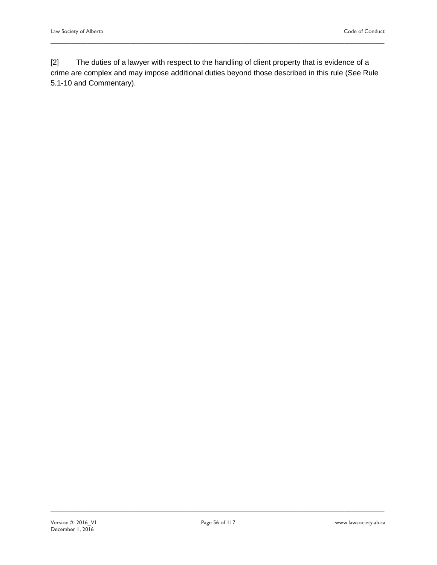[2] The duties of a lawyer with respect to the handling of client property that is evidence of a crime are complex and may impose additional duties beyond those described in this rule (See Rule 5.1-10 and Commentary).

**\_\_\_\_\_\_\_\_\_\_\_\_\_\_\_\_\_\_\_\_\_\_\_\_\_\_\_\_\_\_\_\_\_\_\_\_\_\_\_\_\_\_\_\_\_\_\_\_\_\_\_\_\_\_\_\_\_\_\_\_\_\_\_\_\_\_\_\_\_\_\_\_\_\_\_\_\_\_\_\_\_\_\_\_\_\_\_\_\_\_\_\_\_\_\_\_\_\_\_\_\_\_\_\_\_\_\_\_\_\_\_\_\_\_\_\_\_**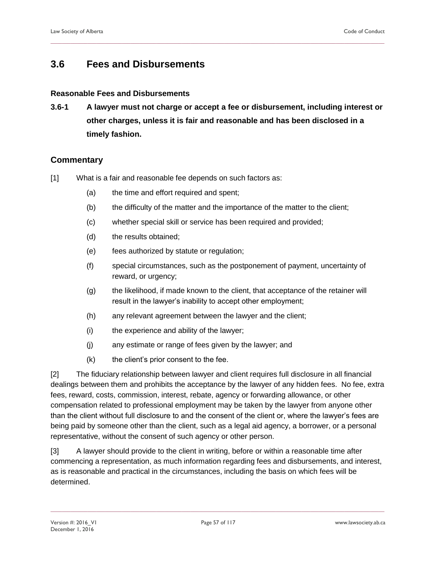# **3.6 Fees and Disbursements**

### **Reasonable Fees and Disbursements**

**3.6-1 A lawyer must not charge or accept a fee or disbursement, including interest or other charges, unless it is fair and reasonable and has been disclosed in a timely fashion.**

**\_\_\_\_\_\_\_\_\_\_\_\_\_\_\_\_\_\_\_\_\_\_\_\_\_\_\_\_\_\_\_\_\_\_\_\_\_\_\_\_\_\_\_\_\_\_\_\_\_\_\_\_\_\_\_\_\_\_\_\_\_\_\_\_\_\_\_\_\_\_\_\_\_\_\_\_\_\_\_\_\_\_\_\_\_\_\_\_\_\_\_\_\_\_\_\_\_\_\_\_\_\_\_\_\_\_\_\_\_\_\_\_\_\_\_\_\_**

# **Commentary**

- [1] What is a fair and reasonable fee depends on such factors as:
	- (a) the time and effort required and spent;
	- (b) the difficulty of the matter and the importance of the matter to the client;
	- (c) whether special skill or service has been required and provided;
	- (d) the results obtained;
	- (e) fees authorized by statute or regulation;
	- (f) special circumstances, such as the postponement of payment, uncertainty of reward, or urgency;
	- (g) the likelihood, if made known to the client, that acceptance of the retainer will result in the lawyer's inability to accept other employment;
	- (h) any relevant agreement between the lawyer and the client;
	- (i) the experience and ability of the lawyer;
	- (j) any estimate or range of fees given by the lawyer; and
	- $(k)$  the client's prior consent to the fee.

[2] The fiduciary relationship between lawyer and client requires full disclosure in all financial dealings between them and prohibits the acceptance by the lawyer of any hidden fees. No fee, extra fees, reward, costs, commission, interest, rebate, agency or forwarding allowance, or other compensation related to professional employment may be taken by the lawyer from anyone other than the client without full disclosure to and the consent of the client or, where the lawyer's fees are being paid by someone other than the client, such as a legal aid agency, a borrower, or a personal representative, without the consent of such agency or other person.

[3] A lawyer should provide to the client in writing, before or within a reasonable time after commencing a representation, as much information regarding fees and disbursements, and interest, as is reasonable and practical in the circumstances, including the basis on which fees will be determined.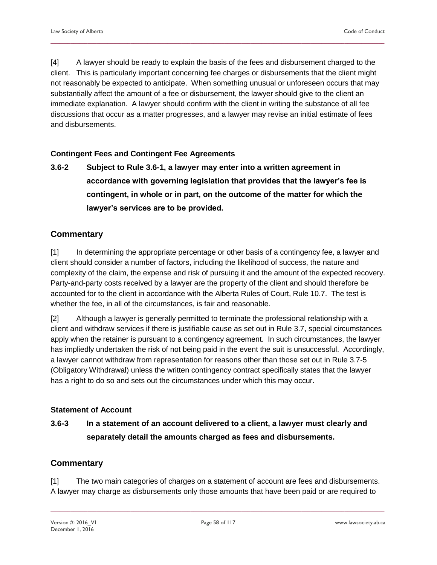[4] A lawyer should be ready to explain the basis of the fees and disbursement charged to the client. This is particularly important concerning fee charges or disbursements that the client might not reasonably be expected to anticipate. When something unusual or unforeseen occurs that may substantially affect the amount of a fee or disbursement, the lawyer should give to the client an immediate explanation. A lawyer should confirm with the client in writing the substance of all fee discussions that occur as a matter progresses, and a lawyer may revise an initial estimate of fees and disbursements.

**\_\_\_\_\_\_\_\_\_\_\_\_\_\_\_\_\_\_\_\_\_\_\_\_\_\_\_\_\_\_\_\_\_\_\_\_\_\_\_\_\_\_\_\_\_\_\_\_\_\_\_\_\_\_\_\_\_\_\_\_\_\_\_\_\_\_\_\_\_\_\_\_\_\_\_\_\_\_\_\_\_\_\_\_\_\_\_\_\_\_\_\_\_\_\_\_\_\_\_\_\_\_\_\_\_\_\_\_\_\_\_\_\_\_\_\_\_**

## **Contingent Fees and Contingent Fee Agreements**

**3.6-2 Subject to Rule 3.6-1, a lawyer may enter into a written agreement in accordance with governing legislation that provides that the lawyer's fee is contingent, in whole or in part, on the outcome of the matter for which the lawyer's services are to be provided.**

# **Commentary**

[1] In determining the appropriate percentage or other basis of a contingency fee, a lawyer and client should consider a number of factors, including the likelihood of success, the nature and complexity of the claim, the expense and risk of pursuing it and the amount of the expected recovery. Party-and-party costs received by a lawyer are the property of the client and should therefore be accounted for to the client in accordance with the Alberta Rules of Court, Rule 10.7. The test is whether the fee, in all of the circumstances, is fair and reasonable.

[2] Although a lawyer is generally permitted to terminate the professional relationship with a client and withdraw services if there is justifiable cause as set out in Rule 3.7, special circumstances apply when the retainer is pursuant to a contingency agreement. In such circumstances, the lawyer has impliedly undertaken the risk of not being paid in the event the suit is unsuccessful. Accordingly, a lawyer cannot withdraw from representation for reasons other than those set out in Rule 3.7-5 (Obligatory Withdrawal) unless the written contingency contract specifically states that the lawyer has a right to do so and sets out the circumstances under which this may occur.

### **Statement of Account**

# **3.6-3 In a statement of an account delivered to a client, a lawyer must clearly and separately detail the amounts charged as fees and disbursements.**

## **Commentary**

[1] The two main categories of charges on a statement of account are fees and disbursements. A lawyer may charge as disbursements only those amounts that have been paid or are required to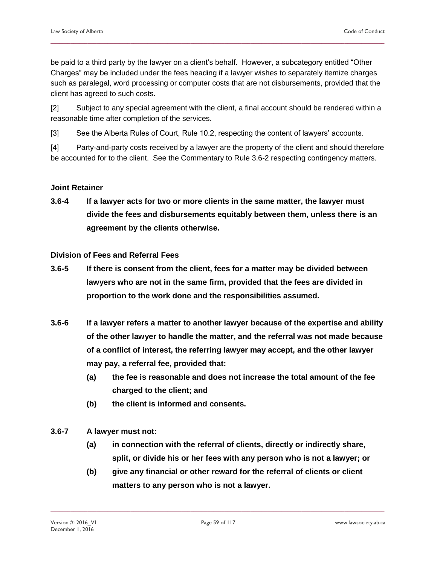be paid to a third party by the lawyer on a client's behalf. However, a subcategory entitled "Other Charges" may be included under the fees heading if a lawyer wishes to separately itemize charges such as paralegal, word processing or computer costs that are not disbursements, provided that the client has agreed to such costs.

**\_\_\_\_\_\_\_\_\_\_\_\_\_\_\_\_\_\_\_\_\_\_\_\_\_\_\_\_\_\_\_\_\_\_\_\_\_\_\_\_\_\_\_\_\_\_\_\_\_\_\_\_\_\_\_\_\_\_\_\_\_\_\_\_\_\_\_\_\_\_\_\_\_\_\_\_\_\_\_\_\_\_\_\_\_\_\_\_\_\_\_\_\_\_\_\_\_\_\_\_\_\_\_\_\_\_\_\_\_\_\_\_\_\_\_\_\_**

[2] Subject to any special agreement with the client, a final account should be rendered within a reasonable time after completion of the services.

[3] See the Alberta Rules of Court, Rule 10.2, respecting the content of lawyers' accounts.

[4] Party-and-party costs received by a lawyer are the property of the client and should therefore be accounted for to the client. See the Commentary to Rule 3.6-2 respecting contingency matters.

### **Joint Retainer**

**3.6-4 If a lawyer acts for two or more clients in the same matter, the lawyer must divide the fees and disbursements equitably between them, unless there is an agreement by the clients otherwise.**

### **Division of Fees and Referral Fees**

- **3.6-5 If there is consent from the client, fees for a matter may be divided between lawyers who are not in the same firm, provided that the fees are divided in proportion to the work done and the responsibilities assumed.**
- **3.6-6 If a lawyer refers a matter to another lawyer because of the expertise and ability of the other lawyer to handle the matter, and the referral was not made because of a conflict of interest, the referring lawyer may accept, and the other lawyer may pay, a referral fee, provided that:**
	- **(a) the fee is reasonable and does not increase the total amount of the fee charged to the client; and**
	- **(b) the client is informed and consents.**
- **3.6-7 A lawyer must not:**
	- **(a) in connection with the referral of clients, directly or indirectly share, split, or divide his or her fees with any person who is not a lawyer; or**
	- **(b) give any financial or other reward for the referral of clients or client matters to any person who is not a lawyer.**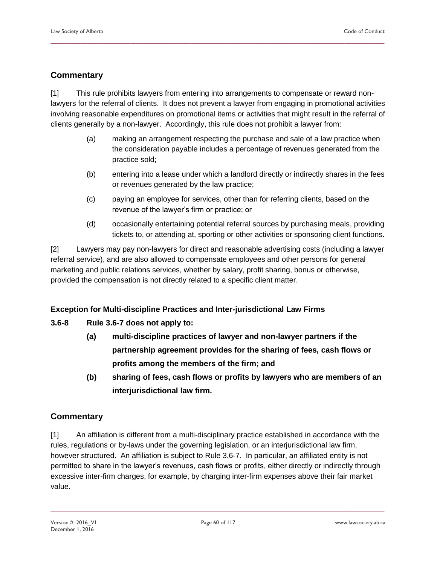# **Commentary**

[1] This rule prohibits lawyers from entering into arrangements to compensate or reward nonlawyers for the referral of clients. It does not prevent a lawyer from engaging in promotional activities involving reasonable expenditures on promotional items or activities that might result in the referral of clients generally by a non-lawyer. Accordingly, this rule does not prohibit a lawyer from:

**\_\_\_\_\_\_\_\_\_\_\_\_\_\_\_\_\_\_\_\_\_\_\_\_\_\_\_\_\_\_\_\_\_\_\_\_\_\_\_\_\_\_\_\_\_\_\_\_\_\_\_\_\_\_\_\_\_\_\_\_\_\_\_\_\_\_\_\_\_\_\_\_\_\_\_\_\_\_\_\_\_\_\_\_\_\_\_\_\_\_\_\_\_\_\_\_\_\_\_\_\_\_\_\_\_\_\_\_\_\_\_\_\_\_\_\_\_**

- (a) making an arrangement respecting the purchase and sale of a law practice when the consideration payable includes a percentage of revenues generated from the practice sold;
- (b) entering into a lease under which a landlord directly or indirectly shares in the fees or revenues generated by the law practice;
- (c) paying an employee for services, other than for referring clients, based on the revenue of the lawyer's firm or practice; or
- (d) occasionally entertaining potential referral sources by purchasing meals, providing tickets to, or attending at, sporting or other activities or sponsoring client functions.

[2] Lawyers may pay non-lawyers for direct and reasonable advertising costs (including a lawyer referral service), and are also allowed to compensate employees and other persons for general marketing and public relations services, whether by salary, profit sharing, bonus or otherwise, provided the compensation is not directly related to a specific client matter.

## **Exception for Multi-discipline Practices and Inter-jurisdictional Law Firms**

- **3.6-8 Rule 3.6-7 does not apply to:**
	- **(a) multi-discipline practices of lawyer and non-lawyer partners if the partnership agreement provides for the sharing of fees, cash flows or profits among the members of the firm; and**
	- **(b) sharing of fees, cash flows or profits by lawyers who are members of an interjurisdictional law firm.**

# **Commentary**

[1] An affiliation is different from a multi-disciplinary practice established in accordance with the rules, regulations or by-laws under the governing legislation, or an interjurisdictional law firm, however structured. An affiliation is subject to Rule 3.6-7. In particular, an affiliated entity is not permitted to share in the lawyer's revenues, cash flows or profits, either directly or indirectly through excessive inter-firm charges, for example, by charging inter-firm expenses above their fair market value.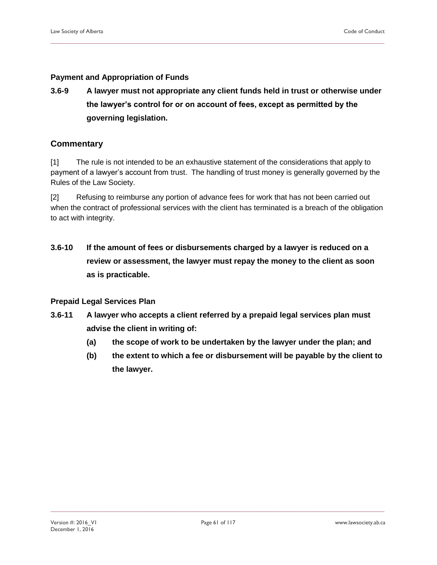### **Payment and Appropriation of Funds**

**3.6-9 A lawyer must not appropriate any client funds held in trust or otherwise under the lawyer's control for or on account of fees, except as permitted by the governing legislation.**

**\_\_\_\_\_\_\_\_\_\_\_\_\_\_\_\_\_\_\_\_\_\_\_\_\_\_\_\_\_\_\_\_\_\_\_\_\_\_\_\_\_\_\_\_\_\_\_\_\_\_\_\_\_\_\_\_\_\_\_\_\_\_\_\_\_\_\_\_\_\_\_\_\_\_\_\_\_\_\_\_\_\_\_\_\_\_\_\_\_\_\_\_\_\_\_\_\_\_\_\_\_\_\_\_\_\_\_\_\_\_\_\_\_\_\_\_\_**

## **Commentary**

[1] The rule is not intended to be an exhaustive statement of the considerations that apply to payment of a lawyer's account from trust. The handling of trust money is generally governed by the Rules of the Law Society.

[2] Refusing to reimburse any portion of advance fees for work that has not been carried out when the contract of professional services with the client has terminated is a breach of the obligation to act with integrity.

**3.6-10 If the amount of fees or disbursements charged by a lawyer is reduced on a review or assessment, the lawyer must repay the money to the client as soon as is practicable.**

## **Prepaid Legal Services Plan**

- **3.6-11 A lawyer who accepts a client referred by a prepaid legal services plan must advise the client in writing of:** 
	- **(a) the scope of work to be undertaken by the lawyer under the plan; and**
	- **(b) the extent to which a fee or disbursement will be payable by the client to the lawyer.**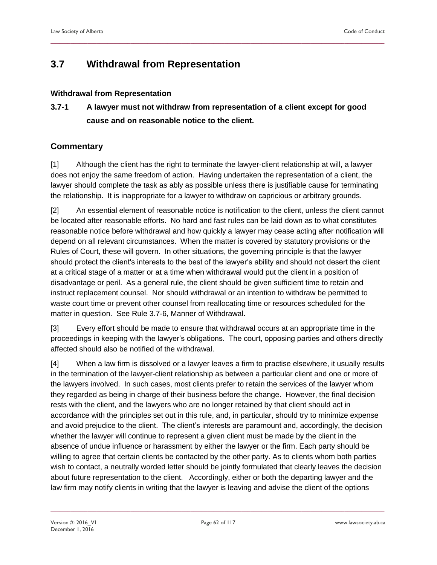# **3.7 Withdrawal from Representation**

## **Withdrawal from Representation**

**3.7-1 A lawyer must not withdraw from representation of a client except for good cause and on reasonable notice to the client.**

**\_\_\_\_\_\_\_\_\_\_\_\_\_\_\_\_\_\_\_\_\_\_\_\_\_\_\_\_\_\_\_\_\_\_\_\_\_\_\_\_\_\_\_\_\_\_\_\_\_\_\_\_\_\_\_\_\_\_\_\_\_\_\_\_\_\_\_\_\_\_\_\_\_\_\_\_\_\_\_\_\_\_\_\_\_\_\_\_\_\_\_\_\_\_\_\_\_\_\_\_\_\_\_\_\_\_\_\_\_\_\_\_\_\_\_\_\_**

# **Commentary**

[1] Although the client has the right to terminate the lawyer-client relationship at will, a lawyer does not enjoy the same freedom of action. Having undertaken the representation of a client, the lawyer should complete the task as ably as possible unless there is justifiable cause for terminating the relationship. It is inappropriate for a lawyer to withdraw on capricious or arbitrary grounds.

[2] An essential element of reasonable notice is notification to the client, unless the client cannot be located after reasonable efforts. No hard and fast rules can be laid down as to what constitutes reasonable notice before withdrawal and how quickly a lawyer may cease acting after notification will depend on all relevant circumstances. When the matter is covered by statutory provisions or the Rules of Court, these will govern. In other situations, the governing principle is that the lawyer should protect the client's interests to the best of the lawyer's ability and should not desert the client at a critical stage of a matter or at a time when withdrawal would put the client in a position of disadvantage or peril. As a general rule, the client should be given sufficient time to retain and instruct replacement counsel. Nor should withdrawal or an intention to withdraw be permitted to waste court time or prevent other counsel from reallocating time or resources scheduled for the matter in question. See Rule 3.7-6, Manner of Withdrawal.

[3] Every effort should be made to ensure that withdrawal occurs at an appropriate time in the proceedings in keeping with the lawyer's obligations. The court, opposing parties and others directly affected should also be notified of the withdrawal.

[4] When a law firm is dissolved or a lawyer leaves a firm to practise elsewhere, it usually results in the termination of the lawyer-client relationship as between a particular client and one or more of the lawyers involved. In such cases, most clients prefer to retain the services of the lawyer whom they regarded as being in charge of their business before the change. However, the final decision rests with the client, and the lawyers who are no longer retained by that client should act in accordance with the principles set out in this rule, and, in particular, should try to minimize expense and avoid prejudice to the client. The client's interests are paramount and, accordingly, the decision whether the lawyer will continue to represent a given client must be made by the client in the absence of undue influence or harassment by either the lawyer or the firm. Each party should be willing to agree that certain clients be contacted by the other party. As to clients whom both parties wish to contact, a neutrally worded letter should be jointly formulated that clearly leaves the decision about future representation to the client. Accordingly, either or both the departing lawyer and the law firm may notify clients in writing that the lawyer is leaving and advise the client of the options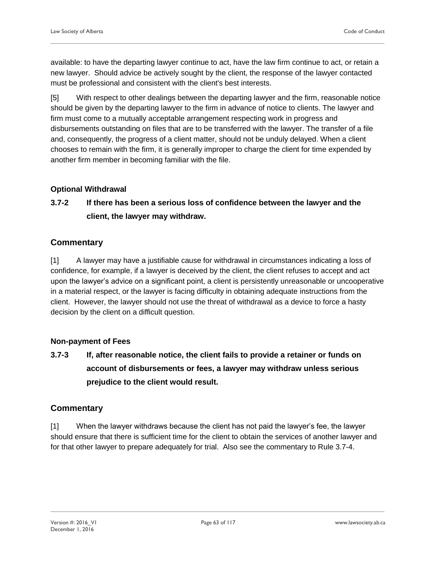available: to have the departing lawyer continue to act, have the law firm continue to act, or retain a new lawyer. Should advice be actively sought by the client, the response of the lawyer contacted must be professional and consistent with the client's best interests.

**\_\_\_\_\_\_\_\_\_\_\_\_\_\_\_\_\_\_\_\_\_\_\_\_\_\_\_\_\_\_\_\_\_\_\_\_\_\_\_\_\_\_\_\_\_\_\_\_\_\_\_\_\_\_\_\_\_\_\_\_\_\_\_\_\_\_\_\_\_\_\_\_\_\_\_\_\_\_\_\_\_\_\_\_\_\_\_\_\_\_\_\_\_\_\_\_\_\_\_\_\_\_\_\_\_\_\_\_\_\_\_\_\_\_\_\_\_**

[5] With respect to other dealings between the departing lawyer and the firm, reasonable notice should be given by the departing lawyer to the firm in advance of notice to clients. The lawyer and firm must come to a mutually acceptable arrangement respecting work in progress and disbursements outstanding on files that are to be transferred with the lawyer. The transfer of a file and, consequently, the progress of a client matter, should not be unduly delayed. When a client chooses to remain with the firm, it is generally improper to charge the client for time expended by another firm member in becoming familiar with the file.

## **Optional Withdrawal**

# **3.7-2 If there has been a serious loss of confidence between the lawyer and the client, the lawyer may withdraw.**

# **Commentary**

[1] A lawyer may have a justifiable cause for withdrawal in circumstances indicating a loss of confidence, for example, if a lawyer is deceived by the client, the client refuses to accept and act upon the lawyer's advice on a significant point, a client is persistently unreasonable or uncooperative in a material respect, or the lawyer is facing difficulty in obtaining adequate instructions from the client. However, the lawyer should not use the threat of withdrawal as a device to force a hasty decision by the client on a difficult question.

## **Non-payment of Fees**

**3.7-3 If, after reasonable notice, the client fails to provide a retainer or funds on account of disbursements or fees, a lawyer may withdraw unless serious prejudice to the client would result.** 

## **Commentary**

[1] When the lawyer withdraws because the client has not paid the lawyer's fee, the lawyer should ensure that there is sufficient time for the client to obtain the services of another lawyer and for that other lawyer to prepare adequately for trial. Also see the commentary to Rule 3.7-4.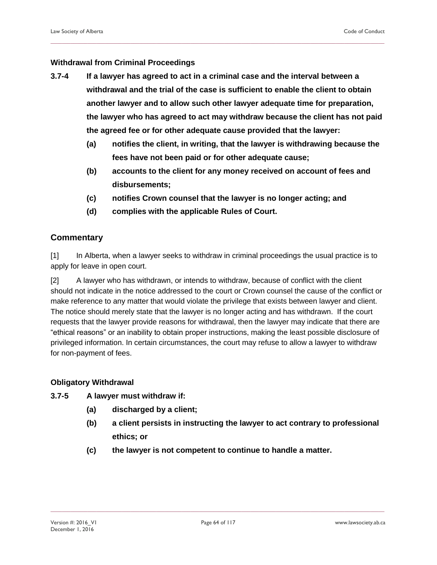### **Withdrawal from Criminal Proceedings**

**3.7-4 If a lawyer has agreed to act in a criminal case and the interval between a withdrawal and the trial of the case is sufficient to enable the client to obtain another lawyer and to allow such other lawyer adequate time for preparation, the lawyer who has agreed to act may withdraw because the client has not paid the agreed fee or for other adequate cause provided that the lawyer:**

**\_\_\_\_\_\_\_\_\_\_\_\_\_\_\_\_\_\_\_\_\_\_\_\_\_\_\_\_\_\_\_\_\_\_\_\_\_\_\_\_\_\_\_\_\_\_\_\_\_\_\_\_\_\_\_\_\_\_\_\_\_\_\_\_\_\_\_\_\_\_\_\_\_\_\_\_\_\_\_\_\_\_\_\_\_\_\_\_\_\_\_\_\_\_\_\_\_\_\_\_\_\_\_\_\_\_\_\_\_\_\_\_\_\_\_\_\_**

- **(a) notifies the client, in writing, that the lawyer is withdrawing because the fees have not been paid or for other adequate cause;**
- **(b) accounts to the client for any money received on account of fees and disbursements;**
- **(c) notifies Crown counsel that the lawyer is no longer acting; and**
- **(d) complies with the applicable Rules of Court.**

# **Commentary**

[1] In Alberta, when a lawyer seeks to withdraw in criminal proceedings the usual practice is to apply for leave in open court.

[2] A lawyer who has withdrawn, or intends to withdraw, because of conflict with the client should not indicate in the notice addressed to the court or Crown counsel the cause of the conflict or make reference to any matter that would violate the privilege that exists between lawyer and client. The notice should merely state that the lawyer is no longer acting and has withdrawn. If the court requests that the lawyer provide reasons for withdrawal, then the lawyer may indicate that there are "ethical reasons" or an inability to obtain proper instructions, making the least possible disclosure of privileged information. In certain circumstances, the court may refuse to allow a lawyer to withdraw for non-payment of fees.

## **Obligatory Withdrawal**

- **3.7-5 A lawyer must withdraw if:**
	- **(a) discharged by a client;**
	- **(b) a client persists in instructing the lawyer to act contrary to professional ethics; or**
	- **(c) the lawyer is not competent to continue to handle a matter.**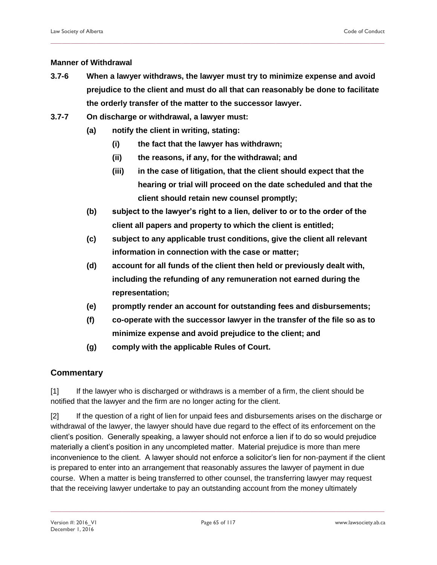### **Manner of Withdrawal**

**3.7-6 When a lawyer withdraws, the lawyer must try to minimize expense and avoid prejudice to the client and must do all that can reasonably be done to facilitate the orderly transfer of the matter to the successor lawyer.**

**\_\_\_\_\_\_\_\_\_\_\_\_\_\_\_\_\_\_\_\_\_\_\_\_\_\_\_\_\_\_\_\_\_\_\_\_\_\_\_\_\_\_\_\_\_\_\_\_\_\_\_\_\_\_\_\_\_\_\_\_\_\_\_\_\_\_\_\_\_\_\_\_\_\_\_\_\_\_\_\_\_\_\_\_\_\_\_\_\_\_\_\_\_\_\_\_\_\_\_\_\_\_\_\_\_\_\_\_\_\_\_\_\_\_\_\_\_**

- **3.7-7 On discharge or withdrawal, a lawyer must:**
	- **(a) notify the client in writing, stating:**
		- **(i) the fact that the lawyer has withdrawn;**
		- **(ii) the reasons, if any, for the withdrawal; and**
		- **(iii) in the case of litigation, that the client should expect that the hearing or trial will proceed on the date scheduled and that the client should retain new counsel promptly;**
	- **(b) subject to the lawyer's right to a lien, deliver to or to the order of the client all papers and property to which the client is entitled;**
	- **(c) subject to any applicable trust conditions, give the client all relevant information in connection with the case or matter;**
	- **(d) account for all funds of the client then held or previously dealt with, including the refunding of any remuneration not earned during the representation;**
	- **(e) promptly render an account for outstanding fees and disbursements;**
	- **(f) co-operate with the successor lawyer in the transfer of the file so as to minimize expense and avoid prejudice to the client; and**
	- **(g) comply with the applicable Rules of Court.**

# **Commentary**

[1] If the lawyer who is discharged or withdraws is a member of a firm, the client should be notified that the lawyer and the firm are no longer acting for the client.

[2] If the question of a right of lien for unpaid fees and disbursements arises on the discharge or withdrawal of the lawyer, the lawyer should have due regard to the effect of its enforcement on the client's position. Generally speaking, a lawyer should not enforce a lien if to do so would prejudice materially a client's position in any uncompleted matter. Material prejudice is more than mere inconvenience to the client. A lawyer should not enforce a solicitor's lien for non-payment if the client is prepared to enter into an arrangement that reasonably assures the lawyer of payment in due course. When a matter is being transferred to other counsel, the transferring lawyer may request that the receiving lawyer undertake to pay an outstanding account from the money ultimately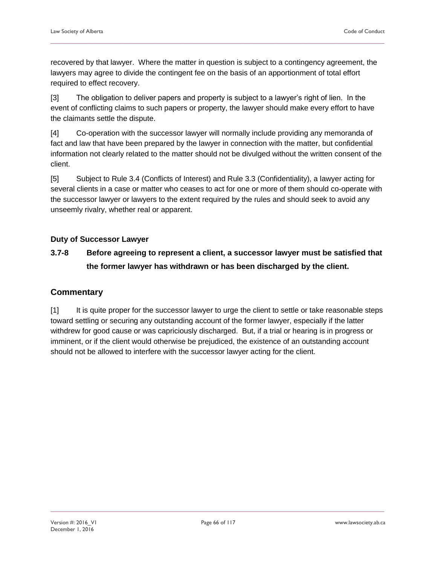recovered by that lawyer. Where the matter in question is subject to a contingency agreement, the lawyers may agree to divide the contingent fee on the basis of an apportionment of total effort required to effect recovery.

**\_\_\_\_\_\_\_\_\_\_\_\_\_\_\_\_\_\_\_\_\_\_\_\_\_\_\_\_\_\_\_\_\_\_\_\_\_\_\_\_\_\_\_\_\_\_\_\_\_\_\_\_\_\_\_\_\_\_\_\_\_\_\_\_\_\_\_\_\_\_\_\_\_\_\_\_\_\_\_\_\_\_\_\_\_\_\_\_\_\_\_\_\_\_\_\_\_\_\_\_\_\_\_\_\_\_\_\_\_\_\_\_\_\_\_\_\_**

[3] The obligation to deliver papers and property is subject to a lawyer's right of lien. In the event of conflicting claims to such papers or property, the lawyer should make every effort to have the claimants settle the dispute.

[4] Co-operation with the successor lawyer will normally include providing any memoranda of fact and law that have been prepared by the lawyer in connection with the matter, but confidential information not clearly related to the matter should not be divulged without the written consent of the client.

[5] Subject to Rule 3.4 (Conflicts of Interest) and Rule 3.3 (Confidentiality), a lawyer acting for several clients in a case or matter who ceases to act for one or more of them should co-operate with the successor lawyer or lawyers to the extent required by the rules and should seek to avoid any unseemly rivalry, whether real or apparent.

## **Duty of Successor Lawyer**

# **3.7-8 Before agreeing to represent a client, a successor lawyer must be satisfied that the former lawyer has withdrawn or has been discharged by the client.**

# **Commentary**

[1] It is quite proper for the successor lawyer to urge the client to settle or take reasonable steps toward settling or securing any outstanding account of the former lawyer, especially if the latter withdrew for good cause or was capriciously discharged. But, if a trial or hearing is in progress or imminent, or if the client would otherwise be prejudiced, the existence of an outstanding account should not be allowed to interfere with the successor lawyer acting for the client.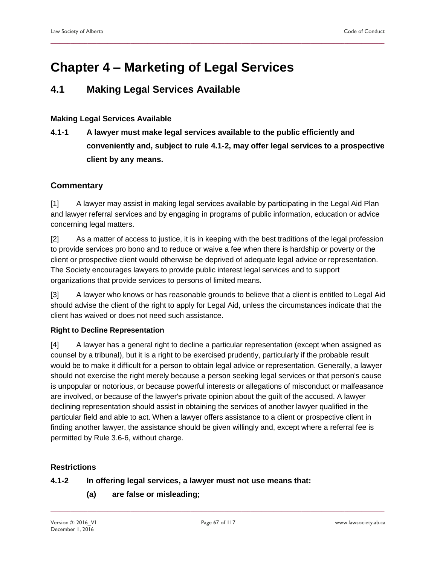# **Chapter 4 – Marketing of Legal Services**

# **4.1 Making Legal Services Available**

#### **Making Legal Services Available**

**4.1-1 A lawyer must make legal services available to the public efficiently and conveniently and, subject to rule 4.1-2, may offer legal services to a prospective client by any means.** 

**\_\_\_\_\_\_\_\_\_\_\_\_\_\_\_\_\_\_\_\_\_\_\_\_\_\_\_\_\_\_\_\_\_\_\_\_\_\_\_\_\_\_\_\_\_\_\_\_\_\_\_\_\_\_\_\_\_\_\_\_\_\_\_\_\_\_\_\_\_\_\_\_\_\_\_\_\_\_\_\_\_\_\_\_\_\_\_\_\_\_\_\_\_\_\_\_\_\_\_\_\_\_\_\_\_\_\_\_\_\_\_\_\_\_\_\_\_**

# **Commentary**

[1] A lawyer may assist in making legal services available by participating in the Legal Aid Plan and lawyer referral services and by engaging in programs of public information, education or advice concerning legal matters.

[2] As a matter of access to justice, it is in keeping with the best traditions of the legal profession to provide services pro bono and to reduce or waive a fee when there is hardship or poverty or the client or prospective client would otherwise be deprived of adequate legal advice or representation. The Society encourages lawyers to provide public interest legal services and to support organizations that provide services to persons of limited means.

[3] A lawyer who knows or has reasonable grounds to believe that a client is entitled to Legal Aid should advise the client of the right to apply for Legal Aid, unless the circumstances indicate that the client has waived or does not need such assistance.

#### **Right to Decline Representation**

[4] A lawyer has a general right to decline a particular representation (except when assigned as counsel by a tribunal), but it is a right to be exercised prudently, particularly if the probable result would be to make it difficult for a person to obtain legal advice or representation. Generally, a lawyer should not exercise the right merely because a person seeking legal services or that person's cause is unpopular or notorious, or because powerful interests or allegations of misconduct or malfeasance are involved, or because of the lawyer's private opinion about the guilt of the accused. A lawyer declining representation should assist in obtaining the services of another lawyer qualified in the particular field and able to act. When a lawyer offers assistance to a client or prospective client in finding another lawyer, the assistance should be given willingly and, except where a referral fee is permitted by Rule 3.6-6, without charge.

#### **Restrictions**

#### **4.1-2 In offering legal services, a lawyer must not use means that:**

**(a) are false or misleading;**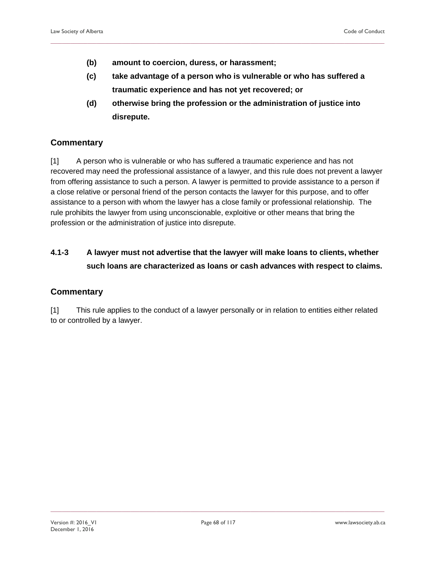- **(b) amount to coercion, duress, or harassment;**
- **(c) take advantage of a person who is vulnerable or who has suffered a traumatic experience and has not yet recovered; or**

**\_\_\_\_\_\_\_\_\_\_\_\_\_\_\_\_\_\_\_\_\_\_\_\_\_\_\_\_\_\_\_\_\_\_\_\_\_\_\_\_\_\_\_\_\_\_\_\_\_\_\_\_\_\_\_\_\_\_\_\_\_\_\_\_\_\_\_\_\_\_\_\_\_\_\_\_\_\_\_\_\_\_\_\_\_\_\_\_\_\_\_\_\_\_\_\_\_\_\_\_\_\_\_\_\_\_\_\_\_\_\_\_\_\_\_\_\_**

**(d) otherwise bring the profession or the administration of justice into disrepute.**

### **Commentary**

[1] A person who is vulnerable or who has suffered a traumatic experience and has not recovered may need the professional assistance of a lawyer, and this rule does not prevent a lawyer from offering assistance to such a person. A lawyer is permitted to provide assistance to a person if a close relative or personal friend of the person contacts the lawyer for this purpose, and to offer assistance to a person with whom the lawyer has a close family or professional relationship. The rule prohibits the lawyer from using unconscionable, exploitive or other means that bring the profession or the administration of justice into disrepute.

# **4.1-3 A lawyer must not advertise that the lawyer will make loans to clients, whether such loans are characterized as loans or cash advances with respect to claims.**

# **Commentary**

[1] This rule applies to the conduct of a lawyer personally or in relation to entities either related to or controlled by a lawyer.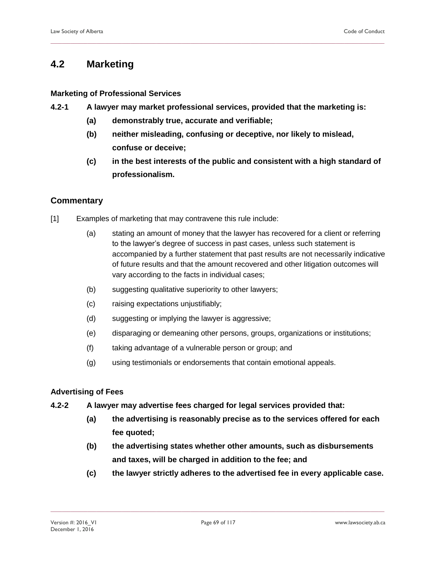# **4.2 Marketing**

#### **Marketing of Professional Services**

**4.2-1 A lawyer may market professional services, provided that the marketing is:**

**\_\_\_\_\_\_\_\_\_\_\_\_\_\_\_\_\_\_\_\_\_\_\_\_\_\_\_\_\_\_\_\_\_\_\_\_\_\_\_\_\_\_\_\_\_\_\_\_\_\_\_\_\_\_\_\_\_\_\_\_\_\_\_\_\_\_\_\_\_\_\_\_\_\_\_\_\_\_\_\_\_\_\_\_\_\_\_\_\_\_\_\_\_\_\_\_\_\_\_\_\_\_\_\_\_\_\_\_\_\_\_\_\_\_\_\_\_**

- **(a) demonstrably true, accurate and verifiable;**
- **(b) neither misleading, confusing or deceptive, nor likely to mislead, confuse or deceive;**
- **(c) in the best interests of the public and consistent with a high standard of professionalism.**

### **Commentary**

- [1] Examples of marketing that may contravene this rule include:
	- (a) stating an amount of money that the lawyer has recovered for a client or referring to the lawyer's degree of success in past cases, unless such statement is accompanied by a further statement that past results are not necessarily indicative of future results and that the amount recovered and other litigation outcomes will vary according to the facts in individual cases;
	- (b) suggesting qualitative superiority to other lawyers;
	- (c) raising expectations unjustifiably;
	- (d) suggesting or implying the lawyer is aggressive;
	- (e) disparaging or demeaning other persons, groups, organizations or institutions;
	- (f) taking advantage of a vulnerable person or group; and
	- (g) using testimonials or endorsements that contain emotional appeals.

#### **Advertising of Fees**

- **4.2-2 A lawyer may advertise fees charged for legal services provided that:**
	- **(a) the advertising is reasonably precise as to the services offered for each fee quoted;**
	- **(b) the advertising states whether other amounts, such as disbursements and taxes, will be charged in addition to the fee; and**
	- **(c) the lawyer strictly adheres to the advertised fee in every applicable case.**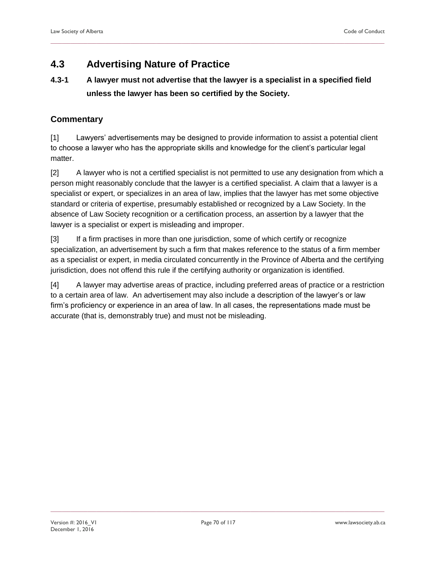# **4.3 Advertising Nature of Practice**

# **4.3-1 A lawyer must not advertise that the lawyer is a specialist in a specified field unless the lawyer has been so certified by the Society.**

**\_\_\_\_\_\_\_\_\_\_\_\_\_\_\_\_\_\_\_\_\_\_\_\_\_\_\_\_\_\_\_\_\_\_\_\_\_\_\_\_\_\_\_\_\_\_\_\_\_\_\_\_\_\_\_\_\_\_\_\_\_\_\_\_\_\_\_\_\_\_\_\_\_\_\_\_\_\_\_\_\_\_\_\_\_\_\_\_\_\_\_\_\_\_\_\_\_\_\_\_\_\_\_\_\_\_\_\_\_\_\_\_\_\_\_\_\_**

# **Commentary**

[1] Lawyers' advertisements may be designed to provide information to assist a potential client to choose a lawyer who has the appropriate skills and knowledge for the client's particular legal matter.

[2] A lawyer who is not a certified specialist is not permitted to use any designation from which a person might reasonably conclude that the lawyer is a certified specialist. A claim that a lawyer is a specialist or expert, or specializes in an area of law, implies that the lawyer has met some objective standard or criteria of expertise, presumably established or recognized by a Law Society. In the absence of Law Society recognition or a certification process, an assertion by a lawyer that the lawyer is a specialist or expert is misleading and improper.

[3] If a firm practises in more than one jurisdiction, some of which certify or recognize specialization, an advertisement by such a firm that makes reference to the status of a firm member as a specialist or expert, in media circulated concurrently in the Province of Alberta and the certifying jurisdiction, does not offend this rule if the certifying authority or organization is identified.

[4] A lawyer may advertise areas of practice, including preferred areas of practice or a restriction to a certain area of law. An advertisement may also include a description of the lawyer's or law firm's proficiency or experience in an area of law. In all cases, the representations made must be accurate (that is, demonstrably true) and must not be misleading.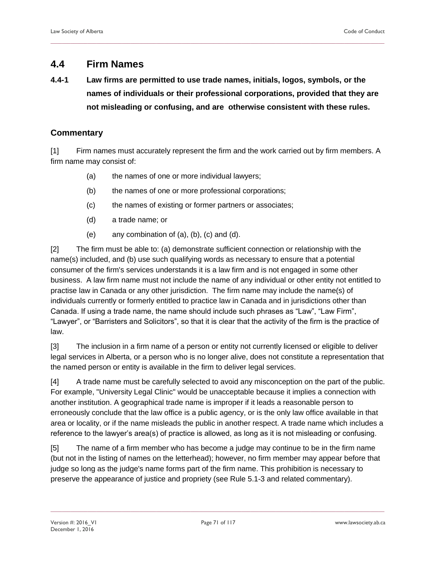# **4.4 Firm Names**

**4.4-1 Law firms are permitted to use trade names, initials, logos, symbols, or the names of individuals or their professional corporations, provided that they are not misleading or confusing, and are otherwise consistent with these rules.**

**\_\_\_\_\_\_\_\_\_\_\_\_\_\_\_\_\_\_\_\_\_\_\_\_\_\_\_\_\_\_\_\_\_\_\_\_\_\_\_\_\_\_\_\_\_\_\_\_\_\_\_\_\_\_\_\_\_\_\_\_\_\_\_\_\_\_\_\_\_\_\_\_\_\_\_\_\_\_\_\_\_\_\_\_\_\_\_\_\_\_\_\_\_\_\_\_\_\_\_\_\_\_\_\_\_\_\_\_\_\_\_\_\_\_\_\_\_**

# **Commentary**

[1] Firm names must accurately represent the firm and the work carried out by firm members. A firm name may consist of:

- (a) the names of one or more individual lawyers;
- (b) the names of one or more professional corporations;
- (c) the names of existing or former partners or associates;
- (d) a trade name; or
- (e) any combination of (a), (b), (c) and (d).

[2] The firm must be able to: (a) demonstrate sufficient connection or relationship with the name(s) included, and (b) use such qualifying words as necessary to ensure that a potential consumer of the firm's services understands it is a law firm and is not engaged in some other business. A law firm name must not include the name of any individual or other entity not entitled to practise law in Canada or any other jurisdiction. The firm name may include the name(s) of individuals currently or formerly entitled to practice law in Canada and in jurisdictions other than Canada. If using a trade name, the name should include such phrases as "Law", "Law Firm", "Lawyer", or "Barristers and Solicitors", so that it is clear that the activity of the firm is the practice of law.

[3] The inclusion in a firm name of a person or entity not currently licensed or eligible to deliver legal services in Alberta, or a person who is no longer alive, does not constitute a representation that the named person or entity is available in the firm to deliver legal services.

[4] A trade name must be carefully selected to avoid any misconception on the part of the public. For example, "University Legal Clinic" would be unacceptable because it implies a connection with another institution. A geographical trade name is improper if it leads a reasonable person to erroneously conclude that the law office is a public agency, or is the only law office available in that area or locality, or if the name misleads the public in another respect. A trade name which includes a reference to the lawyer's area(s) of practice is allowed, as long as it is not misleading or confusing.

[5] The name of a firm member who has become a judge may continue to be in the firm name (but not in the listing of names on the letterhead); however, no firm member may appear before that judge so long as the judge's name forms part of the firm name. This prohibition is necessary to preserve the appearance of justice and propriety (see Rule 5.1-3 and related commentary).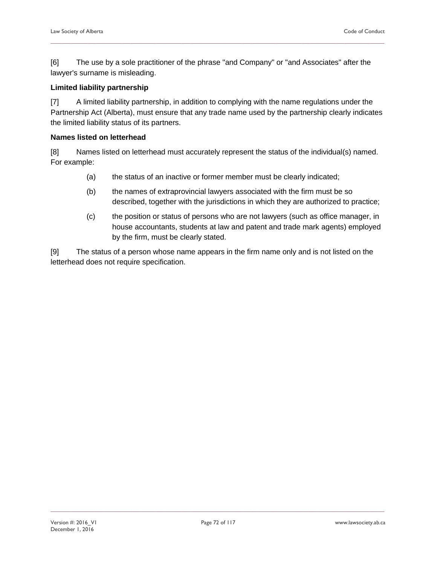[6] The use by a sole practitioner of the phrase "and Company" or "and Associates" after the lawyer's surname is misleading.

**\_\_\_\_\_\_\_\_\_\_\_\_\_\_\_\_\_\_\_\_\_\_\_\_\_\_\_\_\_\_\_\_\_\_\_\_\_\_\_\_\_\_\_\_\_\_\_\_\_\_\_\_\_\_\_\_\_\_\_\_\_\_\_\_\_\_\_\_\_\_\_\_\_\_\_\_\_\_\_\_\_\_\_\_\_\_\_\_\_\_\_\_\_\_\_\_\_\_\_\_\_\_\_\_\_\_\_\_\_\_\_\_\_\_\_\_\_**

#### **Limited liability partnership**

[7] A limited liability partnership, in addition to complying with the name regulations under the Partnership Act (Alberta), must ensure that any trade name used by the partnership clearly indicates the limited liability status of its partners.

#### **Names listed on letterhead**

[8] Names listed on letterhead must accurately represent the status of the individual(s) named. For example:

- (a) the status of an inactive or former member must be clearly indicated;
- (b) the names of extraprovincial lawyers associated with the firm must be so described, together with the jurisdictions in which they are authorized to practice;
- (c) the position or status of persons who are not lawyers (such as office manager, in house accountants, students at law and patent and trade mark agents) employed by the firm, must be clearly stated.

[9] The status of a person whose name appears in the firm name only and is not listed on the letterhead does not require specification.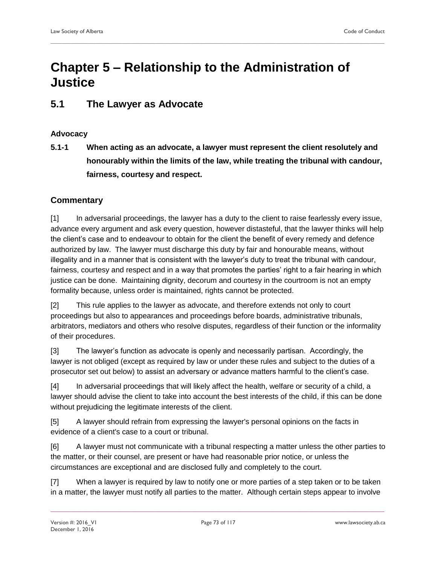# **Chapter 5 – Relationship to the Administration of Justice**

**\_\_\_\_\_\_\_\_\_\_\_\_\_\_\_\_\_\_\_\_\_\_\_\_\_\_\_\_\_\_\_\_\_\_\_\_\_\_\_\_\_\_\_\_\_\_\_\_\_\_\_\_\_\_\_\_\_\_\_\_\_\_\_\_\_\_\_\_\_\_\_\_\_\_\_\_\_\_\_\_\_\_\_\_\_\_\_\_\_\_\_\_\_\_\_\_\_\_\_\_\_\_\_\_\_\_\_\_\_\_\_\_\_\_\_\_\_**

# **5.1 The Lawyer as Advocate**

### **Advocacy**

**5.1-1 When acting as an advocate, a lawyer must represent the client resolutely and honourably within the limits of the law, while treating the tribunal with candour, fairness, courtesy and respect.**

# **Commentary**

[1] In adversarial proceedings, the lawyer has a duty to the client to raise fearlessly every issue, advance every argument and ask every question, however distasteful, that the lawyer thinks will help the client's case and to endeavour to obtain for the client the benefit of every remedy and defence authorized by law. The lawyer must discharge this duty by fair and honourable means, without illegality and in a manner that is consistent with the lawyer's duty to treat the tribunal with candour, fairness, courtesy and respect and in a way that promotes the parties' right to a fair hearing in which justice can be done. Maintaining dignity, decorum and courtesy in the courtroom is not an empty formality because, unless order is maintained, rights cannot be protected.

[2] This rule applies to the lawyer as advocate, and therefore extends not only to court proceedings but also to appearances and proceedings before boards, administrative tribunals, arbitrators, mediators and others who resolve disputes, regardless of their function or the informality of their procedures.

[3] The lawyer's function as advocate is openly and necessarily partisan. Accordingly, the lawyer is not obliged (except as required by law or under these rules and subject to the duties of a prosecutor set out below) to assist an adversary or advance matters harmful to the client's case.

[4] In adversarial proceedings that will likely affect the health, welfare or security of a child, a lawyer should advise the client to take into account the best interests of the child, if this can be done without prejudicing the legitimate interests of the client.

[5] A lawyer should refrain from expressing the lawyer's personal opinions on the facts in evidence of a client's case to a court or tribunal.

[6] A lawyer must not communicate with a tribunal respecting a matter unless the other parties to the matter, or their counsel, are present or have had reasonable prior notice, or unless the circumstances are exceptional and are disclosed fully and completely to the court.

[7] When a lawyer is required by law to notify one or more parties of a step taken or to be taken in a matter, the lawyer must notify all parties to the matter. Although certain steps appear to involve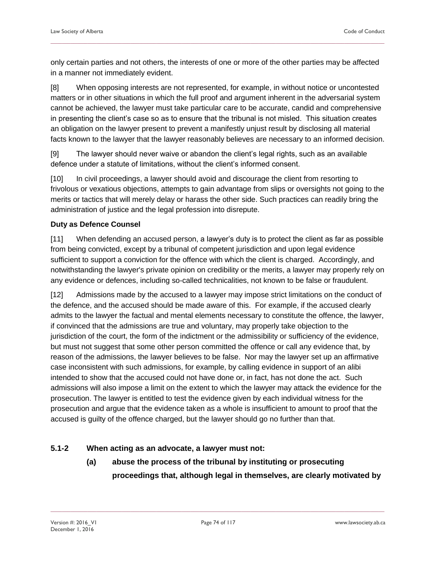only certain parties and not others, the interests of one or more of the other parties may be affected in a manner not immediately evident.

**\_\_\_\_\_\_\_\_\_\_\_\_\_\_\_\_\_\_\_\_\_\_\_\_\_\_\_\_\_\_\_\_\_\_\_\_\_\_\_\_\_\_\_\_\_\_\_\_\_\_\_\_\_\_\_\_\_\_\_\_\_\_\_\_\_\_\_\_\_\_\_\_\_\_\_\_\_\_\_\_\_\_\_\_\_\_\_\_\_\_\_\_\_\_\_\_\_\_\_\_\_\_\_\_\_\_\_\_\_\_\_\_\_\_\_\_\_**

[8] When opposing interests are not represented, for example, in without notice or uncontested matters or in other situations in which the full proof and argument inherent in the adversarial system cannot be achieved, the lawyer must take particular care to be accurate, candid and comprehensive in presenting the client's case so as to ensure that the tribunal is not misled. This situation creates an obligation on the lawyer present to prevent a manifestly unjust result by disclosing all material facts known to the lawyer that the lawyer reasonably believes are necessary to an informed decision.

[9] The lawyer should never waive or abandon the client's legal rights, such as an available defence under a statute of limitations, without the client's informed consent.

[10] In civil proceedings, a lawyer should avoid and discourage the client from resorting to frivolous or vexatious objections, attempts to gain advantage from slips or oversights not going to the merits or tactics that will merely delay or harass the other side. Such practices can readily bring the administration of justice and the legal profession into disrepute.

#### **Duty as Defence Counsel**

[11] When defending an accused person, a lawyer's duty is to protect the client as far as possible from being convicted, except by a tribunal of competent jurisdiction and upon legal evidence sufficient to support a conviction for the offence with which the client is charged. Accordingly, and notwithstanding the lawyer's private opinion on credibility or the merits, a lawyer may properly rely on any evidence or defences, including so-called technicalities, not known to be false or fraudulent.

[12] Admissions made by the accused to a lawyer may impose strict limitations on the conduct of the defence, and the accused should be made aware of this. For example, if the accused clearly admits to the lawyer the factual and mental elements necessary to constitute the offence, the lawyer, if convinced that the admissions are true and voluntary, may properly take objection to the jurisdiction of the court, the form of the indictment or the admissibility or sufficiency of the evidence, but must not suggest that some other person committed the offence or call any evidence that, by reason of the admissions, the lawyer believes to be false. Nor may the lawyer set up an affirmative case inconsistent with such admissions, for example, by calling evidence in support of an alibi intended to show that the accused could not have done or, in fact, has not done the act. Such admissions will also impose a limit on the extent to which the lawyer may attack the evidence for the prosecution. The lawyer is entitled to test the evidence given by each individual witness for the prosecution and argue that the evidence taken as a whole is insufficient to amount to proof that the accused is guilty of the offence charged, but the lawyer should go no further than that.

#### **5.1-2 When acting as an advocate, a lawyer must not:**

**(a) abuse the process of the tribunal by instituting or prosecuting proceedings that, although legal in themselves, are clearly motivated by**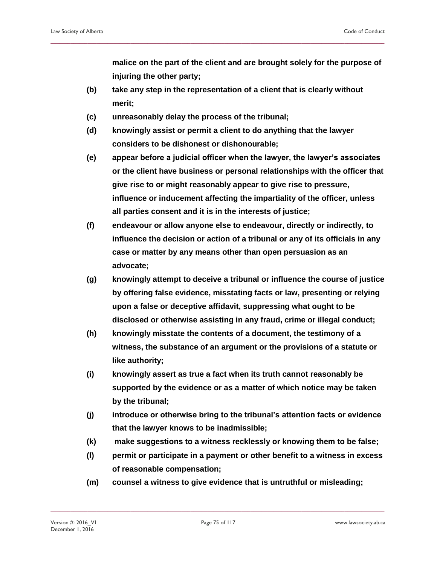**malice on the part of the client and are brought solely for the purpose of injuring the other party;**

**(b) take any step in the representation of a client that is clearly without merit;**

**\_\_\_\_\_\_\_\_\_\_\_\_\_\_\_\_\_\_\_\_\_\_\_\_\_\_\_\_\_\_\_\_\_\_\_\_\_\_\_\_\_\_\_\_\_\_\_\_\_\_\_\_\_\_\_\_\_\_\_\_\_\_\_\_\_\_\_\_\_\_\_\_\_\_\_\_\_\_\_\_\_\_\_\_\_\_\_\_\_\_\_\_\_\_\_\_\_\_\_\_\_\_\_\_\_\_\_\_\_\_\_\_\_\_\_\_\_**

- **(c) unreasonably delay the process of the tribunal;**
- **(d) knowingly assist or permit a client to do anything that the lawyer considers to be dishonest or dishonourable;**
- **(e) appear before a judicial officer when the lawyer, the lawyer's associates or the client have business or personal relationships with the officer that give rise to or might reasonably appear to give rise to pressure, influence or inducement affecting the impartiality of the officer, unless all parties consent and it is in the interests of justice;**
- **(f) endeavour or allow anyone else to endeavour, directly or indirectly, to influence the decision or action of a tribunal or any of its officials in any case or matter by any means other than open persuasion as an advocate;**
- **(g) knowingly attempt to deceive a tribunal or influence the course of justice by offering false evidence, misstating facts or law, presenting or relying upon a false or deceptive affidavit, suppressing what ought to be disclosed or otherwise assisting in any fraud, crime or illegal conduct;**
- **(h) knowingly misstate the contents of a document, the testimony of a witness, the substance of an argument or the provisions of a statute or like authority;**
- **(i) knowingly assert as true a fact when its truth cannot reasonably be supported by the evidence or as a matter of which notice may be taken by the tribunal;**
- **(j) introduce or otherwise bring to the tribunal's attention facts or evidence that the lawyer knows to be inadmissible;**
- **(k) make suggestions to a witness recklessly or knowing them to be false;**
- **(l) permit or participate in a payment or other benefit to a witness in excess of reasonable compensation;**
- **(m) counsel a witness to give evidence that is untruthful or misleading;**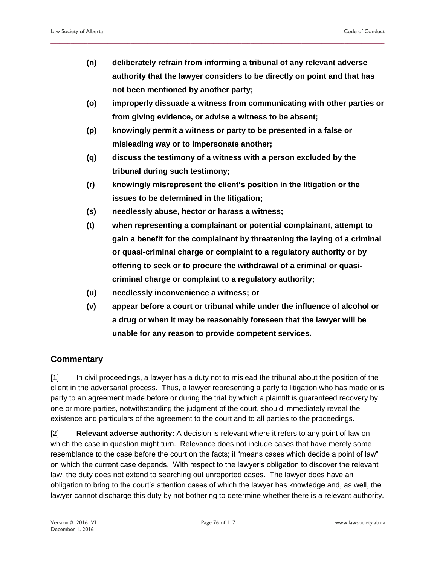**(n) deliberately refrain from informing a tribunal of any relevant adverse authority that the lawyer considers to be directly on point and that has not been mentioned by another party;**

**\_\_\_\_\_\_\_\_\_\_\_\_\_\_\_\_\_\_\_\_\_\_\_\_\_\_\_\_\_\_\_\_\_\_\_\_\_\_\_\_\_\_\_\_\_\_\_\_\_\_\_\_\_\_\_\_\_\_\_\_\_\_\_\_\_\_\_\_\_\_\_\_\_\_\_\_\_\_\_\_\_\_\_\_\_\_\_\_\_\_\_\_\_\_\_\_\_\_\_\_\_\_\_\_\_\_\_\_\_\_\_\_\_\_\_\_\_**

- **(o) improperly dissuade a witness from communicating with other parties or from giving evidence, or advise a witness to be absent;**
- **(p) knowingly permit a witness or party to be presented in a false or misleading way or to impersonate another;**
- **(q) discuss the testimony of a witness with a person excluded by the tribunal during such testimony;**
- **(r) knowingly misrepresent the client's position in the litigation or the issues to be determined in the litigation;**
- **(s) needlessly abuse, hector or harass a witness;**
- **(t) when representing a complainant or potential complainant, attempt to gain a benefit for the complainant by threatening the laying of a criminal or quasi-criminal charge or complaint to a regulatory authority or by offering to seek or to procure the withdrawal of a criminal or quasicriminal charge or complaint to a regulatory authority;**
- **(u) needlessly inconvenience a witness; or**
- **(v) appear before a court or tribunal while under the influence of alcohol or a drug or when it may be reasonably foreseen that the lawyer will be unable for any reason to provide competent services.**

# **Commentary**

[1] In civil proceedings, a lawyer has a duty not to mislead the tribunal about the position of the client in the adversarial process. Thus, a lawyer representing a party to litigation who has made or is party to an agreement made before or during the trial by which a plaintiff is guaranteed recovery by one or more parties, notwithstanding the judgment of the court, should immediately reveal the existence and particulars of the agreement to the court and to all parties to the proceedings.

[2] **Relevant adverse authority:** A decision is relevant where it refers to any point of law on which the case in question might turn. Relevance does not include cases that have merely some resemblance to the case before the court on the facts; it "means cases which decide a point of law" on which the current case depends. With respect to the lawyer's obligation to discover the relevant law, the duty does not extend to searching out unreported cases. The lawyer does have an obligation to bring to the court's attention cases of which the lawyer has knowledge and, as well, the lawyer cannot discharge this duty by not bothering to determine whether there is a relevant authority.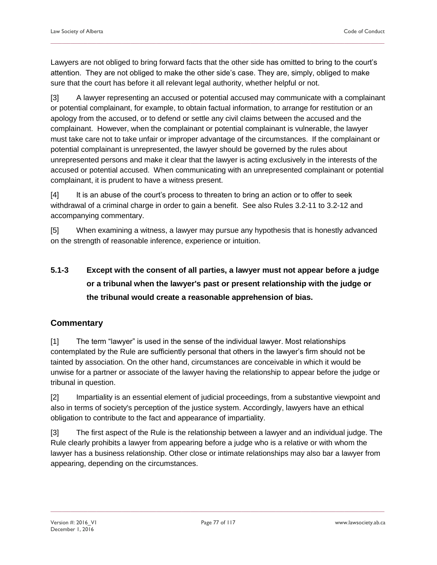Lawyers are not obliged to bring forward facts that the other side has omitted to bring to the court's attention. They are not obliged to make the other side's case. They are, simply, obliged to make sure that the court has before it all relevant legal authority, whether helpful or not.

**\_\_\_\_\_\_\_\_\_\_\_\_\_\_\_\_\_\_\_\_\_\_\_\_\_\_\_\_\_\_\_\_\_\_\_\_\_\_\_\_\_\_\_\_\_\_\_\_\_\_\_\_\_\_\_\_\_\_\_\_\_\_\_\_\_\_\_\_\_\_\_\_\_\_\_\_\_\_\_\_\_\_\_\_\_\_\_\_\_\_\_\_\_\_\_\_\_\_\_\_\_\_\_\_\_\_\_\_\_\_\_\_\_\_\_\_\_**

[3] A lawyer representing an accused or potential accused may communicate with a complainant or potential complainant, for example, to obtain factual information, to arrange for restitution or an apology from the accused, or to defend or settle any civil claims between the accused and the complainant. However, when the complainant or potential complainant is vulnerable, the lawyer must take care not to take unfair or improper advantage of the circumstances. If the complainant or potential complainant is unrepresented, the lawyer should be governed by the rules about unrepresented persons and make it clear that the lawyer is acting exclusively in the interests of the accused or potential accused. When communicating with an unrepresented complainant or potential complainant, it is prudent to have a witness present.

[4] It is an abuse of the court's process to threaten to bring an action or to offer to seek withdrawal of a criminal charge in order to gain a benefit. See also Rules 3.2-11 to 3.2-12 and accompanying commentary.

[5] When examining a witness, a lawyer may pursue any hypothesis that is honestly advanced on the strength of reasonable inference, experience or intuition.

# **5.1-3 Except with the consent of all parties, a lawyer must not appear before a judge or a tribunal when the lawyer's past or present relationship with the judge or the tribunal would create a reasonable apprehension of bias.**

# **Commentary**

[1] The term "lawyer" is used in the sense of the individual lawyer. Most relationships contemplated by the Rule are sufficiently personal that others in the lawyer's firm should not be tainted by association. On the other hand, circumstances are conceivable in which it would be unwise for a partner or associate of the lawyer having the relationship to appear before the judge or tribunal in question.

[2] Impartiality is an essential element of judicial proceedings, from a substantive viewpoint and also in terms of society's perception of the justice system. Accordingly, lawyers have an ethical obligation to contribute to the fact and appearance of impartiality.

[3] The first aspect of the Rule is the relationship between a lawyer and an individual judge. The Rule clearly prohibits a lawyer from appearing before a judge who is a relative or with whom the lawyer has a business relationship. Other close or intimate relationships may also bar a lawyer from appearing, depending on the circumstances.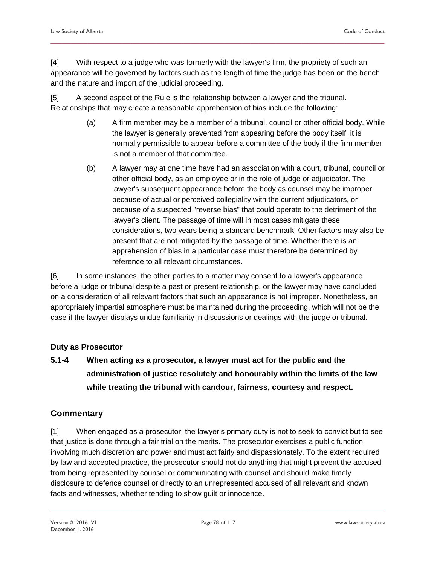[4] With respect to a judge who was formerly with the lawyer's firm, the propriety of such an appearance will be governed by factors such as the length of time the judge has been on the bench and the nature and import of the judicial proceeding.

**\_\_\_\_\_\_\_\_\_\_\_\_\_\_\_\_\_\_\_\_\_\_\_\_\_\_\_\_\_\_\_\_\_\_\_\_\_\_\_\_\_\_\_\_\_\_\_\_\_\_\_\_\_\_\_\_\_\_\_\_\_\_\_\_\_\_\_\_\_\_\_\_\_\_\_\_\_\_\_\_\_\_\_\_\_\_\_\_\_\_\_\_\_\_\_\_\_\_\_\_\_\_\_\_\_\_\_\_\_\_\_\_\_\_\_\_\_**

[5] A second aspect of the Rule is the relationship between a lawyer and the tribunal. Relationships that may create a reasonable apprehension of bias include the following:

- (a) A firm member may be a member of a tribunal, council or other official body. While the lawyer is generally prevented from appearing before the body itself, it is normally permissible to appear before a committee of the body if the firm member is not a member of that committee.
- (b) A lawyer may at one time have had an association with a court, tribunal, council or other official body, as an employee or in the role of judge or adjudicator. The lawyer's subsequent appearance before the body as counsel may be improper because of actual or perceived collegiality with the current adjudicators, or because of a suspected "reverse bias" that could operate to the detriment of the lawyer's client. The passage of time will in most cases mitigate these considerations, two years being a standard benchmark. Other factors may also be present that are not mitigated by the passage of time. Whether there is an apprehension of bias in a particular case must therefore be determined by reference to all relevant circumstances.

[6] In some instances, the other parties to a matter may consent to a lawyer's appearance before a judge or tribunal despite a past or present relationship, or the lawyer may have concluded on a consideration of all relevant factors that such an appearance is not improper. Nonetheless, an appropriately impartial atmosphere must be maintained during the proceeding, which will not be the case if the lawyer displays undue familiarity in discussions or dealings with the judge or tribunal.

# **Duty as Prosecutor**

**5.1-4 When acting as a prosecutor, a lawyer must act for the public and the administration of justice resolutely and honourably within the limits of the law while treating the tribunal with candour, fairness, courtesy and respect.**

# **Commentary**

[1] When engaged as a prosecutor, the lawyer's primary duty is not to seek to convict but to see that justice is done through a fair trial on the merits. The prosecutor exercises a public function involving much discretion and power and must act fairly and dispassionately. To the extent required by law and accepted practice, the prosecutor should not do anything that might prevent the accused from being represented by counsel or communicating with counsel and should make timely disclosure to defence counsel or directly to an unrepresented accused of all relevant and known facts and witnesses, whether tending to show guilt or innocence.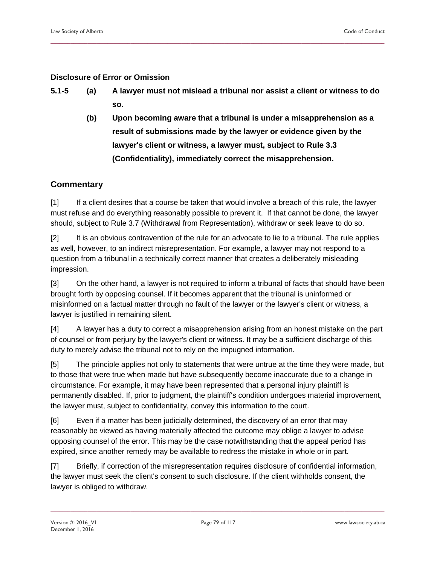#### **Disclosure of Error or Omission**

**5.1-5 (a) A lawyer must not mislead a tribunal nor assist a client or witness to do so.**

**\_\_\_\_\_\_\_\_\_\_\_\_\_\_\_\_\_\_\_\_\_\_\_\_\_\_\_\_\_\_\_\_\_\_\_\_\_\_\_\_\_\_\_\_\_\_\_\_\_\_\_\_\_\_\_\_\_\_\_\_\_\_\_\_\_\_\_\_\_\_\_\_\_\_\_\_\_\_\_\_\_\_\_\_\_\_\_\_\_\_\_\_\_\_\_\_\_\_\_\_\_\_\_\_\_\_\_\_\_\_\_\_\_\_\_\_\_**

**(b) Upon becoming aware that a tribunal is under a misapprehension as a result of submissions made by the lawyer or evidence given by the lawyer's client or witness, a lawyer must, subject to Rule 3.3 (Confidentiality), immediately correct the misapprehension.**

#### **Commentary**

[1] If a client desires that a course be taken that would involve a breach of this rule, the lawyer must refuse and do everything reasonably possible to prevent it. If that cannot be done, the lawyer should, subject to Rule 3.7 (Withdrawal from Representation), withdraw or seek leave to do so.

[2] It is an obvious contravention of the rule for an advocate to lie to a tribunal. The rule applies as well, however, to an indirect misrepresentation. For example, a lawyer may not respond to a question from a tribunal in a technically correct manner that creates a deliberately misleading impression.

[3] On the other hand, a lawyer is not required to inform a tribunal of facts that should have been brought forth by opposing counsel. If it becomes apparent that the tribunal is uninformed or misinformed on a factual matter through no fault of the lawyer or the lawyer's client or witness, a lawyer is justified in remaining silent.

[4] A lawyer has a duty to correct a misapprehension arising from an honest mistake on the part of counsel or from perjury by the lawyer's client or witness. It may be a sufficient discharge of this duty to merely advise the tribunal not to rely on the impugned information.

[5] The principle applies not only to statements that were untrue at the time they were made, but to those that were true when made but have subsequently become inaccurate due to a change in circumstance. For example, it may have been represented that a personal injury plaintiff is permanently disabled. If, prior to judgment, the plaintiff's condition undergoes material improvement, the lawyer must, subject to confidentiality, convey this information to the court.

[6] Even if a matter has been judicially determined, the discovery of an error that may reasonably be viewed as having materially affected the outcome may oblige a lawyer to advise opposing counsel of the error. This may be the case notwithstanding that the appeal period has expired, since another remedy may be available to redress the mistake in whole or in part.

[7] Briefly, if correction of the misrepresentation requires disclosure of confidential information, the lawyer must seek the client's consent to such disclosure. If the client withholds consent, the lawyer is obliged to withdraw.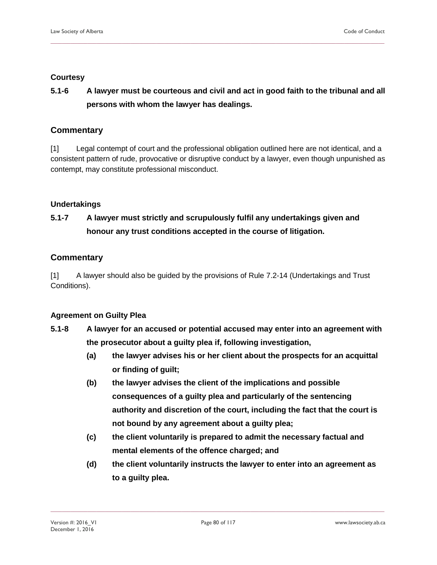#### **Courtesy**

# **5.1-6 A lawyer must be courteous and civil and act in good faith to the tribunal and all persons with whom the lawyer has dealings.**

**\_\_\_\_\_\_\_\_\_\_\_\_\_\_\_\_\_\_\_\_\_\_\_\_\_\_\_\_\_\_\_\_\_\_\_\_\_\_\_\_\_\_\_\_\_\_\_\_\_\_\_\_\_\_\_\_\_\_\_\_\_\_\_\_\_\_\_\_\_\_\_\_\_\_\_\_\_\_\_\_\_\_\_\_\_\_\_\_\_\_\_\_\_\_\_\_\_\_\_\_\_\_\_\_\_\_\_\_\_\_\_\_\_\_\_\_\_**

#### **Commentary**

[1] Legal contempt of court and the professional obligation outlined here are not identical, and a consistent pattern of rude, provocative or disruptive conduct by a lawyer, even though unpunished as contempt, may constitute professional misconduct.

#### **Undertakings**

# **5.1-7 A lawyer must strictly and scrupulously fulfil any undertakings given and honour any trust conditions accepted in the course of litigation.**

#### **Commentary**

[1] A lawyer should also be guided by the provisions of Rule 7.2-14 (Undertakings and Trust Conditions).

#### **Agreement on Guilty Plea**

- **5.1-8 A lawyer for an accused or potential accused may enter into an agreement with the prosecutor about a guilty plea if, following investigation,**
	- **(a) the lawyer advises his or her client about the prospects for an acquittal or finding of guilt;**
	- **(b) the lawyer advises the client of the implications and possible consequences of a guilty plea and particularly of the sentencing authority and discretion of the court, including the fact that the court is not bound by any agreement about a guilty plea;**
	- **(c) the client voluntarily is prepared to admit the necessary factual and mental elements of the offence charged; and**
	- **(d) the client voluntarily instructs the lawyer to enter into an agreement as to a guilty plea.**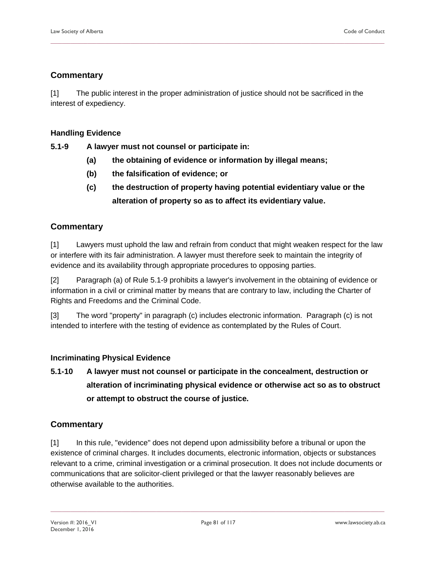### **Commentary**

[1] The public interest in the proper administration of justice should not be sacrificed in the interest of expediency.

**\_\_\_\_\_\_\_\_\_\_\_\_\_\_\_\_\_\_\_\_\_\_\_\_\_\_\_\_\_\_\_\_\_\_\_\_\_\_\_\_\_\_\_\_\_\_\_\_\_\_\_\_\_\_\_\_\_\_\_\_\_\_\_\_\_\_\_\_\_\_\_\_\_\_\_\_\_\_\_\_\_\_\_\_\_\_\_\_\_\_\_\_\_\_\_\_\_\_\_\_\_\_\_\_\_\_\_\_\_\_\_\_\_\_\_\_\_**

#### **Handling Evidence**

**5.1-9 A lawyer must not counsel or participate in:**

- **(a) the obtaining of evidence or information by illegal means;**
- **(b) the falsification of evidence; or**
- **(c) the destruction of property having potential evidentiary value or the alteration of property so as to affect its evidentiary value.**

# **Commentary**

[1] Lawyers must uphold the law and refrain from conduct that might weaken respect for the law or interfere with its fair administration. A lawyer must therefore seek to maintain the integrity of evidence and its availability through appropriate procedures to opposing parties.

[2] Paragraph (a) of Rule 5.1-9 prohibits a lawyer's involvement in the obtaining of evidence or information in a civil or criminal matter by means that are contrary to law, including the Charter of Rights and Freedoms and the Criminal Code.

[3] The word "property" in paragraph (c) includes electronic information. Paragraph (c) is not intended to interfere with the testing of evidence as contemplated by the Rules of Court.

#### **Incriminating Physical Evidence**

**5.1-10 A lawyer must not counsel or participate in the concealment, destruction or alteration of incriminating physical evidence or otherwise act so as to obstruct or attempt to obstruct the course of justice.**

#### **Commentary**

[1] In this rule, "evidence" does not depend upon admissibility before a tribunal or upon the existence of criminal charges. It includes documents, electronic information, objects or substances relevant to a crime, criminal investigation or a criminal prosecution. It does not include documents or communications that are solicitor-client privileged or that the lawyer reasonably believes are otherwise available to the authorities.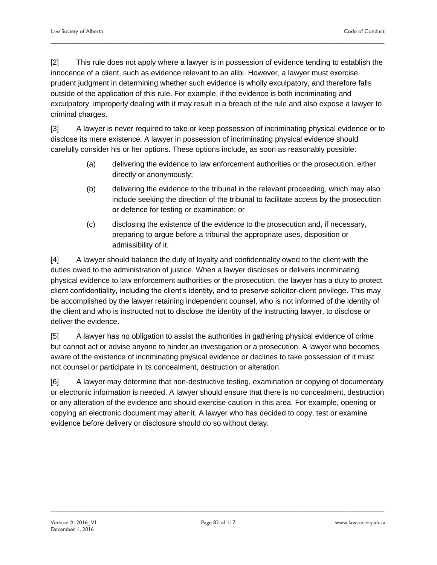[2] This rule does not apply where a lawyer is in possession of evidence tending to establish the innocence of a client, such as evidence relevant to an alibi. However, a lawyer must exercise prudent judgment in determining whether such evidence is wholly exculpatory, and therefore falls outside of the application of this rule. For example, if the evidence is both incriminating and exculpatory, improperly dealing with it may result in a breach of the rule and also expose a lawyer to criminal charges.

**\_\_\_\_\_\_\_\_\_\_\_\_\_\_\_\_\_\_\_\_\_\_\_\_\_\_\_\_\_\_\_\_\_\_\_\_\_\_\_\_\_\_\_\_\_\_\_\_\_\_\_\_\_\_\_\_\_\_\_\_\_\_\_\_\_\_\_\_\_\_\_\_\_\_\_\_\_\_\_\_\_\_\_\_\_\_\_\_\_\_\_\_\_\_\_\_\_\_\_\_\_\_\_\_\_\_\_\_\_\_\_\_\_\_\_\_\_**

[3] A lawyer is never required to take or keep possession of incriminating physical evidence or to disclose its mere existence. A lawyer in possession of incriminating physical evidence should carefully consider his or her options. These options include, as soon as reasonably possible:

- (a) delivering the evidence to law enforcement authorities or the prosecution, either directly or anonymously;
- (b) delivering the evidence to the tribunal in the relevant proceeding, which may also include seeking the direction of the tribunal to facilitate access by the prosecution or defence for testing or examination; or
- (c) disclosing the existence of the evidence to the prosecution and, if necessary, preparing to argue before a tribunal the appropriate uses, disposition or admissibility of it.

[4] A lawyer should balance the duty of loyalty and confidentiality owed to the client with the duties owed to the administration of justice. When a lawyer discloses or delivers incriminating physical evidence to law enforcement authorities or the prosecution, the lawyer has a duty to protect client confidentiality, including the client's identity, and to preserve solicitor-client privilege. This may be accomplished by the lawyer retaining independent counsel, who is not informed of the identity of the client and who is instructed not to disclose the identity of the instructing lawyer, to disclose or deliver the evidence.

[5] A lawyer has no obligation to assist the authorities in gathering physical evidence of crime but cannot act or advise anyone to hinder an investigation or a prosecution. A lawyer who becomes aware of the existence of incriminating physical evidence or declines to take possession of it must not counsel or participate in its concealment, destruction or alteration.

[6] A lawyer may determine that non-destructive testing, examination or copying of documentary or electronic information is needed. A lawyer should ensure that there is no concealment, destruction or any alteration of the evidence and should exercise caution in this area. For example, opening or copying an electronic document may alter it. A lawyer who has decided to copy, test or examine evidence before delivery or disclosure should do so without delay.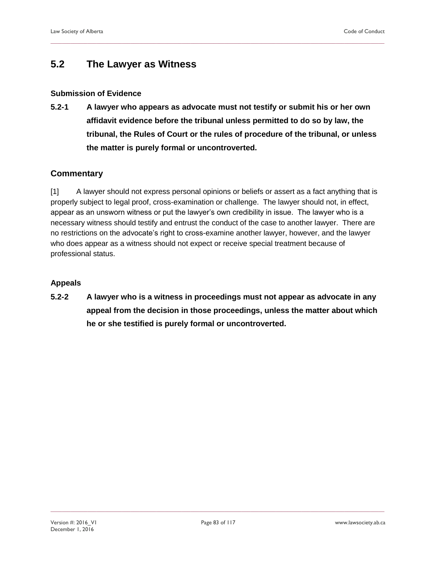# **5.2 The Lawyer as Witness**

#### **Submission of Evidence**

**5.2-1 A lawyer who appears as advocate must not testify or submit his or her own affidavit evidence before the tribunal unless permitted to do so by law, the tribunal, the Rules of Court or the rules of procedure of the tribunal, or unless the matter is purely formal or uncontroverted.**

**\_\_\_\_\_\_\_\_\_\_\_\_\_\_\_\_\_\_\_\_\_\_\_\_\_\_\_\_\_\_\_\_\_\_\_\_\_\_\_\_\_\_\_\_\_\_\_\_\_\_\_\_\_\_\_\_\_\_\_\_\_\_\_\_\_\_\_\_\_\_\_\_\_\_\_\_\_\_\_\_\_\_\_\_\_\_\_\_\_\_\_\_\_\_\_\_\_\_\_\_\_\_\_\_\_\_\_\_\_\_\_\_\_\_\_\_\_**

### **Commentary**

[1] A lawyer should not express personal opinions or beliefs or assert as a fact anything that is properly subject to legal proof, cross-examination or challenge. The lawyer should not, in effect, appear as an unsworn witness or put the lawyer's own credibility in issue. The lawyer who is a necessary witness should testify and entrust the conduct of the case to another lawyer. There are no restrictions on the advocate's right to cross-examine another lawyer, however, and the lawyer who does appear as a witness should not expect or receive special treatment because of professional status.

#### **Appeals**

**5.2-2 A lawyer who is a witness in proceedings must not appear as advocate in any appeal from the decision in those proceedings, unless the matter about which he or she testified is purely formal or uncontroverted.**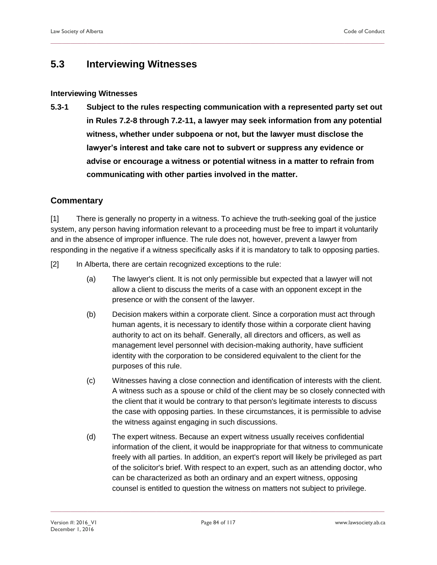# **5.3 Interviewing Witnesses**

#### **Interviewing Witnesses**

**5.3-1 Subject to the rules respecting communication with a represented party set out in Rules 7.2-8 through 7.2-11, a lawyer may seek information from any potential witness, whether under subpoena or not, but the lawyer must disclose the lawyer's interest and take care not to subvert or suppress any evidence or advise or encourage a witness or potential witness in a matter to refrain from communicating with other parties involved in the matter.**

**\_\_\_\_\_\_\_\_\_\_\_\_\_\_\_\_\_\_\_\_\_\_\_\_\_\_\_\_\_\_\_\_\_\_\_\_\_\_\_\_\_\_\_\_\_\_\_\_\_\_\_\_\_\_\_\_\_\_\_\_\_\_\_\_\_\_\_\_\_\_\_\_\_\_\_\_\_\_\_\_\_\_\_\_\_\_\_\_\_\_\_\_\_\_\_\_\_\_\_\_\_\_\_\_\_\_\_\_\_\_\_\_\_\_\_\_\_**

# **Commentary**

[1] There is generally no property in a witness. To achieve the truth-seeking goal of the justice system, any person having information relevant to a proceeding must be free to impart it voluntarily and in the absence of improper influence. The rule does not, however, prevent a lawyer from responding in the negative if a witness specifically asks if it is mandatory to talk to opposing parties.

[2] In Alberta, there are certain recognized exceptions to the rule:

- (a) The lawyer's client. It is not only permissible but expected that a lawyer will not allow a client to discuss the merits of a case with an opponent except in the presence or with the consent of the lawyer.
- (b) Decision makers within a corporate client. Since a corporation must act through human agents, it is necessary to identify those within a corporate client having authority to act on its behalf. Generally, all directors and officers, as well as management level personnel with decision-making authority, have sufficient identity with the corporation to be considered equivalent to the client for the purposes of this rule.
- (c) Witnesses having a close connection and identification of interests with the client. A witness such as a spouse or child of the client may be so closely connected with the client that it would be contrary to that person's legitimate interests to discuss the case with opposing parties. In these circumstances, it is permissible to advise the witness against engaging in such discussions.
- (d) The expert witness. Because an expert witness usually receives confidential information of the client, it would be inappropriate for that witness to communicate freely with all parties. In addition, an expert's report will likely be privileged as part of the solicitor's brief. With respect to an expert, such as an attending doctor, who can be characterized as both an ordinary and an expert witness, opposing counsel is entitled to question the witness on matters not subject to privilege.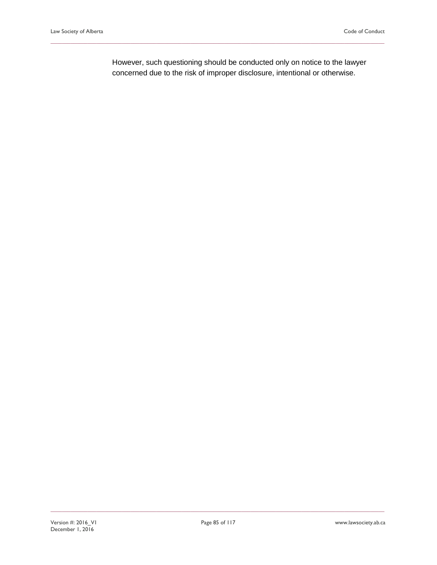However, such questioning should be conducted only on notice to the lawyer concerned due to the risk of improper disclosure, intentional or otherwise.

**\_\_\_\_\_\_\_\_\_\_\_\_\_\_\_\_\_\_\_\_\_\_\_\_\_\_\_\_\_\_\_\_\_\_\_\_\_\_\_\_\_\_\_\_\_\_\_\_\_\_\_\_\_\_\_\_\_\_\_\_\_\_\_\_\_\_\_\_\_\_\_\_\_\_\_\_\_\_\_\_\_\_\_\_\_\_\_\_\_\_\_\_\_\_\_\_\_\_\_\_\_\_\_\_\_\_\_\_\_\_\_\_\_\_\_\_\_**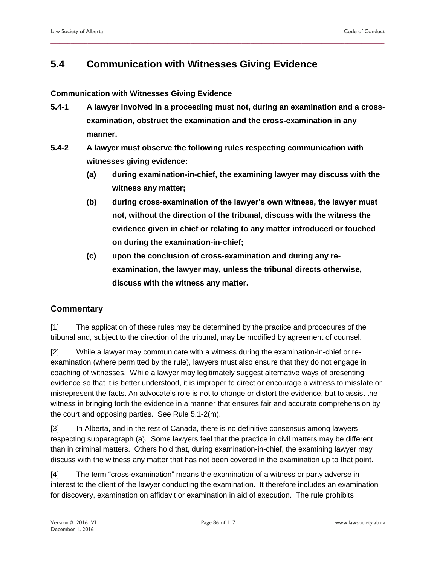# **5.4 Communication with Witnesses Giving Evidence**

**Communication with Witnesses Giving Evidence**

**5.4-1 A lawyer involved in a proceeding must not, during an examination and a crossexamination, obstruct the examination and the cross-examination in any manner.**

**\_\_\_\_\_\_\_\_\_\_\_\_\_\_\_\_\_\_\_\_\_\_\_\_\_\_\_\_\_\_\_\_\_\_\_\_\_\_\_\_\_\_\_\_\_\_\_\_\_\_\_\_\_\_\_\_\_\_\_\_\_\_\_\_\_\_\_\_\_\_\_\_\_\_\_\_\_\_\_\_\_\_\_\_\_\_\_\_\_\_\_\_\_\_\_\_\_\_\_\_\_\_\_\_\_\_\_\_\_\_\_\_\_\_\_\_\_**

- **5.4-2 A lawyer must observe the following rules respecting communication with witnesses giving evidence:**
	- **(a) during examination-in-chief, the examining lawyer may discuss with the witness any matter;**
	- **(b) during cross-examination of the lawyer's own witness, the lawyer must not, without the direction of the tribunal, discuss with the witness the evidence given in chief or relating to any matter introduced or touched on during the examination-in-chief;**
	- **(c) upon the conclusion of cross-examination and during any reexamination, the lawyer may, unless the tribunal directs otherwise, discuss with the witness any matter.**

# **Commentary**

[1] The application of these rules may be determined by the practice and procedures of the tribunal and, subject to the direction of the tribunal, may be modified by agreement of counsel.

[2] While a lawyer may communicate with a witness during the examination-in-chief or reexamination (where permitted by the rule), lawyers must also ensure that they do not engage in coaching of witnesses. While a lawyer may legitimately suggest alternative ways of presenting evidence so that it is better understood, it is improper to direct or encourage a witness to misstate or misrepresent the facts. An advocate's role is not to change or distort the evidence, but to assist the witness in bringing forth the evidence in a manner that ensures fair and accurate comprehension by the court and opposing parties. See Rule 5.1-2(m).

[3] In Alberta, and in the rest of Canada, there is no definitive consensus among lawyers respecting subparagraph (a). Some lawyers feel that the practice in civil matters may be different than in criminal matters. Others hold that, during examination-in-chief, the examining lawyer may discuss with the witness any matter that has not been covered in the examination up to that point.

[4] The term "cross-examination" means the examination of a witness or party adverse in interest to the client of the lawyer conducting the examination. It therefore includes an examination for discovery, examination on affidavit or examination in aid of execution. The rule prohibits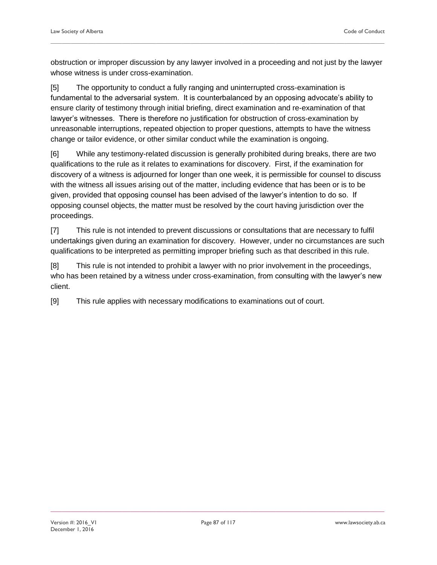obstruction or improper discussion by any lawyer involved in a proceeding and not just by the lawyer whose witness is under cross-examination.

**\_\_\_\_\_\_\_\_\_\_\_\_\_\_\_\_\_\_\_\_\_\_\_\_\_\_\_\_\_\_\_\_\_\_\_\_\_\_\_\_\_\_\_\_\_\_\_\_\_\_\_\_\_\_\_\_\_\_\_\_\_\_\_\_\_\_\_\_\_\_\_\_\_\_\_\_\_\_\_\_\_\_\_\_\_\_\_\_\_\_\_\_\_\_\_\_\_\_\_\_\_\_\_\_\_\_\_\_\_\_\_\_\_\_\_\_\_**

[5] The opportunity to conduct a fully ranging and uninterrupted cross-examination is fundamental to the adversarial system. It is counterbalanced by an opposing advocate's ability to ensure clarity of testimony through initial briefing, direct examination and re-examination of that lawyer's witnesses. There is therefore no justification for obstruction of cross-examination by unreasonable interruptions, repeated objection to proper questions, attempts to have the witness change or tailor evidence, or other similar conduct while the examination is ongoing.

[6] While any testimony-related discussion is generally prohibited during breaks, there are two qualifications to the rule as it relates to examinations for discovery. First, if the examination for discovery of a witness is adjourned for longer than one week, it is permissible for counsel to discuss with the witness all issues arising out of the matter, including evidence that has been or is to be given, provided that opposing counsel has been advised of the lawyer's intention to do so. If opposing counsel objects, the matter must be resolved by the court having jurisdiction over the proceedings.

[7] This rule is not intended to prevent discussions or consultations that are necessary to fulfil undertakings given during an examination for discovery. However, under no circumstances are such qualifications to be interpreted as permitting improper briefing such as that described in this rule.

[8] This rule is not intended to prohibit a lawyer with no prior involvement in the proceedings, who has been retained by a witness under cross-examination, from consulting with the lawyer's new client.

[9] This rule applies with necessary modifications to examinations out of court.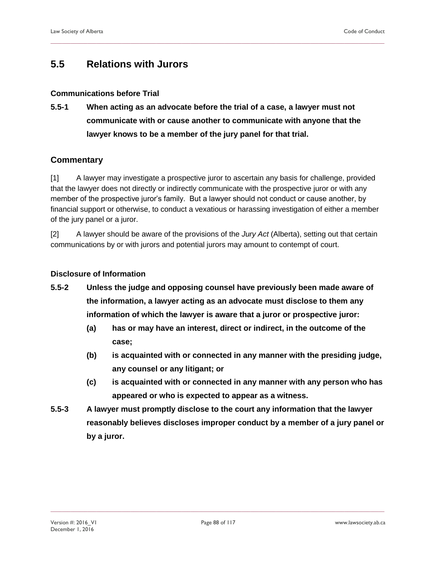# **5.5 Relations with Jurors**

#### **Communications before Trial**

**5.5-1 When acting as an advocate before the trial of a case, a lawyer must not communicate with or cause another to communicate with anyone that the lawyer knows to be a member of the jury panel for that trial.**

**\_\_\_\_\_\_\_\_\_\_\_\_\_\_\_\_\_\_\_\_\_\_\_\_\_\_\_\_\_\_\_\_\_\_\_\_\_\_\_\_\_\_\_\_\_\_\_\_\_\_\_\_\_\_\_\_\_\_\_\_\_\_\_\_\_\_\_\_\_\_\_\_\_\_\_\_\_\_\_\_\_\_\_\_\_\_\_\_\_\_\_\_\_\_\_\_\_\_\_\_\_\_\_\_\_\_\_\_\_\_\_\_\_\_\_\_\_**

### **Commentary**

[1] A lawyer may investigate a prospective juror to ascertain any basis for challenge, provided that the lawyer does not directly or indirectly communicate with the prospective juror or with any member of the prospective juror's family. But a lawyer should not conduct or cause another, by financial support or otherwise, to conduct a vexatious or harassing investigation of either a member of the jury panel or a juror.

[2] A lawyer should be aware of the provisions of the *Jury Act* (Alberta), setting out that certain communications by or with jurors and potential jurors may amount to contempt of court.

#### **Disclosure of Information**

- **5.5-2 Unless the judge and opposing counsel have previously been made aware of the information, a lawyer acting as an advocate must disclose to them any information of which the lawyer is aware that a juror or prospective juror:**
	- **(a) has or may have an interest, direct or indirect, in the outcome of the case;**
	- **(b) is acquainted with or connected in any manner with the presiding judge, any counsel or any litigant; or**
	- **(c) is acquainted with or connected in any manner with any person who has appeared or who is expected to appear as a witness.**
- **5.5-3 A lawyer must promptly disclose to the court any information that the lawyer reasonably believes discloses improper conduct by a member of a jury panel or by a juror.**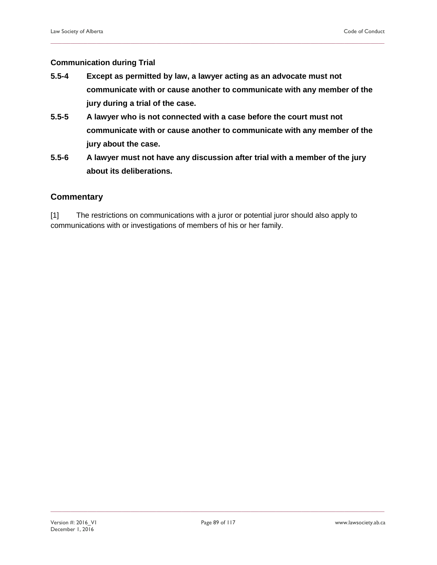#### **Communication during Trial**

**5.5-4 Except as permitted by law, a lawyer acting as an advocate must not communicate with or cause another to communicate with any member of the jury during a trial of the case.**

**\_\_\_\_\_\_\_\_\_\_\_\_\_\_\_\_\_\_\_\_\_\_\_\_\_\_\_\_\_\_\_\_\_\_\_\_\_\_\_\_\_\_\_\_\_\_\_\_\_\_\_\_\_\_\_\_\_\_\_\_\_\_\_\_\_\_\_\_\_\_\_\_\_\_\_\_\_\_\_\_\_\_\_\_\_\_\_\_\_\_\_\_\_\_\_\_\_\_\_\_\_\_\_\_\_\_\_\_\_\_\_\_\_\_\_\_\_**

- **5.5-5 A lawyer who is not connected with a case before the court must not communicate with or cause another to communicate with any member of the jury about the case.**
- **5.5-6 A lawyer must not have any discussion after trial with a member of the jury about its deliberations.**

#### **Commentary**

[1] The restrictions on communications with a juror or potential juror should also apply to communications with or investigations of members of his or her family.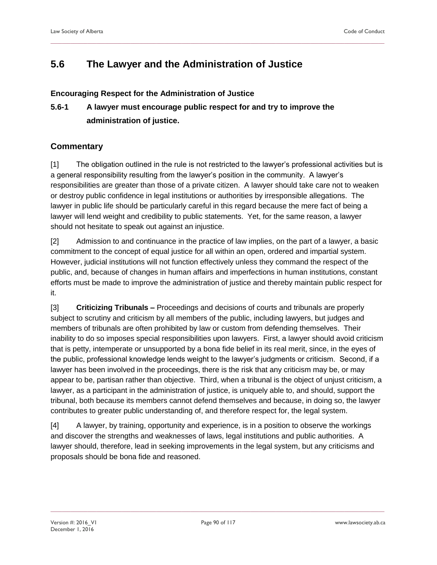# **5.6 The Lawyer and the Administration of Justice**

#### **Encouraging Respect for the Administration of Justice**

# **5.6-1 A lawyer must encourage public respect for and try to improve the administration of justice.**

# **Commentary**

[1] The obligation outlined in the rule is not restricted to the lawyer's professional activities but is a general responsibility resulting from the lawyer's position in the community. A lawyer's responsibilities are greater than those of a private citizen. A lawyer should take care not to weaken or destroy public confidence in legal institutions or authorities by irresponsible allegations. The lawyer in public life should be particularly careful in this regard because the mere fact of being a lawyer will lend weight and credibility to public statements. Yet, for the same reason, a lawyer should not hesitate to speak out against an injustice.

**\_\_\_\_\_\_\_\_\_\_\_\_\_\_\_\_\_\_\_\_\_\_\_\_\_\_\_\_\_\_\_\_\_\_\_\_\_\_\_\_\_\_\_\_\_\_\_\_\_\_\_\_\_\_\_\_\_\_\_\_\_\_\_\_\_\_\_\_\_\_\_\_\_\_\_\_\_\_\_\_\_\_\_\_\_\_\_\_\_\_\_\_\_\_\_\_\_\_\_\_\_\_\_\_\_\_\_\_\_\_\_\_\_\_\_\_\_**

[2] Admission to and continuance in the practice of law implies, on the part of a lawyer, a basic commitment to the concept of equal justice for all within an open, ordered and impartial system. However, judicial institutions will not function effectively unless they command the respect of the public, and, because of changes in human affairs and imperfections in human institutions, constant efforts must be made to improve the administration of justice and thereby maintain public respect for it.

[3] **Criticizing Tribunals –** Proceedings and decisions of courts and tribunals are properly subject to scrutiny and criticism by all members of the public, including lawyers, but judges and members of tribunals are often prohibited by law or custom from defending themselves. Their inability to do so imposes special responsibilities upon lawyers. First, a lawyer should avoid criticism that is petty, intemperate or unsupported by a bona fide belief in its real merit, since, in the eyes of the public, professional knowledge lends weight to the lawyer's judgments or criticism. Second, if a lawyer has been involved in the proceedings, there is the risk that any criticism may be, or may appear to be, partisan rather than objective. Third, when a tribunal is the object of unjust criticism, a lawyer, as a participant in the administration of justice, is uniquely able to, and should, support the tribunal, both because its members cannot defend themselves and because, in doing so, the lawyer contributes to greater public understanding of, and therefore respect for, the legal system.

[4] A lawyer, by training, opportunity and experience, is in a position to observe the workings and discover the strengths and weaknesses of laws, legal institutions and public authorities. A lawyer should, therefore, lead in seeking improvements in the legal system, but any criticisms and proposals should be bona fide and reasoned.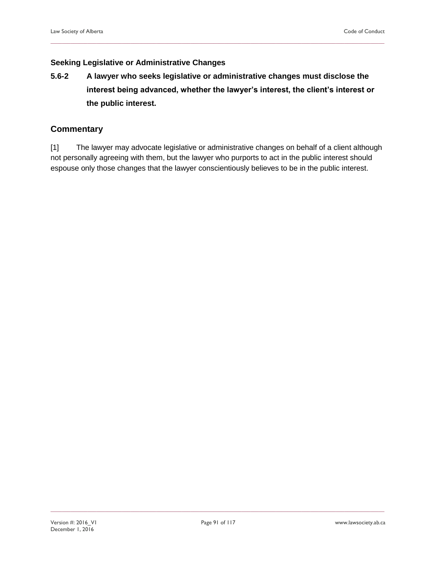#### **Seeking Legislative or Administrative Changes**

**5.6-2 A lawyer who seeks legislative or administrative changes must disclose the interest being advanced, whether the lawyer's interest, the client's interest or the public interest.**

**\_\_\_\_\_\_\_\_\_\_\_\_\_\_\_\_\_\_\_\_\_\_\_\_\_\_\_\_\_\_\_\_\_\_\_\_\_\_\_\_\_\_\_\_\_\_\_\_\_\_\_\_\_\_\_\_\_\_\_\_\_\_\_\_\_\_\_\_\_\_\_\_\_\_\_\_\_\_\_\_\_\_\_\_\_\_\_\_\_\_\_\_\_\_\_\_\_\_\_\_\_\_\_\_\_\_\_\_\_\_\_\_\_\_\_\_\_**

### **Commentary**

[1] The lawyer may advocate legislative or administrative changes on behalf of a client although not personally agreeing with them, but the lawyer who purports to act in the public interest should espouse only those changes that the lawyer conscientiously believes to be in the public interest.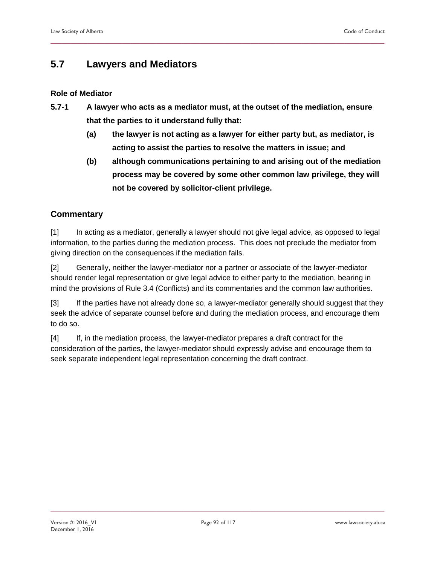# **5.7 Lawyers and Mediators**

#### **Role of Mediator**

**5.7-1 A lawyer who acts as a mediator must, at the outset of the mediation, ensure that the parties to it understand fully that:**

**\_\_\_\_\_\_\_\_\_\_\_\_\_\_\_\_\_\_\_\_\_\_\_\_\_\_\_\_\_\_\_\_\_\_\_\_\_\_\_\_\_\_\_\_\_\_\_\_\_\_\_\_\_\_\_\_\_\_\_\_\_\_\_\_\_\_\_\_\_\_\_\_\_\_\_\_\_\_\_\_\_\_\_\_\_\_\_\_\_\_\_\_\_\_\_\_\_\_\_\_\_\_\_\_\_\_\_\_\_\_\_\_\_\_\_\_\_**

- **(a) the lawyer is not acting as a lawyer for either party but, as mediator, is acting to assist the parties to resolve the matters in issue; and**
- **(b) although communications pertaining to and arising out of the mediation process may be covered by some other common law privilege, they will not be covered by solicitor-client privilege.**

# **Commentary**

[1] In acting as a mediator, generally a lawyer should not give legal advice, as opposed to legal information, to the parties during the mediation process. This does not preclude the mediator from giving direction on the consequences if the mediation fails.

[2] Generally, neither the lawyer-mediator nor a partner or associate of the lawyer-mediator should render legal representation or give legal advice to either party to the mediation, bearing in mind the provisions of Rule 3.4 (Conflicts) and its commentaries and the common law authorities.

[3] If the parties have not already done so, a lawyer-mediator generally should suggest that they seek the advice of separate counsel before and during the mediation process, and encourage them to do so.

[4] If, in the mediation process, the lawyer-mediator prepares a draft contract for the consideration of the parties, the lawyer-mediator should expressly advise and encourage them to seek separate independent legal representation concerning the draft contract.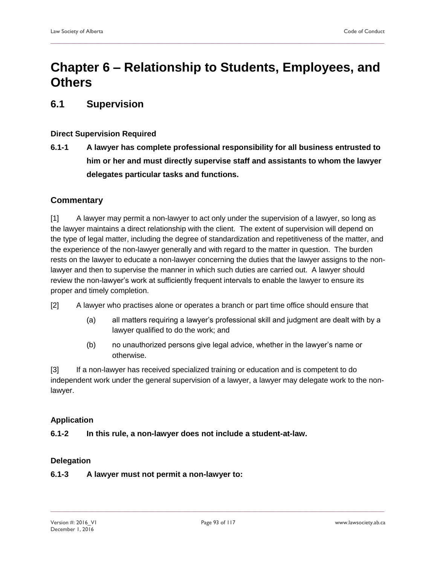# **Chapter 6 – Relationship to Students, Employees, and Others**

**\_\_\_\_\_\_\_\_\_\_\_\_\_\_\_\_\_\_\_\_\_\_\_\_\_\_\_\_\_\_\_\_\_\_\_\_\_\_\_\_\_\_\_\_\_\_\_\_\_\_\_\_\_\_\_\_\_\_\_\_\_\_\_\_\_\_\_\_\_\_\_\_\_\_\_\_\_\_\_\_\_\_\_\_\_\_\_\_\_\_\_\_\_\_\_\_\_\_\_\_\_\_\_\_\_\_\_\_\_\_\_\_\_\_\_\_\_**

# **6.1 Supervision**

#### **Direct Supervision Required**

**6.1-1 A lawyer has complete professional responsibility for all business entrusted to him or her and must directly supervise staff and assistants to whom the lawyer delegates particular tasks and functions.**

# **Commentary**

[1] A lawyer may permit a non-lawyer to act only under the supervision of a lawyer, so long as the lawyer maintains a direct relationship with the client. The extent of supervision will depend on the type of legal matter, including the degree of standardization and repetitiveness of the matter, and the experience of the non-lawyer generally and with regard to the matter in question. The burden rests on the lawyer to educate a non-lawyer concerning the duties that the lawyer assigns to the nonlawyer and then to supervise the manner in which such duties are carried out. A lawyer should review the non-lawyer's work at sufficiently frequent intervals to enable the lawyer to ensure its proper and timely completion.

[2] A lawyer who practises alone or operates a branch or part time office should ensure that

- (a) all matters requiring a lawyer's professional skill and judgment are dealt with by a lawyer qualified to do the work; and
- (b) no unauthorized persons give legal advice, whether in the lawyer's name or otherwise.

[3] If a non-lawyer has received specialized training or education and is competent to do independent work under the general supervision of a lawyer, a lawyer may delegate work to the nonlawyer.

#### **Application**

**6.1-2 In this rule, a non-lawyer does not include a student-at-law.**

#### **Delegation**

#### **6.1-3 A lawyer must not permit a non-lawyer to:**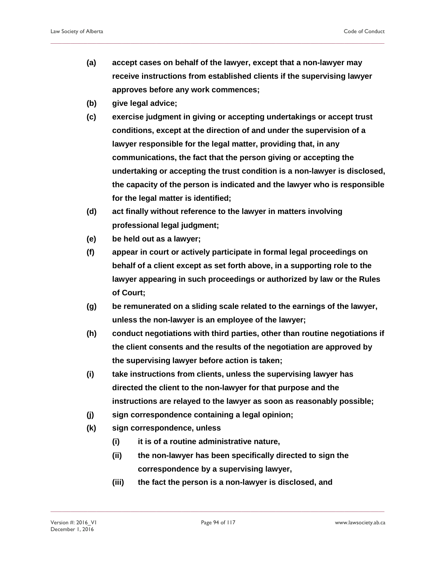**(a) accept cases on behalf of the lawyer, except that a non-lawyer may receive instructions from established clients if the supervising lawyer approves before any work commences;**

**\_\_\_\_\_\_\_\_\_\_\_\_\_\_\_\_\_\_\_\_\_\_\_\_\_\_\_\_\_\_\_\_\_\_\_\_\_\_\_\_\_\_\_\_\_\_\_\_\_\_\_\_\_\_\_\_\_\_\_\_\_\_\_\_\_\_\_\_\_\_\_\_\_\_\_\_\_\_\_\_\_\_\_\_\_\_\_\_\_\_\_\_\_\_\_\_\_\_\_\_\_\_\_\_\_\_\_\_\_\_\_\_\_\_\_\_\_**

- **(b) give legal advice;**
- **(c) exercise judgment in giving or accepting undertakings or accept trust conditions, except at the direction of and under the supervision of a lawyer responsible for the legal matter, providing that, in any communications, the fact that the person giving or accepting the undertaking or accepting the trust condition is a non-lawyer is disclosed, the capacity of the person is indicated and the lawyer who is responsible for the legal matter is identified;**
- **(d) act finally without reference to the lawyer in matters involving professional legal judgment;**
- **(e) be held out as a lawyer;**
- **(f) appear in court or actively participate in formal legal proceedings on behalf of a client except as set forth above, in a supporting role to the lawyer appearing in such proceedings or authorized by law or the Rules of Court;**
- **(g) be remunerated on a sliding scale related to the earnings of the lawyer, unless the non-lawyer is an employee of the lawyer;**
- **(h) conduct negotiations with third parties, other than routine negotiations if the client consents and the results of the negotiation are approved by the supervising lawyer before action is taken;**
- **(i) take instructions from clients, unless the supervising lawyer has directed the client to the non-lawyer for that purpose and the instructions are relayed to the lawyer as soon as reasonably possible;**
- **(j) sign correspondence containing a legal opinion;**
- **(k) sign correspondence, unless**
	- **(i) it is of a routine administrative nature,**
	- **(ii) the non-lawyer has been specifically directed to sign the correspondence by a supervising lawyer,**
	- **(iii) the fact the person is a non-lawyer is disclosed, and**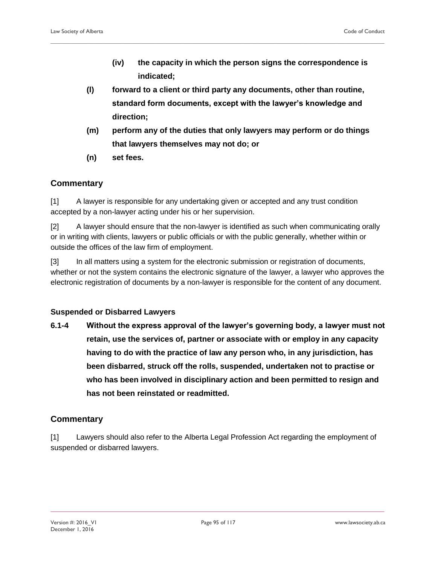- **(iv) the capacity in which the person signs the correspondence is indicated;**
- **(l) forward to a client or third party any documents, other than routine, standard form documents, except with the lawyer's knowledge and direction;**

**\_\_\_\_\_\_\_\_\_\_\_\_\_\_\_\_\_\_\_\_\_\_\_\_\_\_\_\_\_\_\_\_\_\_\_\_\_\_\_\_\_\_\_\_\_\_\_\_\_\_\_\_\_\_\_\_\_\_\_\_\_\_\_\_\_\_\_\_\_\_\_\_\_\_\_\_\_\_\_\_\_\_\_\_\_\_\_\_\_\_\_\_\_\_\_\_\_\_\_\_\_\_\_\_\_\_\_\_\_\_\_\_\_\_\_\_\_**

- **(m) perform any of the duties that only lawyers may perform or do things that lawyers themselves may not do; or**
- **(n) set fees.**

# **Commentary**

[1] A lawyer is responsible for any undertaking given or accepted and any trust condition accepted by a non-lawyer acting under his or her supervision.

[2] A lawyer should ensure that the non-lawyer is identified as such when communicating orally or in writing with clients, lawyers or public officials or with the public generally, whether within or outside the offices of the law firm of employment.

[3] In all matters using a system for the electronic submission or registration of documents, whether or not the system contains the electronic signature of the lawyer, a lawyer who approves the electronic registration of documents by a non-lawyer is responsible for the content of any document.

# **Suspended or Disbarred Lawyers**

**6.1-4 Without the express approval of the lawyer's governing body, a lawyer must not retain, use the services of, partner or associate with or employ in any capacity having to do with the practice of law any person who, in any jurisdiction, has been disbarred, struck off the rolls, suspended, undertaken not to practise or who has been involved in disciplinary action and been permitted to resign and has not been reinstated or readmitted.**

# **Commentary**

[1] Lawyers should also refer to the Alberta Legal Profession Act regarding the employment of suspended or disbarred lawyers.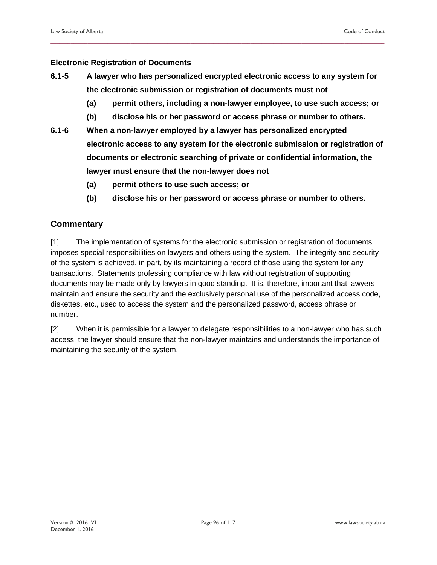#### **Electronic Registration of Documents**

**6.1-5 A lawyer who has personalized encrypted electronic access to any system for the electronic submission or registration of documents must not**

**\_\_\_\_\_\_\_\_\_\_\_\_\_\_\_\_\_\_\_\_\_\_\_\_\_\_\_\_\_\_\_\_\_\_\_\_\_\_\_\_\_\_\_\_\_\_\_\_\_\_\_\_\_\_\_\_\_\_\_\_\_\_\_\_\_\_\_\_\_\_\_\_\_\_\_\_\_\_\_\_\_\_\_\_\_\_\_\_\_\_\_\_\_\_\_\_\_\_\_\_\_\_\_\_\_\_\_\_\_\_\_\_\_\_\_\_\_**

- **(a) permit others, including a non-lawyer employee, to use such access; or**
- **(b) disclose his or her password or access phrase or number to others.**
- **6.1-6 When a non-lawyer employed by a lawyer has personalized encrypted electronic access to any system for the electronic submission or registration of documents or electronic searching of private or confidential information, the lawyer must ensure that the non-lawyer does not**
	- **(a) permit others to use such access; or**
	- **(b) disclose his or her password or access phrase or number to others.**

# **Commentary**

[1] The implementation of systems for the electronic submission or registration of documents imposes special responsibilities on lawyers and others using the system. The integrity and security of the system is achieved, in part, by its maintaining a record of those using the system for any transactions. Statements professing compliance with law without registration of supporting documents may be made only by lawyers in good standing. It is, therefore, important that lawyers maintain and ensure the security and the exclusively personal use of the personalized access code, diskettes, etc., used to access the system and the personalized password, access phrase or number.

[2] When it is permissible for a lawyer to delegate responsibilities to a non-lawyer who has such access, the lawyer should ensure that the non-lawyer maintains and understands the importance of maintaining the security of the system.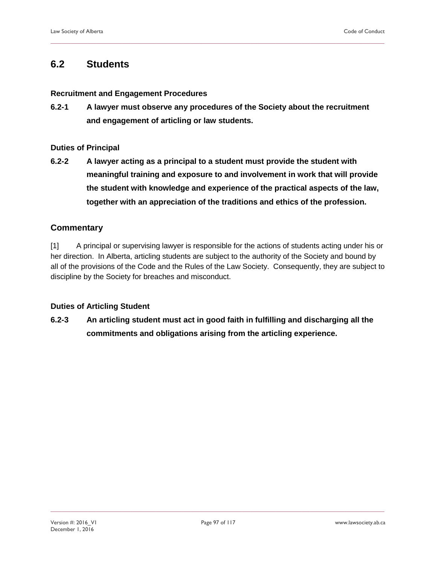# **6.2 Students**

#### **Recruitment and Engagement Procedures**

**6.2-1 A lawyer must observe any procedures of the Society about the recruitment and engagement of articling or law students.**

**\_\_\_\_\_\_\_\_\_\_\_\_\_\_\_\_\_\_\_\_\_\_\_\_\_\_\_\_\_\_\_\_\_\_\_\_\_\_\_\_\_\_\_\_\_\_\_\_\_\_\_\_\_\_\_\_\_\_\_\_\_\_\_\_\_\_\_\_\_\_\_\_\_\_\_\_\_\_\_\_\_\_\_\_\_\_\_\_\_\_\_\_\_\_\_\_\_\_\_\_\_\_\_\_\_\_\_\_\_\_\_\_\_\_\_\_\_**

### **Duties of Principal**

**6.2-2 A lawyer acting as a principal to a student must provide the student with meaningful training and exposure to and involvement in work that will provide the student with knowledge and experience of the practical aspects of the law, together with an appreciation of the traditions and ethics of the profession.**

# **Commentary**

[1] A principal or supervising lawyer is responsible for the actions of students acting under his or her direction. In Alberta, articling students are subject to the authority of the Society and bound by all of the provisions of the Code and the Rules of the Law Society. Consequently, they are subject to discipline by the Society for breaches and misconduct.

#### **Duties of Articling Student**

**6.2-3 An articling student must act in good faith in fulfilling and discharging all the commitments and obligations arising from the articling experience.**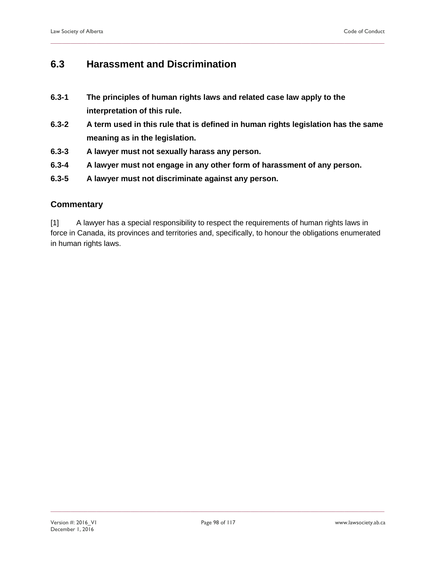# **6.3 Harassment and Discrimination**

- **6.3-1 The principles of human rights laws and related case law apply to the interpretation of this rule.**
- **6.3-2 A term used in this rule that is defined in human rights legislation has the same meaning as in the legislation.**

**\_\_\_\_\_\_\_\_\_\_\_\_\_\_\_\_\_\_\_\_\_\_\_\_\_\_\_\_\_\_\_\_\_\_\_\_\_\_\_\_\_\_\_\_\_\_\_\_\_\_\_\_\_\_\_\_\_\_\_\_\_\_\_\_\_\_\_\_\_\_\_\_\_\_\_\_\_\_\_\_\_\_\_\_\_\_\_\_\_\_\_\_\_\_\_\_\_\_\_\_\_\_\_\_\_\_\_\_\_\_\_\_\_\_\_\_\_**

- **6.3-3 A lawyer must not sexually harass any person.**
- **6.3-4 A lawyer must not engage in any other form of harassment of any person.**
- **6.3-5 A lawyer must not discriminate against any person.**

### **Commentary**

[1] A lawyer has a special responsibility to respect the requirements of human rights laws in force in Canada, its provinces and territories and, specifically, to honour the obligations enumerated in human rights laws.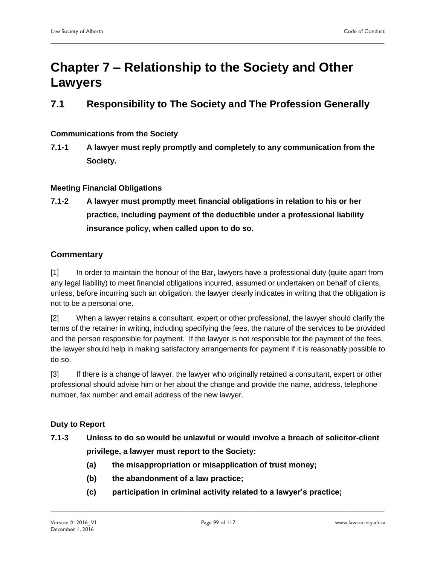# **Chapter 7 – Relationship to the Society and Other Lawyers**

# **7.1 Responsibility to The Society and The Profession Generally**

**\_\_\_\_\_\_\_\_\_\_\_\_\_\_\_\_\_\_\_\_\_\_\_\_\_\_\_\_\_\_\_\_\_\_\_\_\_\_\_\_\_\_\_\_\_\_\_\_\_\_\_\_\_\_\_\_\_\_\_\_\_\_\_\_\_\_\_\_\_\_\_\_\_\_\_\_\_\_\_\_\_\_\_\_\_\_\_\_\_\_\_\_\_\_\_\_\_\_\_\_\_\_\_\_\_\_\_\_\_\_\_\_\_\_\_\_\_**

### **Communications from the Society**

**7.1-1 A lawyer must reply promptly and completely to any communication from the Society.**

### **Meeting Financial Obligations**

**7.1-2 A lawyer must promptly meet financial obligations in relation to his or her practice, including payment of the deductible under a professional liability insurance policy, when called upon to do so.**

# **Commentary**

[1] In order to maintain the honour of the Bar, lawyers have a professional duty (quite apart from any legal liability) to meet financial obligations incurred, assumed or undertaken on behalf of clients, unless, before incurring such an obligation, the lawyer clearly indicates in writing that the obligation is not to be a personal one.

[2] When a lawyer retains a consultant, expert or other professional, the lawyer should clarify the terms of the retainer in writing, including specifying the fees, the nature of the services to be provided and the person responsible for payment. If the lawyer is not responsible for the payment of the fees, the lawyer should help in making satisfactory arrangements for payment if it is reasonably possible to do so.

[3] If there is a change of lawyer, the lawyer who originally retained a consultant, expert or other professional should advise him or her about the change and provide the name, address, telephone number, fax number and email address of the new lawyer.

# **Duty to Report**

- **7.1-3 Unless to do so would be unlawful or would involve a breach of solicitor-client privilege, a lawyer must report to the Society:**
	- **(a) the misappropriation or misapplication of trust money;**
	- **(b) the abandonment of a law practice;**
	- **(c) participation in criminal activity related to a lawyer's practice;**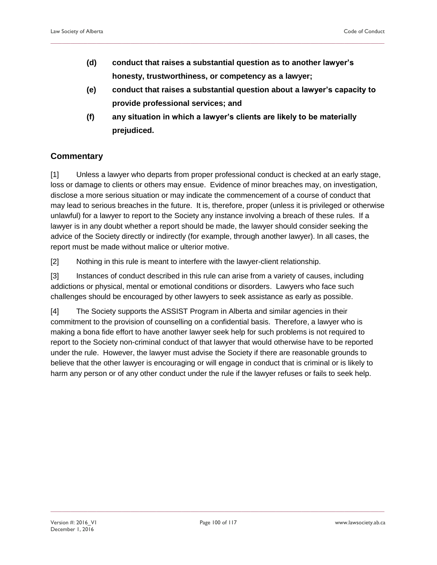**(d) conduct that raises a substantial question as to another lawyer's honesty, trustworthiness, or competency as a lawyer;**

**\_\_\_\_\_\_\_\_\_\_\_\_\_\_\_\_\_\_\_\_\_\_\_\_\_\_\_\_\_\_\_\_\_\_\_\_\_\_\_\_\_\_\_\_\_\_\_\_\_\_\_\_\_\_\_\_\_\_\_\_\_\_\_\_\_\_\_\_\_\_\_\_\_\_\_\_\_\_\_\_\_\_\_\_\_\_\_\_\_\_\_\_\_\_\_\_\_\_\_\_\_\_\_\_\_\_\_\_\_\_\_\_\_\_\_\_\_**

- **(e) conduct that raises a substantial question about a lawyer's capacity to provide professional services; and**
- **(f) any situation in which a lawyer's clients are likely to be materially prejudiced.**

# **Commentary**

[1] Unless a lawyer who departs from proper professional conduct is checked at an early stage, loss or damage to clients or others may ensue. Evidence of minor breaches may, on investigation, disclose a more serious situation or may indicate the commencement of a course of conduct that may lead to serious breaches in the future. It is, therefore, proper (unless it is privileged or otherwise unlawful) for a lawyer to report to the Society any instance involving a breach of these rules. If a lawyer is in any doubt whether a report should be made, the lawyer should consider seeking the advice of the Society directly or indirectly (for example, through another lawyer). In all cases, the report must be made without malice or ulterior motive.

[2] Nothing in this rule is meant to interfere with the lawyer-client relationship.

[3] Instances of conduct described in this rule can arise from a variety of causes, including addictions or physical, mental or emotional conditions or disorders. Lawyers who face such challenges should be encouraged by other lawyers to seek assistance as early as possible.

[4] The Society supports the ASSIST Program in Alberta and similar agencies in their commitment to the provision of counselling on a confidential basis. Therefore, a lawyer who is making a bona fide effort to have another lawyer seek help for such problems is not required to report to the Society non-criminal conduct of that lawyer that would otherwise have to be reported under the rule. However, the lawyer must advise the Society if there are reasonable grounds to believe that the other lawyer is encouraging or will engage in conduct that is criminal or is likely to harm any person or of any other conduct under the rule if the lawyer refuses or fails to seek help.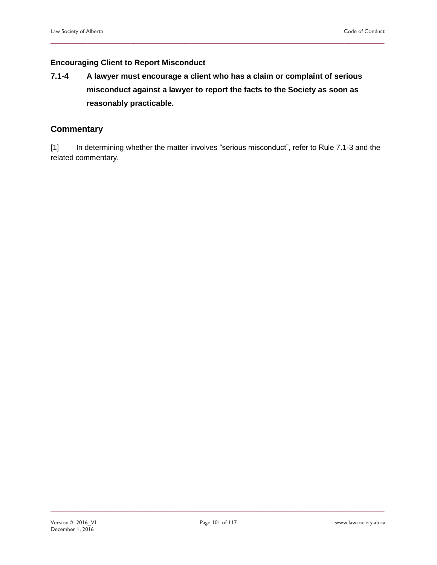#### **Encouraging Client to Report Misconduct**

**7.1-4 A lawyer must encourage a client who has a claim or complaint of serious misconduct against a lawyer to report the facts to the Society as soon as reasonably practicable.**

**\_\_\_\_\_\_\_\_\_\_\_\_\_\_\_\_\_\_\_\_\_\_\_\_\_\_\_\_\_\_\_\_\_\_\_\_\_\_\_\_\_\_\_\_\_\_\_\_\_\_\_\_\_\_\_\_\_\_\_\_\_\_\_\_\_\_\_\_\_\_\_\_\_\_\_\_\_\_\_\_\_\_\_\_\_\_\_\_\_\_\_\_\_\_\_\_\_\_\_\_\_\_\_\_\_\_\_\_\_\_\_\_\_\_\_\_\_**

# **Commentary**

[1] In determining whether the matter involves "serious misconduct", refer to Rule 7.1-3 and the related commentary.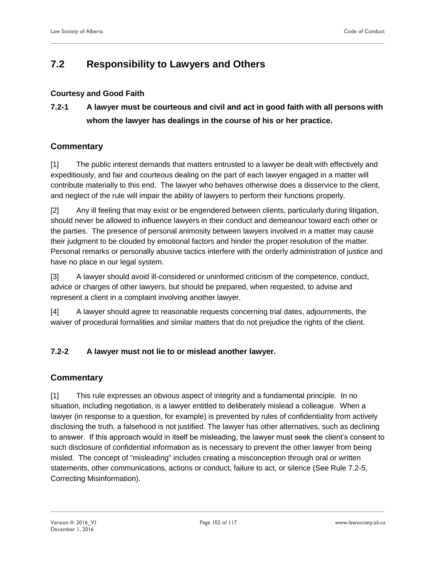# **7.2 Responsibility to Lawyers and Others**

#### **Courtesy and Good Faith**

**7.2-1 A lawyer must be courteous and civil and act in good faith with all persons with whom the lawyer has dealings in the course of his or her practice.**

**\_\_\_\_\_\_\_\_\_\_\_\_\_\_\_\_\_\_\_\_\_\_\_\_\_\_\_\_\_\_\_\_\_\_\_\_\_\_\_\_\_\_\_\_\_\_\_\_\_\_\_\_\_\_\_\_\_\_\_\_\_\_\_\_\_\_\_\_\_\_\_\_\_\_\_\_\_\_\_\_\_\_\_\_\_\_\_\_\_\_\_\_\_\_\_\_\_\_\_\_\_\_\_\_\_\_\_\_\_\_\_\_\_\_\_\_\_**

# **Commentary**

[1] The public interest demands that matters entrusted to a lawyer be dealt with effectively and expeditiously, and fair and courteous dealing on the part of each lawyer engaged in a matter will contribute materially to this end. The lawyer who behaves otherwise does a disservice to the client, and neglect of the rule will impair the ability of lawyers to perform their functions properly.

[2] Any ill feeling that may exist or be engendered between clients, particularly during litigation, should never be allowed to influence lawyers in their conduct and demeanour toward each other or the parties. The presence of personal animosity between lawyers involved in a matter may cause their judgment to be clouded by emotional factors and hinder the proper resolution of the matter. Personal remarks or personally abusive tactics interfere with the orderly administration of justice and have no place in our legal system.

[3] A lawyer should avoid ill-considered or uninformed criticism of the competence, conduct, advice or charges of other lawyers, but should be prepared, when requested, to advise and represent a client in a complaint involving another lawyer.

[4] A lawyer should agree to reasonable requests concerning trial dates, adjournments, the waiver of procedural formalities and similar matters that do not prejudice the rights of the client.

# **7.2-2 A lawyer must not lie to or mislead another lawyer.**

# **Commentary**

[1] This rule expresses an obvious aspect of integrity and a fundamental principle. In no situation, including negotiation, is a lawyer entitled to deliberately mislead a colleague. When a lawyer (in response to a question, for example) is prevented by rules of confidentiality from actively disclosing the truth, a falsehood is not justified. The lawyer has other alternatives, such as declining to answer. If this approach would in itself be misleading, the lawyer must seek the client's consent to such disclosure of confidential information as is necessary to prevent the other lawyer from being misled. The concept of "misleading" includes creating a misconception through oral or written statements, other communications, actions or conduct, failure to act, or silence (See Rule 7.2-5, Correcting Misinformation).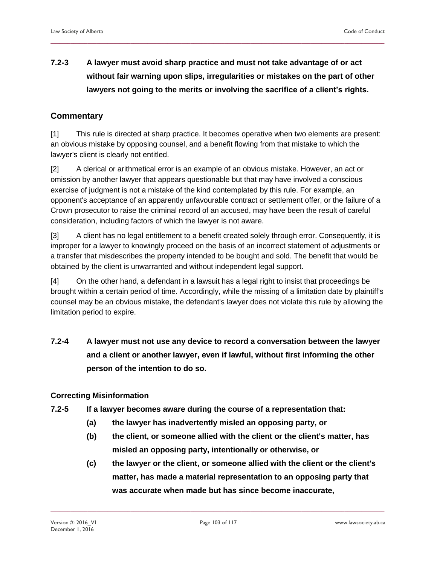# **7.2-3 A lawyer must avoid sharp practice and must not take advantage of or act without fair warning upon slips, irregularities or mistakes on the part of other lawyers not going to the merits or involving the sacrifice of a client's rights.**

**\_\_\_\_\_\_\_\_\_\_\_\_\_\_\_\_\_\_\_\_\_\_\_\_\_\_\_\_\_\_\_\_\_\_\_\_\_\_\_\_\_\_\_\_\_\_\_\_\_\_\_\_\_\_\_\_\_\_\_\_\_\_\_\_\_\_\_\_\_\_\_\_\_\_\_\_\_\_\_\_\_\_\_\_\_\_\_\_\_\_\_\_\_\_\_\_\_\_\_\_\_\_\_\_\_\_\_\_\_\_\_\_\_\_\_\_\_**

### **Commentary**

[1] This rule is directed at sharp practice. It becomes operative when two elements are present: an obvious mistake by opposing counsel, and a benefit flowing from that mistake to which the lawyer's client is clearly not entitled.

[2] A clerical or arithmetical error is an example of an obvious mistake. However, an act or omission by another lawyer that appears questionable but that may have involved a conscious exercise of judgment is not a mistake of the kind contemplated by this rule. For example, an opponent's acceptance of an apparently unfavourable contract or settlement offer, or the failure of a Crown prosecutor to raise the criminal record of an accused, may have been the result of careful consideration, including factors of which the lawyer is not aware.

[3] A client has no legal entitlement to a benefit created solely through error. Consequently, it is improper for a lawyer to knowingly proceed on the basis of an incorrect statement of adjustments or a transfer that misdescribes the property intended to be bought and sold. The benefit that would be obtained by the client is unwarranted and without independent legal support.

[4] On the other hand, a defendant in a lawsuit has a legal right to insist that proceedings be brought within a certain period of time. Accordingly, while the missing of a limitation date by plaintiff's counsel may be an obvious mistake, the defendant's lawyer does not violate this rule by allowing the limitation period to expire.

**7.2-4 A lawyer must not use any device to record a conversation between the lawyer and a client or another lawyer, even if lawful, without first informing the other person of the intention to do so.**

### **Correcting Misinformation**

- **7.2-5 If a lawyer becomes aware during the course of a representation that:**
	- **(a) the lawyer has inadvertently misled an opposing party, or**
	- **(b) the client, or someone allied with the client or the client's matter, has misled an opposing party, intentionally or otherwise, or**
	- **(c) the lawyer or the client, or someone allied with the client or the client's matter, has made a material representation to an opposing party that was accurate when made but has since become inaccurate,**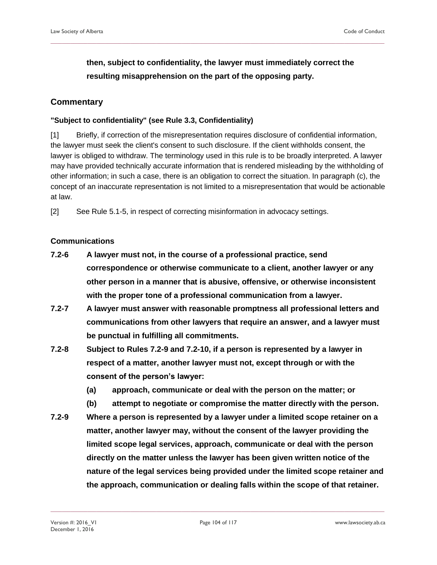## **then, subject to confidentiality, the lawyer must immediately correct the resulting misapprehension on the part of the opposing party.**

**\_\_\_\_\_\_\_\_\_\_\_\_\_\_\_\_\_\_\_\_\_\_\_\_\_\_\_\_\_\_\_\_\_\_\_\_\_\_\_\_\_\_\_\_\_\_\_\_\_\_\_\_\_\_\_\_\_\_\_\_\_\_\_\_\_\_\_\_\_\_\_\_\_\_\_\_\_\_\_\_\_\_\_\_\_\_\_\_\_\_\_\_\_\_\_\_\_\_\_\_\_\_\_\_\_\_\_\_\_\_\_\_\_\_\_\_\_**

### **Commentary**

#### **"Subject to confidentiality" (see Rule 3.3, Confidentiality)**

[1] Briefly, if correction of the misrepresentation requires disclosure of confidential information, the lawyer must seek the client's consent to such disclosure. If the client withholds consent, the lawyer is obliged to withdraw. The terminology used in this rule is to be broadly interpreted. A lawyer may have provided technically accurate information that is rendered misleading by the withholding of other information; in such a case, there is an obligation to correct the situation. In paragraph (c), the concept of an inaccurate representation is not limited to a misrepresentation that would be actionable at law.

[2] See Rule 5.1-5, in respect of correcting misinformation in advocacy settings.

#### **Communications**

- **7.2-6 A lawyer must not, in the course of a professional practice, send correspondence or otherwise communicate to a client, another lawyer or any other person in a manner that is abusive, offensive, or otherwise inconsistent with the proper tone of a professional communication from a lawyer.**
- **7.2-7 A lawyer must answer with reasonable promptness all professional letters and communications from other lawyers that require an answer, and a lawyer must be punctual in fulfilling all commitments.**
- **7.2-8 Subject to Rules 7.2-9 and 7.2-10, if a person is represented by a lawyer in respect of a matter, another lawyer must not, except through or with the consent of the person's lawyer:**
	- **(a) approach, communicate or deal with the person on the matter; or**
	- **(b) attempt to negotiate or compromise the matter directly with the person.**
- **7.2-9 Where a person is represented by a lawyer under a limited scope retainer on a matter, another lawyer may, without the consent of the lawyer providing the limited scope legal services, approach, communicate or deal with the person directly on the matter unless the lawyer has been given written notice of the nature of the legal services being provided under the limited scope retainer and the approach, communication or dealing falls within the scope of that retainer.**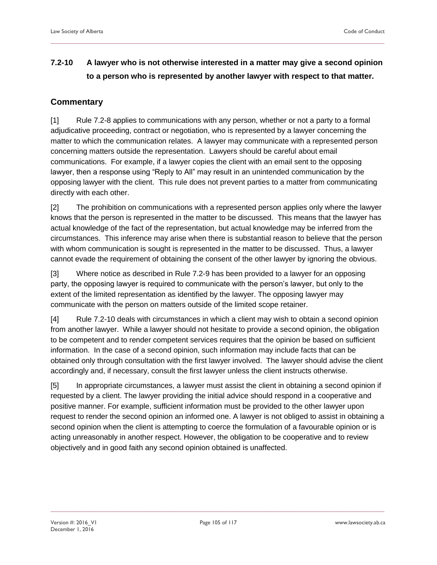## **7.2-10 A lawyer who is not otherwise interested in a matter may give a second opinion to a person who is represented by another lawyer with respect to that matter.**

**\_\_\_\_\_\_\_\_\_\_\_\_\_\_\_\_\_\_\_\_\_\_\_\_\_\_\_\_\_\_\_\_\_\_\_\_\_\_\_\_\_\_\_\_\_\_\_\_\_\_\_\_\_\_\_\_\_\_\_\_\_\_\_\_\_\_\_\_\_\_\_\_\_\_\_\_\_\_\_\_\_\_\_\_\_\_\_\_\_\_\_\_\_\_\_\_\_\_\_\_\_\_\_\_\_\_\_\_\_\_\_\_\_\_\_\_\_**

## **Commentary**

[1] Rule 7.2-8 applies to communications with any person, whether or not a party to a formal adjudicative proceeding, contract or negotiation, who is represented by a lawyer concerning the matter to which the communication relates. A lawyer may communicate with a represented person concerning matters outside the representation. Lawyers should be careful about email communications. For example, if a lawyer copies the client with an email sent to the opposing lawyer, then a response using "Reply to All" may result in an unintended communication by the opposing lawyer with the client. This rule does not prevent parties to a matter from communicating directly with each other.

[2] The prohibition on communications with a represented person applies only where the lawyer knows that the person is represented in the matter to be discussed. This means that the lawyer has actual knowledge of the fact of the representation, but actual knowledge may be inferred from the circumstances. This inference may arise when there is substantial reason to believe that the person with whom communication is sought is represented in the matter to be discussed. Thus, a lawyer cannot evade the requirement of obtaining the consent of the other lawyer by ignoring the obvious.

[3] Where notice as described in Rule 7.2-9 has been provided to a lawyer for an opposing party, the opposing lawyer is required to communicate with the person's lawyer, but only to the extent of the limited representation as identified by the lawyer. The opposing lawyer may communicate with the person on matters outside of the limited scope retainer.

[4] Rule 7.2-10 deals with circumstances in which a client may wish to obtain a second opinion from another lawyer. While a lawyer should not hesitate to provide a second opinion, the obligation to be competent and to render competent services requires that the opinion be based on sufficient information. In the case of a second opinion, such information may include facts that can be obtained only through consultation with the first lawyer involved. The lawyer should advise the client accordingly and, if necessary, consult the first lawyer unless the client instructs otherwise.

[5] In appropriate circumstances, a lawyer must assist the client in obtaining a second opinion if requested by a client. The lawyer providing the initial advice should respond in a cooperative and positive manner. For example, sufficient information must be provided to the other lawyer upon request to render the second opinion an informed one. A lawyer is not obliged to assist in obtaining a second opinion when the client is attempting to coerce the formulation of a favourable opinion or is acting unreasonably in another respect. However, the obligation to be cooperative and to review objectively and in good faith any second opinion obtained is unaffected.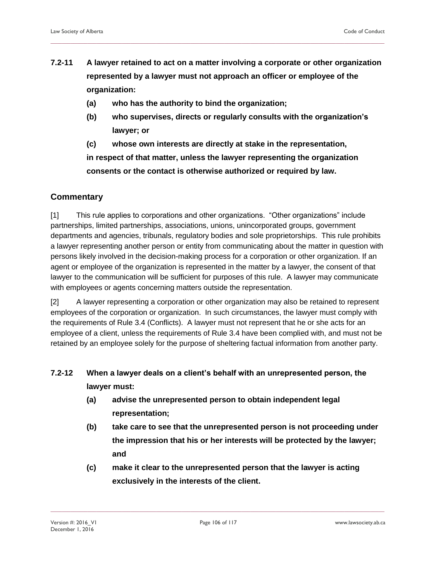**7.2-11 A lawyer retained to act on a matter involving a corporate or other organization represented by a lawyer must not approach an officer or employee of the organization:**

**\_\_\_\_\_\_\_\_\_\_\_\_\_\_\_\_\_\_\_\_\_\_\_\_\_\_\_\_\_\_\_\_\_\_\_\_\_\_\_\_\_\_\_\_\_\_\_\_\_\_\_\_\_\_\_\_\_\_\_\_\_\_\_\_\_\_\_\_\_\_\_\_\_\_\_\_\_\_\_\_\_\_\_\_\_\_\_\_\_\_\_\_\_\_\_\_\_\_\_\_\_\_\_\_\_\_\_\_\_\_\_\_\_\_\_\_\_**

- **(a) who has the authority to bind the organization;**
- **(b) who supervises, directs or regularly consults with the organization's lawyer; or**
- **(c) whose own interests are directly at stake in the representation,**

**in respect of that matter, unless the lawyer representing the organization consents or the contact is otherwise authorized or required by law.**

### **Commentary**

[1] This rule applies to corporations and other organizations. "Other organizations" include partnerships, limited partnerships, associations, unions, unincorporated groups, government departments and agencies, tribunals, regulatory bodies and sole proprietorships. This rule prohibits a lawyer representing another person or entity from communicating about the matter in question with persons likely involved in the decision-making process for a corporation or other organization. If an agent or employee of the organization is represented in the matter by a lawyer, the consent of that lawyer to the communication will be sufficient for purposes of this rule. A lawyer may communicate with employees or agents concerning matters outside the representation.

[2] A lawyer representing a corporation or other organization may also be retained to represent employees of the corporation or organization. In such circumstances, the lawyer must comply with the requirements of Rule 3.4 (Conflicts). A lawyer must not represent that he or she acts for an employee of a client, unless the requirements of Rule 3.4 have been complied with, and must not be retained by an employee solely for the purpose of sheltering factual information from another party.

## **7.2-12 When a lawyer deals on a client's behalf with an unrepresented person, the lawyer must:**

- **(a) advise the unrepresented person to obtain independent legal representation;**
- **(b) take care to see that the unrepresented person is not proceeding under the impression that his or her interests will be protected by the lawyer; and**
- **(c) make it clear to the unrepresented person that the lawyer is acting exclusively in the interests of the client.**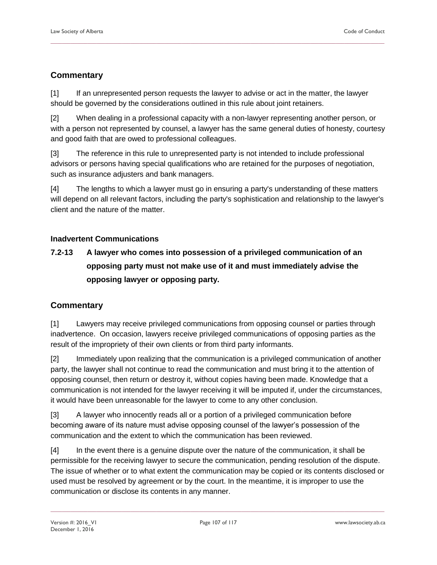### **Commentary**

[1] If an unrepresented person requests the lawyer to advise or act in the matter, the lawyer should be governed by the considerations outlined in this rule about joint retainers.

[2] When dealing in a professional capacity with a non-lawyer representing another person, or with a person not represented by counsel, a lawyer has the same general duties of honesty, courtesy and good faith that are owed to professional colleagues.

**\_\_\_\_\_\_\_\_\_\_\_\_\_\_\_\_\_\_\_\_\_\_\_\_\_\_\_\_\_\_\_\_\_\_\_\_\_\_\_\_\_\_\_\_\_\_\_\_\_\_\_\_\_\_\_\_\_\_\_\_\_\_\_\_\_\_\_\_\_\_\_\_\_\_\_\_\_\_\_\_\_\_\_\_\_\_\_\_\_\_\_\_\_\_\_\_\_\_\_\_\_\_\_\_\_\_\_\_\_\_\_\_\_\_\_\_\_**

[3] The reference in this rule to unrepresented party is not intended to include professional advisors or persons having special qualifications who are retained for the purposes of negotiation, such as insurance adjusters and bank managers.

[4] The lengths to which a lawyer must go in ensuring a party's understanding of these matters will depend on all relevant factors, including the party's sophistication and relationship to the lawyer's client and the nature of the matter.

#### **Inadvertent Communications**

# **7.2-13 A lawyer who comes into possession of a privileged communication of an opposing party must not make use of it and must immediately advise the opposing lawyer or opposing party.**

### **Commentary**

[1] Lawyers may receive privileged communications from opposing counsel or parties through inadvertence. On occasion, lawyers receive privileged communications of opposing parties as the result of the impropriety of their own clients or from third party informants.

[2] Immediately upon realizing that the communication is a privileged communication of another party, the lawyer shall not continue to read the communication and must bring it to the attention of opposing counsel, then return or destroy it, without copies having been made. Knowledge that a communication is not intended for the lawyer receiving it will be imputed if, under the circumstances, it would have been unreasonable for the lawyer to come to any other conclusion.

[3] A lawyer who innocently reads all or a portion of a privileged communication before becoming aware of its nature must advise opposing counsel of the lawyer's possession of the communication and the extent to which the communication has been reviewed.

[4] In the event there is a genuine dispute over the nature of the communication, it shall be permissible for the receiving lawyer to secure the communication, pending resolution of the dispute. The issue of whether or to what extent the communication may be copied or its contents disclosed or used must be resolved by agreement or by the court. In the meantime, it is improper to use the communication or disclose its contents in any manner.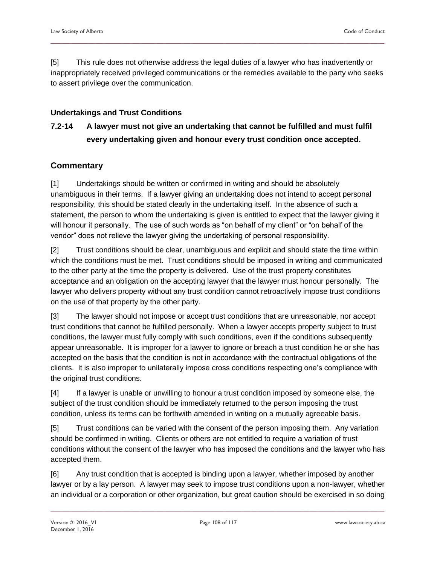[5] This rule does not otherwise address the legal duties of a lawyer who has inadvertently or inappropriately received privileged communications or the remedies available to the party who seeks to assert privilege over the communication.

**\_\_\_\_\_\_\_\_\_\_\_\_\_\_\_\_\_\_\_\_\_\_\_\_\_\_\_\_\_\_\_\_\_\_\_\_\_\_\_\_\_\_\_\_\_\_\_\_\_\_\_\_\_\_\_\_\_\_\_\_\_\_\_\_\_\_\_\_\_\_\_\_\_\_\_\_\_\_\_\_\_\_\_\_\_\_\_\_\_\_\_\_\_\_\_\_\_\_\_\_\_\_\_\_\_\_\_\_\_\_\_\_\_\_\_\_\_**

#### **Undertakings and Trust Conditions**

## **7.2-14 A lawyer must not give an undertaking that cannot be fulfilled and must fulfil every undertaking given and honour every trust condition once accepted.**

### **Commentary**

[1] Undertakings should be written or confirmed in writing and should be absolutely unambiguous in their terms. If a lawyer giving an undertaking does not intend to accept personal responsibility, this should be stated clearly in the undertaking itself. In the absence of such a statement, the person to whom the undertaking is given is entitled to expect that the lawyer giving it will honour it personally. The use of such words as "on behalf of my client" or "on behalf of the vendor" does not relieve the lawyer giving the undertaking of personal responsibility.

[2] Trust conditions should be clear, unambiguous and explicit and should state the time within which the conditions must be met. Trust conditions should be imposed in writing and communicated to the other party at the time the property is delivered. Use of the trust property constitutes acceptance and an obligation on the accepting lawyer that the lawyer must honour personally. The lawyer who delivers property without any trust condition cannot retroactively impose trust conditions on the use of that property by the other party.

[3] The lawyer should not impose or accept trust conditions that are unreasonable, nor accept trust conditions that cannot be fulfilled personally. When a lawyer accepts property subject to trust conditions, the lawyer must fully comply with such conditions, even if the conditions subsequently appear unreasonable. It is improper for a lawyer to ignore or breach a trust condition he or she has accepted on the basis that the condition is not in accordance with the contractual obligations of the clients. It is also improper to unilaterally impose cross conditions respecting one's compliance with the original trust conditions.

[4] If a lawyer is unable or unwilling to honour a trust condition imposed by someone else, the subject of the trust condition should be immediately returned to the person imposing the trust condition, unless its terms can be forthwith amended in writing on a mutually agreeable basis.

[5] Trust conditions can be varied with the consent of the person imposing them. Any variation should be confirmed in writing. Clients or others are not entitled to require a variation of trust conditions without the consent of the lawyer who has imposed the conditions and the lawyer who has accepted them.

[6] Any trust condition that is accepted is binding upon a lawyer, whether imposed by another lawyer or by a lay person. A lawyer may seek to impose trust conditions upon a non-lawyer, whether an individual or a corporation or other organization, but great caution should be exercised in so doing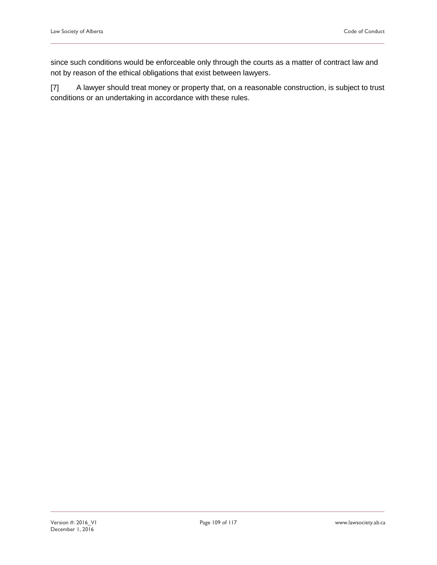since such conditions would be enforceable only through the courts as a matter of contract law and not by reason of the ethical obligations that exist between lawyers.

**\_\_\_\_\_\_\_\_\_\_\_\_\_\_\_\_\_\_\_\_\_\_\_\_\_\_\_\_\_\_\_\_\_\_\_\_\_\_\_\_\_\_\_\_\_\_\_\_\_\_\_\_\_\_\_\_\_\_\_\_\_\_\_\_\_\_\_\_\_\_\_\_\_\_\_\_\_\_\_\_\_\_\_\_\_\_\_\_\_\_\_\_\_\_\_\_\_\_\_\_\_\_\_\_\_\_\_\_\_\_\_\_\_\_\_\_\_**

[7] A lawyer should treat money or property that, on a reasonable construction, is subject to trust conditions or an undertaking in accordance with these rules.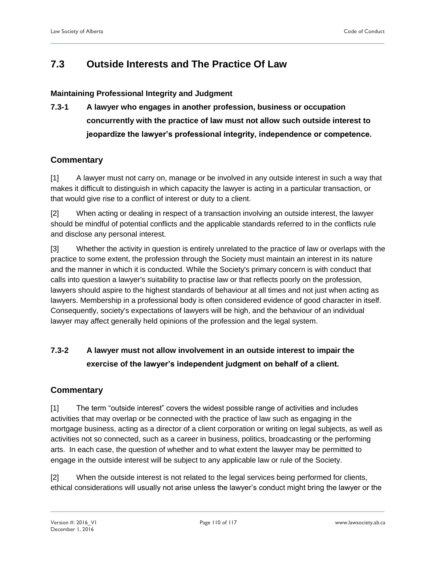## **7.3 Outside Interests and The Practice Of Law**

### **Maintaining Professional Integrity and Judgment**

**7.3-1 A lawyer who engages in another profession, business or occupation concurrently with the practice of law must not allow such outside interest to jeopardize the lawyer's professional integrity, independence or competence.**

**\_\_\_\_\_\_\_\_\_\_\_\_\_\_\_\_\_\_\_\_\_\_\_\_\_\_\_\_\_\_\_\_\_\_\_\_\_\_\_\_\_\_\_\_\_\_\_\_\_\_\_\_\_\_\_\_\_\_\_\_\_\_\_\_\_\_\_\_\_\_\_\_\_\_\_\_\_\_\_\_\_\_\_\_\_\_\_\_\_\_\_\_\_\_\_\_\_\_\_\_\_\_\_\_\_\_\_\_\_\_\_\_\_\_\_\_\_**

## **Commentary**

[1] A lawyer must not carry on, manage or be involved in any outside interest in such a way that makes it difficult to distinguish in which capacity the lawyer is acting in a particular transaction, or that would give rise to a conflict of interest or duty to a client.

[2] When acting or dealing in respect of a transaction involving an outside interest, the lawyer should be mindful of potential conflicts and the applicable standards referred to in the conflicts rule and disclose any personal interest.

[3] Whether the activity in question is entirely unrelated to the practice of law or overlaps with the practice to some extent, the profession through the Society must maintain an interest in its nature and the manner in which it is conducted. While the Society's primary concern is with conduct that calls into question a lawyer's suitability to practise law or that reflects poorly on the profession, lawyers should aspire to the highest standards of behaviour at all times and not just when acting as lawyers. Membership in a professional body is often considered evidence of good character in itself. Consequently, society's expectations of lawyers will be high, and the behaviour of an individual lawyer may affect generally held opinions of the profession and the legal system.

## **7.3-2 A lawyer must not allow involvement in an outside interest to impair the exercise of the lawyer's independent judgment on behalf of a client.**

### **Commentary**

[1] The term "outside interest" covers the widest possible range of activities and includes activities that may overlap or be connected with the practice of law such as engaging in the mortgage business, acting as a director of a client corporation or writing on legal subjects, as well as activities not so connected, such as a career in business, politics, broadcasting or the performing arts. In each case, the question of whether and to what extent the lawyer may be permitted to engage in the outside interest will be subject to any applicable law or rule of the Society.

[2] When the outside interest is not related to the legal services being performed for clients, ethical considerations will usually not arise unless the lawyer's conduct might bring the lawyer or the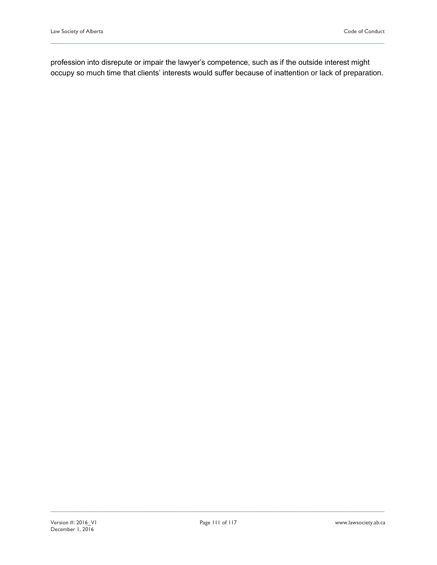profession into disrepute or impair the lawyer's competence, such as if the outside interest might occupy so much time that clients' interests would suffer because of inattention or lack of preparation.

**\_\_\_\_\_\_\_\_\_\_\_\_\_\_\_\_\_\_\_\_\_\_\_\_\_\_\_\_\_\_\_\_\_\_\_\_\_\_\_\_\_\_\_\_\_\_\_\_\_\_\_\_\_\_\_\_\_\_\_\_\_\_\_\_\_\_\_\_\_\_\_\_\_\_\_\_\_\_\_\_\_\_\_\_\_\_\_\_\_\_\_\_\_\_\_\_\_\_\_\_\_\_\_\_\_\_\_\_\_\_\_\_\_\_\_\_\_**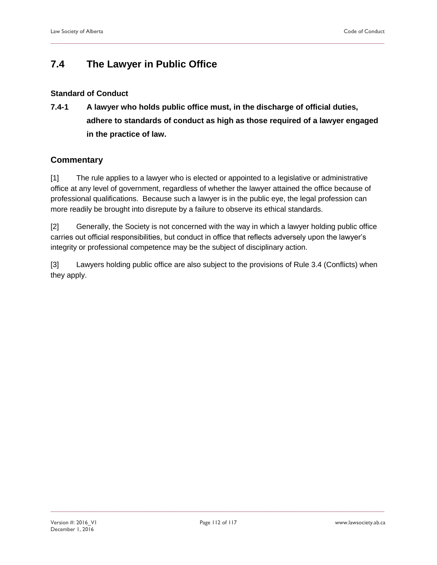## **7.4 The Lawyer in Public Office**

#### **Standard of Conduct**

**7.4-1 A lawyer who holds public office must, in the discharge of official duties, adhere to standards of conduct as high as those required of a lawyer engaged in the practice of law.**

**\_\_\_\_\_\_\_\_\_\_\_\_\_\_\_\_\_\_\_\_\_\_\_\_\_\_\_\_\_\_\_\_\_\_\_\_\_\_\_\_\_\_\_\_\_\_\_\_\_\_\_\_\_\_\_\_\_\_\_\_\_\_\_\_\_\_\_\_\_\_\_\_\_\_\_\_\_\_\_\_\_\_\_\_\_\_\_\_\_\_\_\_\_\_\_\_\_\_\_\_\_\_\_\_\_\_\_\_\_\_\_\_\_\_\_\_\_**

### **Commentary**

[1] The rule applies to a lawyer who is elected or appointed to a legislative or administrative office at any level of government, regardless of whether the lawyer attained the office because of professional qualifications. Because such a lawyer is in the public eye, the legal profession can more readily be brought into disrepute by a failure to observe its ethical standards.

[2] Generally, the Society is not concerned with the way in which a lawyer holding public office carries out official responsibilities, but conduct in office that reflects adversely upon the lawyer's integrity or professional competence may be the subject of disciplinary action.

[3] Lawyers holding public office are also subject to the provisions of Rule 3.4 (Conflicts) when they apply.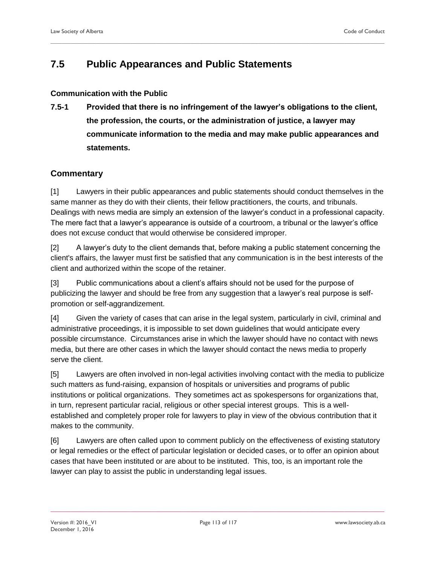## **7.5 Public Appearances and Public Statements**

#### **Communication with the Public**

**7.5-1 Provided that there is no infringement of the lawyer's obligations to the client, the profession, the courts, or the administration of justice, a lawyer may communicate information to the media and may make public appearances and statements.**

**\_\_\_\_\_\_\_\_\_\_\_\_\_\_\_\_\_\_\_\_\_\_\_\_\_\_\_\_\_\_\_\_\_\_\_\_\_\_\_\_\_\_\_\_\_\_\_\_\_\_\_\_\_\_\_\_\_\_\_\_\_\_\_\_\_\_\_\_\_\_\_\_\_\_\_\_\_\_\_\_\_\_\_\_\_\_\_\_\_\_\_\_\_\_\_\_\_\_\_\_\_\_\_\_\_\_\_\_\_\_\_\_\_\_\_\_\_**

### **Commentary**

[1] Lawyers in their public appearances and public statements should conduct themselves in the same manner as they do with their clients, their fellow practitioners, the courts, and tribunals. Dealings with news media are simply an extension of the lawyer's conduct in a professional capacity. The mere fact that a lawyer's appearance is outside of a courtroom, a tribunal or the lawyer's office does not excuse conduct that would otherwise be considered improper.

[2] A lawyer's duty to the client demands that, before making a public statement concerning the client's affairs, the lawyer must first be satisfied that any communication is in the best interests of the client and authorized within the scope of the retainer.

[3] Public communications about a client's affairs should not be used for the purpose of publicizing the lawyer and should be free from any suggestion that a lawyer's real purpose is selfpromotion or self-aggrandizement.

[4] Given the variety of cases that can arise in the legal system, particularly in civil, criminal and administrative proceedings, it is impossible to set down guidelines that would anticipate every possible circumstance. Circumstances arise in which the lawyer should have no contact with news media, but there are other cases in which the lawyer should contact the news media to properly serve the client.

[5] Lawyers are often involved in non-legal activities involving contact with the media to publicize such matters as fund-raising, expansion of hospitals or universities and programs of public institutions or political organizations. They sometimes act as spokespersons for organizations that, in turn, represent particular racial, religious or other special interest groups. This is a wellestablished and completely proper role for lawyers to play in view of the obvious contribution that it makes to the community.

[6] Lawyers are often called upon to comment publicly on the effectiveness of existing statutory or legal remedies or the effect of particular legislation or decided cases, or to offer an opinion about cases that have been instituted or are about to be instituted. This, too, is an important role the lawyer can play to assist the public in understanding legal issues.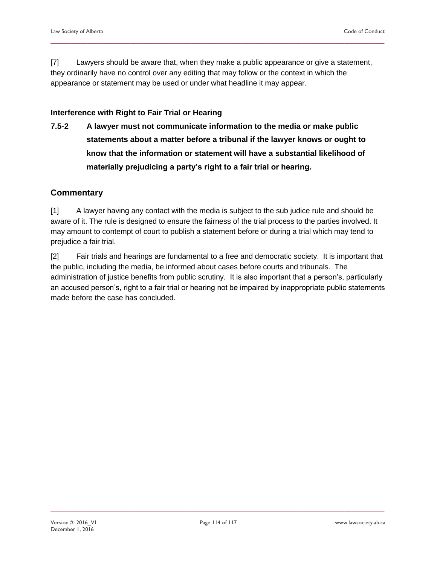[7] Lawyers should be aware that, when they make a public appearance or give a statement, they ordinarily have no control over any editing that may follow or the context in which the appearance or statement may be used or under what headline it may appear.

**\_\_\_\_\_\_\_\_\_\_\_\_\_\_\_\_\_\_\_\_\_\_\_\_\_\_\_\_\_\_\_\_\_\_\_\_\_\_\_\_\_\_\_\_\_\_\_\_\_\_\_\_\_\_\_\_\_\_\_\_\_\_\_\_\_\_\_\_\_\_\_\_\_\_\_\_\_\_\_\_\_\_\_\_\_\_\_\_\_\_\_\_\_\_\_\_\_\_\_\_\_\_\_\_\_\_\_\_\_\_\_\_\_\_\_\_\_**

#### **Interference with Right to Fair Trial or Hearing**

**7.5-2 A lawyer must not communicate information to the media or make public statements about a matter before a tribunal if the lawyer knows or ought to know that the information or statement will have a substantial likelihood of materially prejudicing a party's right to a fair trial or hearing.**

#### **Commentary**

[1] A lawyer having any contact with the media is subject to the sub judice rule and should be aware of it. The rule is designed to ensure the fairness of the trial process to the parties involved. It may amount to contempt of court to publish a statement before or during a trial which may tend to prejudice a fair trial.

[2] Fair trials and hearings are fundamental to a free and democratic society. It is important that the public, including the media, be informed about cases before courts and tribunals. The administration of justice benefits from public scrutiny. It is also important that a person's, particularly an accused person's, right to a fair trial or hearing not be impaired by inappropriate public statements made before the case has concluded.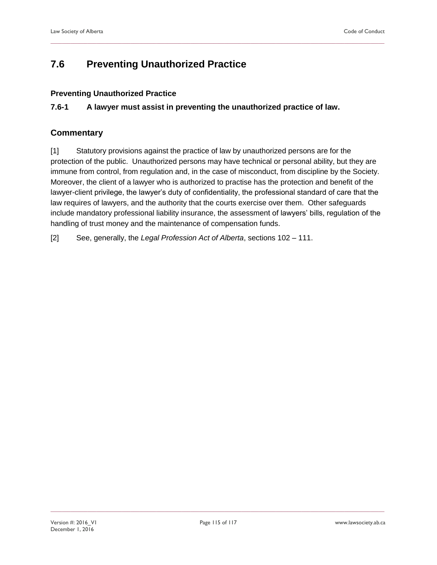# **7.6 Preventing Unauthorized Practice**

### **Preventing Unauthorized Practice**

**7.6-1 A lawyer must assist in preventing the unauthorized practice of law.**

### **Commentary**

[1] Statutory provisions against the practice of law by unauthorized persons are for the protection of the public. Unauthorized persons may have technical or personal ability, but they are immune from control, from regulation and, in the case of misconduct, from discipline by the Society. Moreover, the client of a lawyer who is authorized to practise has the protection and benefit of the lawyer-client privilege, the lawyer's duty of confidentiality, the professional standard of care that the law requires of lawyers, and the authority that the courts exercise over them. Other safeguards include mandatory professional liability insurance, the assessment of lawyers' bills, regulation of the handling of trust money and the maintenance of compensation funds.

**\_\_\_\_\_\_\_\_\_\_\_\_\_\_\_\_\_\_\_\_\_\_\_\_\_\_\_\_\_\_\_\_\_\_\_\_\_\_\_\_\_\_\_\_\_\_\_\_\_\_\_\_\_\_\_\_\_\_\_\_\_\_\_\_\_\_\_\_\_\_\_\_\_\_\_\_\_\_\_\_\_\_\_\_\_\_\_\_\_\_\_\_\_\_\_\_\_\_\_\_\_\_\_\_\_\_\_\_\_\_\_\_\_\_\_\_\_**

[2] See, generally, the *Legal Profession Act of Alberta*, sections 102 – 111.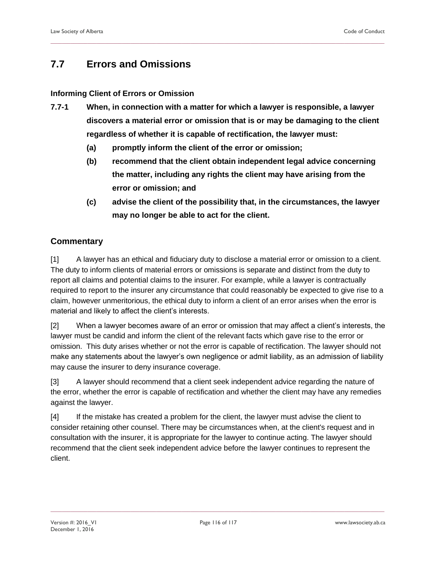# **7.7 Errors and Omissions**

### **Informing Client of Errors or Omission**

**7.7-1 When, in connection with a matter for which a lawyer is responsible, a lawyer discovers a material error or omission that is or may be damaging to the client regardless of whether it is capable of rectification, the lawyer must:**

**\_\_\_\_\_\_\_\_\_\_\_\_\_\_\_\_\_\_\_\_\_\_\_\_\_\_\_\_\_\_\_\_\_\_\_\_\_\_\_\_\_\_\_\_\_\_\_\_\_\_\_\_\_\_\_\_\_\_\_\_\_\_\_\_\_\_\_\_\_\_\_\_\_\_\_\_\_\_\_\_\_\_\_\_\_\_\_\_\_\_\_\_\_\_\_\_\_\_\_\_\_\_\_\_\_\_\_\_\_\_\_\_\_\_\_\_\_**

- **(a) promptly inform the client of the error or omission;**
- **(b) recommend that the client obtain independent legal advice concerning the matter, including any rights the client may have arising from the error or omission; and**
- **(c) advise the client of the possibility that, in the circumstances, the lawyer may no longer be able to act for the client.**

## **Commentary**

[1] A lawyer has an ethical and fiduciary duty to disclose a material error or omission to a client. The duty to inform clients of material errors or omissions is separate and distinct from the duty to report all claims and potential claims to the insurer. For example, while a lawyer is contractually required to report to the insurer any circumstance that could reasonably be expected to give rise to a claim, however unmeritorious, the ethical duty to inform a client of an error arises when the error is material and likely to affect the client's interests.

[2] When a lawyer becomes aware of an error or omission that may affect a client's interests, the lawyer must be candid and inform the client of the relevant facts which gave rise to the error or omission. This duty arises whether or not the error is capable of rectification. The lawyer should not make any statements about the lawyer's own negligence or admit liability, as an admission of liability may cause the insurer to deny insurance coverage.

[3] A lawyer should recommend that a client seek independent advice regarding the nature of the error, whether the error is capable of rectification and whether the client may have any remedies against the lawyer.

[4] If the mistake has created a problem for the client, the lawyer must advise the client to consider retaining other counsel. There may be circumstances when, at the client's request and in consultation with the insurer, it is appropriate for the lawyer to continue acting. The lawyer should recommend that the client seek independent advice before the lawyer continues to represent the client.